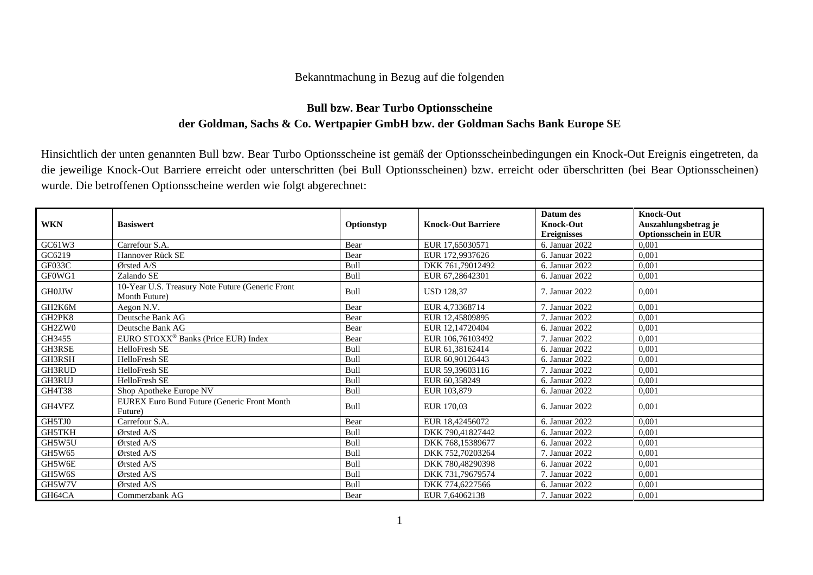## Bekanntmachung in Bezug auf die folgenden

## **Bull bzw. Bear Turbo Optionsscheine der Goldman, Sachs & Co. Wertpapier GmbH bzw. der Goldman Sachs Bank Europe SE**

Hinsichtlich der unten genannten Bull bzw. Bear Turbo Optionsscheine ist gemäß der Optionsscheinbedingungen ein Knock-Out Ereignis eingetreten, da die jeweilige Knock-Out Barriere erreicht oder unterschritten (bei Bull Optionsscheinen) bzw. erreicht oder überschritten (bei Bear Optionsscheinen) wurde. Die betroffenen Optionsscheine werden wie folgt abgerechnet:

| <b>WKN</b>    | <b>Basiswert</b>                                                  | Optionstyp | <b>Knock-Out Barriere</b> | Datum des<br><b>Knock-Out</b><br><b>Ereignisses</b> | Knock-Out<br>Auszahlungsbetrag je<br><b>Optionsschein in EUR</b> |
|---------------|-------------------------------------------------------------------|------------|---------------------------|-----------------------------------------------------|------------------------------------------------------------------|
| GC61W3        | Carrefour S.A.                                                    | Bear       | EUR 17,65030571           | 6. Januar 2022                                      | 0.001                                                            |
| GC6219        | Hannover Rück SE                                                  | Bear       | EUR 172,9937626           | 6. Januar 2022                                      | 0,001                                                            |
| GF033C        | Ørsted A/S                                                        | Bull       | DKK 761,79012492          | 6. Januar 2022                                      | 0,001                                                            |
| GF0WG1        | Zalando SE                                                        | Bull       | EUR 67,28642301           | 6. Januar 2022                                      | 0,001                                                            |
| <b>GH0JJW</b> | 10-Year U.S. Treasury Note Future (Generic Front<br>Month Future) | Bull       | <b>USD 128,37</b>         | 7. Januar 2022                                      | 0,001                                                            |
| GH2K6M        | Aegon N.V.                                                        | Bear       | EUR 4,73368714            | 7. Januar 2022                                      | 0,001                                                            |
| GH2PK8        | Deutsche Bank AG                                                  | Bear       | EUR 12,45809895           | 7. Januar 2022                                      | 0,001                                                            |
| GH2ZW0        | Deutsche Bank AG                                                  | Bear       | EUR 12,14720404           | 6. Januar 2022                                      | 0.001                                                            |
| GH3455        | EURO STOXX <sup>®</sup> Banks (Price EUR) Index                   | Bear       | EUR 106,76103492          | 7. Januar 2022                                      | 0,001                                                            |
| GH3RSE        | HelloFresh SE                                                     | Bull       | EUR 61,38162414           | 6. Januar 2022                                      | 0,001                                                            |
| GH3RSH        | HelloFresh SE                                                     | Bull       | EUR 60.90126443           | 6. Januar 2022                                      | 0.001                                                            |
| GH3RUD        | HelloFresh SE                                                     | Bull       | EUR 59,39603116           | 7. Januar 2022                                      | 0,001                                                            |
| GH3RUJ        | HelloFresh SE                                                     | Bull       | EUR 60.358249             | 6. Januar 2022                                      | 0,001                                                            |
| <b>GH4T38</b> | Shop Apotheke Europe NV                                           | Bull       | EUR 103,879               | 6. Januar 2022                                      | 0,001                                                            |
| GH4VFZ        | EUREX Euro Bund Future (Generic Front Month<br>Future)            | Bull       | EUR 170,03                | 6. Januar 2022                                      | 0.001                                                            |
| GH5TJ0        | Carrefour S.A.                                                    | Bear       | EUR 18,42456072           | 6. Januar 2022                                      | 0,001                                                            |
| GH5TKH        | Ørsted A/S                                                        | Bull       | DKK 790,41827442          | 6. Januar 2022                                      | 0,001                                                            |
| GH5W5U        | Ørsted A/S                                                        | Bull       | DKK 768,15389677          | 6. Januar 2022                                      | 0.001                                                            |
| GH5W65        | Ørsted A/S                                                        | Bull       | DKK 752,70203264          | 7. Januar 2022                                      | 0,001                                                            |
| GH5W6E        | $\mathcal{O}$ rsted A/S                                           | Bull       | DKK 780,48290398          | 6. Januar 2022                                      | 0,001                                                            |
| GH5W6S        | Ørsted A/S                                                        | Bull       | DKK 731,79679574          | 7. Januar 2022                                      | 0,001                                                            |
| GH5W7V        | $\mathcal{O}$ rsted A/S                                           | Bull       | DKK 774,6227566           | 6. Januar 2022                                      | 0,001                                                            |
| GH64CA        | Commerzbank AG                                                    | Bear       | EUR 7,64062138            | 7. Januar 2022                                      | 0,001                                                            |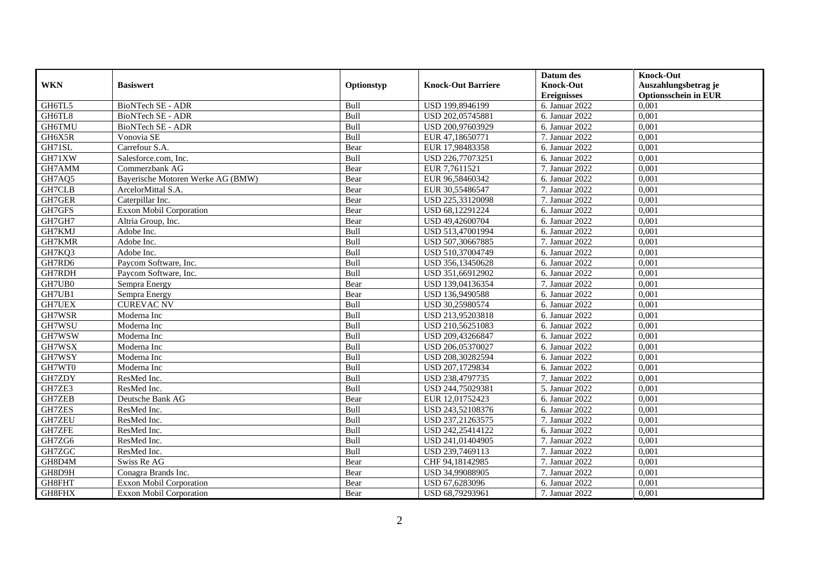|               |                                   |            |                           | Datum des          | <b>Knock-Out</b>            |
|---------------|-----------------------------------|------------|---------------------------|--------------------|-----------------------------|
| <b>WKN</b>    | <b>Basiswert</b>                  | Optionstyp | <b>Knock-Out Barriere</b> | <b>Knock-Out</b>   | Auszahlungsbetrag je        |
|               |                                   |            |                           | <b>Ereignisses</b> | <b>Optionsschein in EUR</b> |
| GH6TL5        | <b>BioNTech SE - ADR</b>          | Bull       | USD 199,8946199           | 6. Januar 2022     | 0,001                       |
| GH6TL8        | <b>BioNTech SE - ADR</b>          | Bull       | USD 202,05745881          | 6. Januar 2022     | 0,001                       |
| GH6TMU        | BioNTech SE - ADR                 | Bull       | USD 200,97603929          | 6. Januar 2022     | 0,001                       |
| GH6X5R        | Vonovia SE                        | Bull       | EUR 47,18650771           | 7. Januar 2022     | 0,001                       |
| GH71SL        | Carrefour S.A.                    | Bear       | EUR 17,98483358           | 6. Januar 2022     | 0,001                       |
| GH71XW        | Salesforce.com, Inc.              | Bull       | USD 226,77073251          | 6. Januar 2022     | 0,001                       |
| GH7AMM        | Commerzbank AG                    | Bear       | EUR 7,7611521             | 7. Januar 2022     | 0,001                       |
| GH7AQ5        | Bayerische Motoren Werke AG (BMW) | Bear       | EUR 96,58460342           | 6. Januar 2022     | 0,001                       |
| GH7CLB        | ArcelorMittal S.A.                | Bear       | EUR 30,55486547           | 7. Januar 2022     | 0,001                       |
| GH7GER        | Caterpillar Inc.                  | Bear       | USD 225,33120098          | 7. Januar 2022     | 0,001                       |
| GH7GFS        | <b>Exxon Mobil Corporation</b>    | Bear       | USD 68,12291224           | 6. Januar 2022     | 0,001                       |
| GH7GH7        | Altria Group, Inc.                | Bear       | USD 49,42600704           | 6. Januar 2022     | 0,001                       |
| GH7KMJ        | Adobe Inc.                        | Bull       | USD 513,47001994          | 6. Januar 2022     | 0,001                       |
| GH7KMR        | Adobe Inc.                        | Bull       | USD 507,30667885          | 7. Januar 2022     | 0,001                       |
| GH7KQ3        | Adobe Inc.                        | Bull       | USD 510,37004749          | 6. Januar 2022     | 0,001                       |
| GH7RD6        | Paycom Software, Inc.             | Bull       | USD 356,13450628          | 6. Januar 2022     | 0,001                       |
| GH7RDH        | Paycom Software, Inc.             | Bull       | USD 351,66912902          | 6. Januar 2022     | 0,001                       |
| GH7UB0        | Sempra Energy                     | Bear       | USD 139,04136354          | 7. Januar 2022     | 0,001                       |
| GH7UB1        | Sempra Energy                     | Bear       | USD 136,9490588           | 6. Januar 2022     | 0,001                       |
| <b>GH7UEX</b> | <b>CUREVAC NV</b>                 | Bull       | USD 30,25980574           | 6. Januar 2022     | 0,001                       |
| GH7WSR        | Moderna Inc                       | Bull       | USD 213,95203818          | 6. Januar 2022     | 0,001                       |
| GH7WSU        | Moderna Inc                       | Bull       | USD 210,56251083          | 6. Januar 2022     | 0,001                       |
| GH7WSW        | Moderna Inc                       | Bull       | USD 209,43266847          | 6. Januar 2022     | 0,001                       |
| GH7WSX        | Moderna Inc                       | Bull       | USD 206,05370027          | 6. Januar 2022     | 0,001                       |
| GH7WSY        | Moderna Inc                       | Bull       | USD 208,30282594          | 6. Januar 2022     | 0,001                       |
| GH7WT0        | Moderna Inc                       | Bull       | USD 207,1729834           | 6. Januar 2022     | 0,001                       |
| GH7ZDY        | ResMed Inc.                       | Bull       | USD 238,4797735           | 7. Januar 2022     | 0,001                       |
| GH7ZE3        | ResMed Inc.                       | Bull       | USD 244,75029381          | 5. Januar 2022     | 0.001                       |
| <b>GH7ZEB</b> | Deutsche Bank AG                  | Bear       | EUR 12,01752423           | 6. Januar 2022     | 0,001                       |
| <b>GH7ZES</b> | ResMed Inc.                       | Bull       | USD 243,52108376          | 6. Januar 2022     | 0,001                       |
| <b>GH7ZEU</b> | ResMed Inc.                       | Bull       | USD 237,21263575          | 7. Januar 2022     | 0,001                       |
| GH7ZFE        | ResMed Inc.                       | Bull       | USD 242,25414122          | 6. Januar 2022     | 0.001                       |
| GH7ZG6        | ResMed Inc.                       | Bull       | USD 241,01404905          | 7. Januar 2022     | 0,001                       |
| GH7ZGC        | ResMed Inc.                       | Bull       | USD 239,7469113           | 7. Januar 2022     | 0,001                       |
| GH8D4M        | Swiss Re AG                       | Bear       | CHF 94,18142985           | 7. Januar 2022     | 0,001                       |
| GH8D9H        | Conagra Brands Inc.               | Bear       | USD 34,99088905           | 7. Januar 2022     | 0,001                       |
| GH8FHT        | Exxon Mobil Corporation           | Bear       | USD 67,6283096            | 6. Januar 2022     | 0,001                       |
| GH8FHX        | Exxon Mobil Corporation           | Bear       | USD 68,79293961           | 7. Januar 2022     | 0,001                       |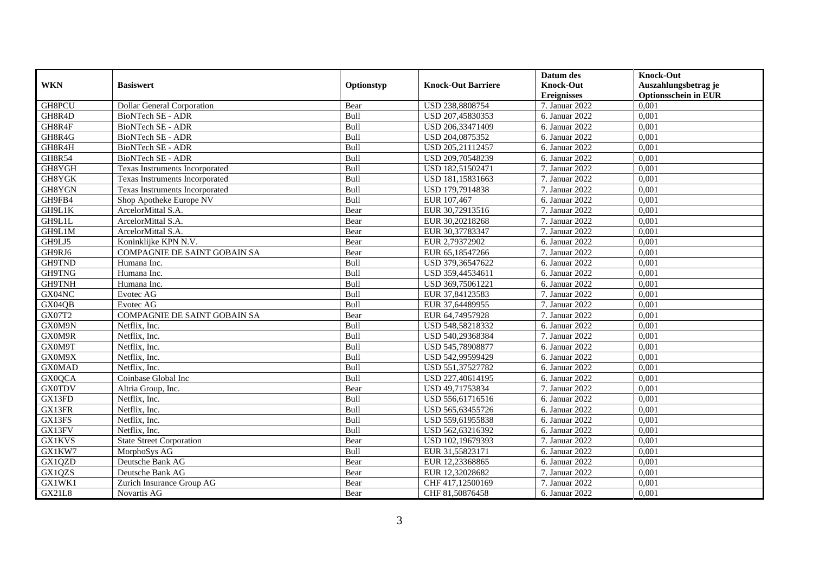|               |                                     |             |                           | Datum des          | <b>Knock-Out</b>            |
|---------------|-------------------------------------|-------------|---------------------------|--------------------|-----------------------------|
| <b>WKN</b>    | <b>Basiswert</b>                    | Optionstyp  | <b>Knock-Out Barriere</b> | <b>Knock-Out</b>   | Auszahlungsbetrag je        |
|               |                                     |             |                           | <b>Ereignisses</b> | <b>Optionsschein in EUR</b> |
| GH8PCU        | <b>Dollar General Corporation</b>   | Bear        | USD 238,8808754           | 7. Januar 2022     | 0,001                       |
| GH8R4D        | BioNTech SE - ADR                   | Bull        | USD 207,45830353          | 6. Januar 2022     | 0,001                       |
| GH8R4F        | BioNTech SE - ADR                   | Bull        | USD 206,33471409          | 6. Januar 2022     | 0,001                       |
| GH8R4G        | BioNTech SE - ADR                   | Bull        | USD 204,0875352           | 6. Januar 2022     | 0,001                       |
| GH8R4H        | BioNTech SE - ADR                   | Bull        | USD 205,21112457          | 6. Januar 2022     | 0,001                       |
| <b>GH8R54</b> | <b>BioNTech SE - ADR</b>            | Bull        | USD 209,70548239          | 6. Januar 2022     | 0,001                       |
| GH8YGH        | Texas Instruments Incorporated      | Bull        | USD 182,51502471          | 7. Januar 2022     | 0,001                       |
| GH8YGK        | Texas Instruments Incorporated      | Bull        | USD 181,15831663          | 7. Januar 2022     | 0,001                       |
| GH8YGN        | Texas Instruments Incorporated      | Bull        | USD 179,7914838           | 7. Januar 2022     | 0,001                       |
| GH9FB4        | Shop Apotheke Europe NV             | Bull        | EUR 107,467               | 6. Januar 2022     | 0.001                       |
| GH9L1K        | ArcelorMittal S.A.                  | Bear        | EUR 30,72913516           | 7. Januar 2022     | 0,001                       |
| GH9L1L        | ArcelorMittal S.A.                  | Bear        | EUR 30,20218268           | 7. Januar 2022     | 0,001                       |
| GH9L1M        | ArcelorMittal S.A.                  | Bear        | EUR 30,37783347           | 7. Januar 2022     | 0,001                       |
| GH9LJ5        | Koninklijke KPN N.V.                | Bear        | EUR 2,79372902            | 6. Januar 2022     | 0.001                       |
| GH9RJ6        | <b>COMPAGNIE DE SAINT GOBAIN SA</b> | Bear        | EUR 65,18547266           | 7. Januar 2022     | 0,001                       |
| GH9TND        | Humana Inc.                         | Bull        | USD 379,36547622          | 6. Januar 2022     | 0,001                       |
| GH9TNG        | Humana Inc.                         | Bull        | USD 359,44534611          | 6. Januar 2022     | 0,001                       |
| GH9TNH        | Humana Inc.                         | Bull        | USD 369,75061221          | 6. Januar 2022     | 0,001                       |
| GX04NC        | Evotec AG                           | Bull        | EUR 37,84123583           | 7. Januar 2022     | 0,001                       |
| GX04QB        | Evotec AG                           | Bull        | EUR 37,64489955           | 7. Januar 2022     | 0,001                       |
| GX07T2        | COMPAGNIE DE SAINT GOBAIN SA        | Bear        | EUR 64,74957928           | 7. Januar 2022     | 0,001                       |
| GX0M9N        | Netflix, Inc.                       | <b>Bull</b> | USD 548,58218332          | 6. Januar 2022     | 0.001                       |
| GX0M9R        | Netflix, Inc.                       | Bull        | USD 540,29368384          | 7. Januar 2022     | 0,001                       |
| GX0M9T        | Netflix, Inc.                       | Bull        | USD 545,78908877          | 6. Januar 2022     | 0,001                       |
| GX0M9X        | Netflix, Inc.                       | Bull        | USD 542,99599429          | 6. Januar 2022     | 0,001                       |
| <b>GX0MAD</b> | Netflix, Inc.                       | Bull        | USD 551,37527782          | 6. Januar 2022     | 0,001                       |
| GX0QCA        | Coinbase Global Inc                 | Bull        | USD 227,40614195          | 6. Januar 2022     | 0,001                       |
| <b>GX0TDV</b> | Altria Group, Inc.                  | Bear        | USD 49,71753834           | 7. Januar 2022     | 0,001                       |
| GX13FD        | Netflix, Inc.                       | Bull        | USD 556,61716516          | 6. Januar 2022     | 0,001                       |
| GX13FR        | Netflix, Inc.                       | Bull        | USD 565,63455726          | 6. Januar 2022     | 0,001                       |
| GX13FS        | Netflix, Inc.                       | Bull        | USD 559,61955838          | 6. Januar 2022     | 0,001                       |
| GX13FV        | Netflix. Inc.                       | Bull        | USD 562,63216392          | 6. Januar 2022     | 0,001                       |
| <b>GX1KVS</b> | <b>State Street Corporation</b>     | Bear        | USD 102,19679393          | 7. Januar 2022     | 0,001                       |
| GX1KW7        | MorphoSys AG                        | Bull        | EUR 31,55823171           | 6. Januar 2022     | 0,001                       |
| GX1QZD        | Deutsche Bank AG                    | Bear        | EUR 12,23368865           | 6. Januar 2022     | 0,001                       |
| GX1QZS        | Deutsche Bank AG                    | Bear        | EUR 12,32028682           | 7. Januar 2022     | 0,001                       |
| GX1WK1        | Zurich Insurance Group AG           | Bear        | CHF 417,12500169          | 7. Januar 2022     | 0,001                       |
| <b>GX21L8</b> | Novartis AG                         | Bear        | CHF 81,50876458           | 6. Januar 2022     | 0,001                       |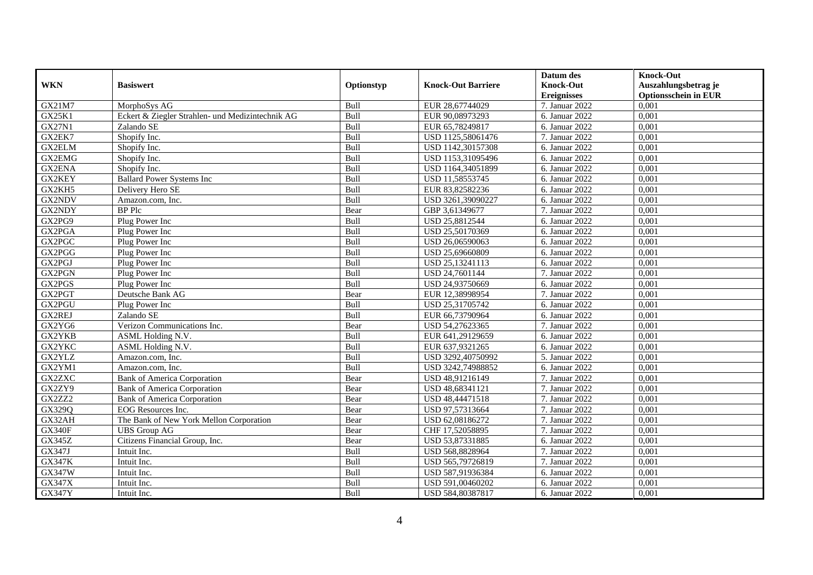|               | <b>Basiswert</b>                                 | Optionstyp | <b>Knock-Out Barriere</b> | Datum des          | <b>Knock-Out</b>            |
|---------------|--------------------------------------------------|------------|---------------------------|--------------------|-----------------------------|
| <b>WKN</b>    |                                                  |            |                           | <b>Knock-Out</b>   | Auszahlungsbetrag je        |
|               |                                                  |            |                           | <b>Ereignisses</b> | <b>Optionsschein in EUR</b> |
| GX21M7        | MorphoSys AG                                     | Bull       | EUR 28,67744029           | 7. Januar 2022     | 0,001                       |
| GX25K1        | Eckert & Ziegler Strahlen- und Medizintechnik AG | Bull       | EUR 90,08973293           | 6. Januar 2022     | 0,001                       |
| <b>GX27N1</b> | Zalando SE                                       | Bull       | EUR 65,78249817           | 6. Januar 2022     | 0,001                       |
| GX2EK7        | Shopify Inc.                                     | Bull       | USD 1125,58061476         | 7. Januar 2022     | 0,001                       |
| GX2ELM        | Shopify Inc.                                     | Bull       | USD 1142,30157308         | 6. Januar 2022     | 0,001                       |
| <b>GX2EMG</b> | Shopify Inc.                                     | Bull       | USD 1153,31095496         | 6. Januar 2022     | 0,001                       |
| GX2ENA        | Shopify Inc.                                     | Bull       | USD 1164,34051899         | 6. Januar 2022     | 0,001                       |
| GX2KEY        | <b>Ballard Power Systems Inc</b>                 | Bull       | USD 11,58553745           | 6. Januar 2022     | 0,001                       |
| GX2KH5        | Delivery Hero SE                                 | Bull       | EUR 83,82582236           | 6. Januar 2022     | 0,001                       |
| GX2NDV        | Amazon.com, Inc.                                 | Bull       | USD 3261,39090227         | 6. Januar 2022     | 0,001                       |
| GX2NDY        | <b>BP</b> Plc                                    | Bear       | GBP 3,61349677            | 7. Januar 2022     | 0,001                       |
| GX2PG9        | Plug Power Inc                                   | Bull       | USD 25,8812544            | 6. Januar 2022     | 0,001                       |
| GX2PGA        | Plug Power Inc                                   | Bull       | USD 25,50170369           | 6. Januar 2022     | 0,001                       |
| GX2PGC        | Plug Power Inc                                   | Bull       | USD 26,06590063           | 6. Januar 2022     | 0,001                       |
| GX2PGG        | Plug Power Inc                                   | Bull       | USD 25,69660809           | 6. Januar 2022     | 0,001                       |
| GX2PGJ        | Plug Power Inc                                   | Bull       | USD 25,13241113           | 6. Januar $2022$   | 0,001                       |
| GX2PGN        | Plug Power Inc                                   | Bull       | USD 24,7601144            | 7. Januar 2022     | 0,001                       |
| GX2PGS        | Plug Power Inc                                   | Bull       | USD 24,93750669           | 6. Januar 2022     | 0,001                       |
| GX2PGT        | Deutsche Bank AG                                 | Bear       | EUR 12,38998954           | 7. Januar 2022     | 0,001                       |
| GX2PGU        | Plug Power Inc                                   | Bull       | USD 25,31705742           | 6. Januar 2022     | 0,001                       |
| GX2REJ        | Zalando SE                                       | Bull       | EUR 66,73790964           | 6. Januar 2022     | 0,001                       |
| GX2YG6        | Verizon Communications Inc.                      | Bear       | USD 54,27623365           | 7. Januar 2022     | 0.001                       |
| GX2YKB        | ASML Holding N.V.                                | Bull       | EUR 641,29129659          | 6. Januar 2022     | 0,001                       |
| GX2YKC        | ASML Holding N.V.                                | Bull       | EUR 637,9321265           | 6. Januar 2022     | 0,001                       |
| GX2YLZ        | Amazon.com. Inc.                                 | Bull       | USD 3292,40750992         | 5. Januar 2022     | 0,001                       |
| GX2YM1        | Amazon.com, Inc.                                 | Bull       | USD 3242,74988852         | 6. Januar 2022     | 0,001                       |
| <b>GX2ZXC</b> | <b>Bank of America Corporation</b>               | Bear       | USD 48,91216149           | 7. Januar 2022     | 0,001                       |
| GX2ZY9        | <b>Bank of America Corporation</b>               | Bear       | USD 48,68341121           | 7. Januar 2022     | 0,001                       |
| GX2ZZ2        | <b>Bank of America Corporation</b>               | Bear       | USD 48,44471518           | 7. Januar 2022     | 0,001                       |
| GX329Q        | EOG Resources Inc.                               | Bear       | USD 97.57313664           | 7. Januar 2022     | 0.001                       |
| GX32AH        | The Bank of New York Mellon Corporation          | Bear       | USD 62,08186272           | 7. Januar 2022     | 0,001                       |
| <b>GX340F</b> | <b>UBS</b> Group AG                              | Bear       | CHF 17,52058895           | 7. Januar 2022     | 0,001                       |
| GX345Z        | Citizens Financial Group, Inc.                   | Bear       | USD 53,87331885           | 6. Januar 2022     | 0,001                       |
| GX347J        | Intuit Inc.                                      | Bull       | USD 568,8828964           | 7. Januar 2022     | 0,001                       |
| <b>GX347K</b> | Intuit Inc.                                      | Bull       | USD 565,79726819          | 7. Januar 2022     | 0,001                       |
| <b>GX347W</b> | Intuit Inc.                                      | Bull       | USD 587,91936384          | 6. Januar 2022     | 0,001                       |
| GX347X        | Intuit Inc.                                      | Bull       | USD 591,00460202          | 6. Januar 2022     | 0,001                       |
| <b>GX347Y</b> | Intuit Inc.                                      | Bull       | USD 584,80387817          | 6. Januar 2022     | 0,001                       |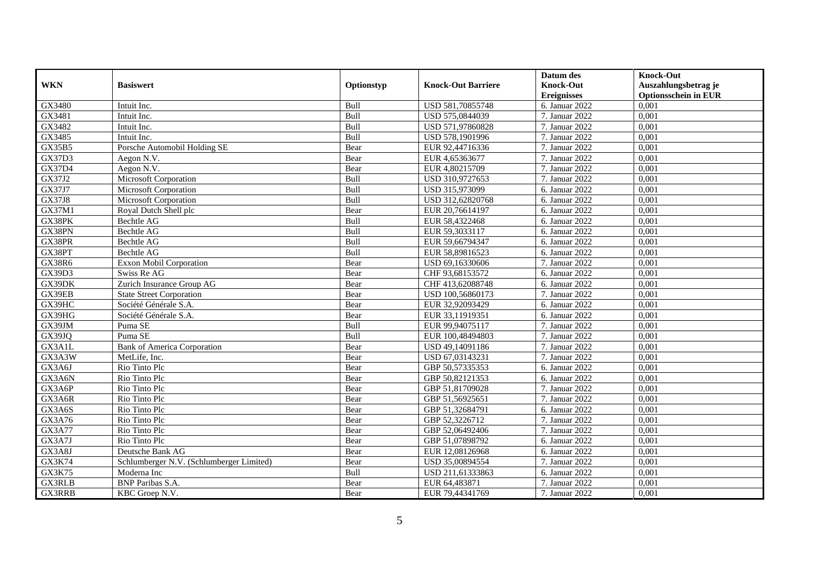|               |                                          |            |                           | Datum des          | <b>Knock-Out</b>            |
|---------------|------------------------------------------|------------|---------------------------|--------------------|-----------------------------|
| <b>WKN</b>    | <b>Basiswert</b>                         | Optionstyp | <b>Knock-Out Barriere</b> | <b>Knock-Out</b>   | Auszahlungsbetrag je        |
|               |                                          |            |                           | <b>Ereignisses</b> | <b>Optionsschein in EUR</b> |
| GX3480        | Intuit Inc.                              | Bull       | USD 581,70855748          | 6. Januar 2022     | 0,001                       |
| GX3481        | Intuit Inc.                              | Bull       | USD 575,0844039           | 7. Januar 2022     | 0,001                       |
| GX3482        | Intuit Inc.                              | Bull       | USD 571,97860828          | 7. Januar 2022     | 0,001                       |
| GX3485        | Intuit Inc.                              | Bull       | USD 578,1901996           | 7. Januar 2022     | 0,001                       |
| <b>GX35B5</b> | Porsche Automobil Holding SE             | Bear       | EUR 92,44716336           | 7. Januar 2022     | 0,001                       |
| GX37D3        | Aegon N.V.                               | Bear       | EUR 4,65363677            | 7. Januar 2022     | 0,001                       |
| GX37D4        | Aegon N.V.                               | Bear       | EUR 4,80215709            | 7. Januar 2022     | 0,001                       |
| GX37J2        | Microsoft Corporation                    | Bull       | USD 310,9727653           | 7. Januar 2022     | 0,001                       |
| GX37J7        | Microsoft Corporation                    | Bull       | USD 315,973099            | 6. Januar 2022     | 0,001                       |
| <b>GX37J8</b> | Microsoft Corporation                    | Bull       | USD 312,62820768          | 6. Januar 2022     | 0,001                       |
| GX37M1        | Royal Dutch Shell plc                    | Bear       | EUR 20,76614197           | 6. Januar $2022$   | 0,001                       |
| GX38PK        | Bechtle AG                               | Bull       | EUR 58,4322468            | 6. Januar 2022     | 0,001                       |
| GX38PN        | Bechtle AG                               | Bull       | EUR 59,3033117            | 6. Januar 2022     | 0,001                       |
| GX38PR        | Bechtle AG                               | Bull       | EUR 59,66794347           | 6. Januar 2022     | 0,001                       |
| GX38PT        | Bechtle AG                               | Bull       | EUR 58,89816523           | 6. Januar 2022     | 0,001                       |
| <b>GX38R6</b> | Exxon Mobil Corporation                  | Bear       | USD 69,16330606           | 7. Januar 2022     | 0,001                       |
| GX39D3        | Swiss Re AG                              | Bear       | CHF 93,68153572           | 6. Januar 2022     | 0,001                       |
| GX39DK        | Zurich Insurance Group AG                | Bear       | CHF 413,62088748          | 6. Januar 2022     | 0,001                       |
| GX39EB        | <b>State Street Corporation</b>          | Bear       | USD 100,56860173          | 7. Januar 2022     | 0,001                       |
| GX39HC        | Société Générale S.A.                    | Bear       | EUR 32,92093429           | 6. Januar 2022     | 0,001                       |
| GX39HG        | Société Générale S.A.                    | Bear       | EUR 33,11919351           | $6.$ Januar 2022   | 0,001                       |
| GX39JM        | Puma SE                                  | Bull       | EUR 99,94075117           | 7. Januar 2022     | 0,001                       |
| GX39JQ        | Puma SE                                  | Bull       | EUR 100,48494803          | 7. Januar 2022     | 0,001                       |
| GX3A1L        | <b>Bank of America Corporation</b>       | Bear       | USD 49,14091186           | 7. Januar 2022     | 0,001                       |
| GX3A3W        | MetLife, Inc.                            | Bear       | USD 67,03143231           | 7. Januar 2022     | 0,001                       |
| GX3A6J        | Rio Tinto Plc                            | Bear       | GBP 50,57335353           | 6. Januar 2022     | 0,001                       |
| GX3A6N        | Rio Tinto Plc                            | Bear       | GBP 50,82121353           | 6. Januar 2022     | 0,001                       |
| GX3A6P        | Rio Tinto Plc                            | Bear       | GBP 51,81709028           | 7. Januar 2022     | 0.001                       |
| GX3A6R        | Rio Tinto Plc                            | Bear       | GBP 51,56925651           | 7. Januar 2022     | 0,001                       |
| GX3A6S        | Rio Tinto Plc                            | Bear       | GBP 51,32684791           | 6. Januar 2022     | 0,001                       |
| GX3A76        | Rio Tinto Plc                            | Bear       | GBP 52,3226712            | 7. Januar 2022     | 0,001                       |
| <b>GX3A77</b> | Rio Tinto Plc                            | Bear       | GBP 52,06492406           | 7. Januar 2022     | 0.001                       |
| GX3A7J        | Rio Tinto Plc                            | Bear       | GBP 51,07898792           | 6. Januar 2022     | 0,001                       |
| GX3A8J        | Deutsche Bank AG                         | Bear       | EUR 12,08126968           | 6. Januar 2022     | 0,001                       |
| GX3K74        | Schlumberger N.V. (Schlumberger Limited) | Bear       | USD 35,00894554           | 7. Januar 2022     | 0,001                       |
| GX3K75        | Moderna Inc                              | Bull       | USD 211,61333863          | 6. Januar 2022     | 0,001                       |
| <b>GX3RLB</b> | <b>BNP</b> Paribas S.A.                  | Bear       | EUR 64,483871             | 7. Januar 2022     | 0,001                       |
| GX3RRB        | KBC Groep N.V.                           | Bear       | EUR 79,44341769           | 7. Januar 2022     | 0,001                       |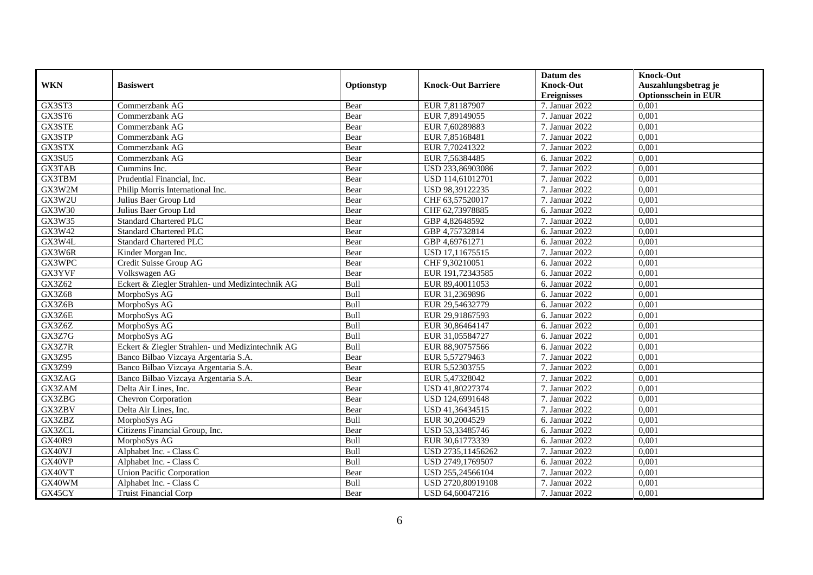|               |                                                  |            |                           | Datum des          | <b>Knock-Out</b>            |
|---------------|--------------------------------------------------|------------|---------------------------|--------------------|-----------------------------|
| <b>WKN</b>    | <b>Basiswert</b>                                 | Optionstyp | <b>Knock-Out Barriere</b> | <b>Knock-Out</b>   | Auszahlungsbetrag je        |
|               |                                                  |            |                           | <b>Ereignisses</b> | <b>Optionsschein in EUR</b> |
| GX3ST3        | Commerzbank AG                                   | Bear       | EUR 7,81187907            | 7. Januar 2022     | 0,001                       |
| GX3ST6        | Commerzbank AG                                   | Bear       | EUR 7,89149055            | 7. Januar 2022     | 0,001                       |
| GX3STE        | Commerzbank AG                                   | Bear       | EUR 7,60289883            | 7. Januar 2022     | 0,001                       |
| GX3STP        | Commerzbank AG                                   | Bear       | EUR 7,85168481            | 7. Januar 2022     | 0,001                       |
| GX3STX        | Commerzbank AG                                   | Bear       | EUR 7,70241322            | 7. Januar 2022     | 0,001                       |
| GX3SU5        | Commerzbank AG                                   | Bear       | EUR 7,56384485            | 6. Januar 2022     | 0,001                       |
| GX3TAB        | Cummins Inc.                                     | Bear       | USD 233,86903086          | 7. Januar 2022     | 0,001                       |
| GX3TBM        | Prudential Financial, Inc.                       | Bear       | USD 114,61012701          | 7. Januar 2022     | 0,001                       |
| GX3W2M        | Philip Morris International Inc.                 | Bear       | USD 98,39122235           | 7. Januar 2022     | 0,001                       |
| GX3W2U        | Julius Baer Group Ltd                            | Bear       | CHF 63,57520017           | 7. Januar 2022     | 0,001                       |
| GX3W30        | Julius Baer Group Ltd                            | Bear       | CHF 62,73978885           | 6. Januar 2022     | 0,001                       |
| GX3W35        | <b>Standard Chartered PLC</b>                    | Bear       | GBP 4,82648592            | 7. Januar 2022     | 0,001                       |
| GX3W42        | <b>Standard Chartered PLC</b>                    | Bear       | GBP 4,75732814            | 6. Januar 2022     | 0,001                       |
| GX3W4L        | <b>Standard Chartered PLC</b>                    | Bear       | GBP 4,69761271            | 6. Januar 2022     | 0,001                       |
| GX3W6R        | Kinder Morgan Inc.                               | Bear       | USD 17,11675515           | 7. Januar 2022     | 0,001                       |
| GX3WPC        | Credit Suisse Group AG                           | Bear       | CHF 9,30210051            | 6. Januar 2022     | 0,001                       |
| GX3YVF        | Volkswagen AG                                    | Bear       | EUR 191,72343585          | 6. Januar 2022     | 0,001                       |
| GX3Z62        | Eckert & Ziegler Strahlen- und Medizintechnik AG | Bull       | EUR 89,40011053           | 6. Januar 2022     | 0,001                       |
| <b>GX3Z68</b> | MorphoSys AG                                     | Bull       | EUR 31,2369896            | 6. Januar 2022     | 0,001                       |
| GX3Z6B        | MorphoSys AG                                     | Bull       | EUR 29,54632779           | 6. Januar 2022     | 0,001                       |
| GX3Z6E        | MorphoSys AG                                     | Bull       | EUR 29,91867593           | 6. Januar 2022     | 0,001                       |
| GX3Z6Z        | MorphoSys AG                                     | Bull       | EUR 30,86464147           | 6. Januar 2022     | 0,001                       |
| GX3Z7G        | MorphoSys AG                                     | Bull       | EUR 31,05584727           | 6. Januar 2022     | 0,001                       |
| GX3Z7R        | Eckert & Ziegler Strahlen- und Medizintechnik AG | Bull       | EUR 88,90757566           | 6. Januar 2022     | 0,001                       |
| GX3Z95        | Banco Bilbao Vizcaya Argentaria S.A.             | Bear       | EUR 5,57279463            | 7. Januar 2022     | 0,001                       |
| GX3Z99        | Banco Bilbao Vizcaya Argentaria S.A.             | Bear       | EUR 5,52303755            | 7. Januar 2022     | 0,001                       |
| GX3ZAG        | Banco Bilbao Vizcaya Argentaria S.A.             | Bear       | EUR 5,47328042            | 7. Januar 2022     | 0,001                       |
| GX3ZAM        | Delta Air Lines, Inc.                            | Bear       | USD 41,80227374           | 7. Januar 2022     | 0.001                       |
| GX3ZBG        | <b>Chevron Corporation</b>                       | Bear       | USD 124,6991648           | 7. Januar 2022     | 0,001                       |
| GX3ZBV        | Delta Air Lines, Inc.                            | Bear       | USD 41,36434515           | 7. Januar 2022     | 0,001                       |
| GX3ZBZ        | MorphoSys AG                                     | Bull       | EUR 30,2004529            | 6. Januar 2022     | 0,001                       |
| GX3ZCL        | Citizens Financial Group, Inc.                   | Bear       | USD 53,33485746           | 6. Januar 2022     | 0.001                       |
| <b>GX40R9</b> | MorphoSys AG                                     | Bull       | EUR 30,61773339           | 6. Januar 2022     | 0,001                       |
| GX40VJ        | Alphabet Inc. - Class C                          | Bull       | USD 2735,11456262         | 7. Januar 2022     | 0,001                       |
| GX40VP        | Alphabet Inc. - Class C                          | Bull       | USD 2749,1769507          | 6. Januar 2022     | 0,001                       |
| GX40VT        | <b>Union Pacific Corporation</b>                 | Bear       | USD 255,24566104          | 7. Januar 2022     | 0,001                       |
| GX40WM        | Alphabet Inc. - Class C                          | Bull       | USD 2720,80919108         | 7. Januar 2022     | 0,001                       |
| GX45CY        | Truist Financial Corp                            | Bear       | USD 64,60047216           | 7. Januar 2022     | 0,001                       |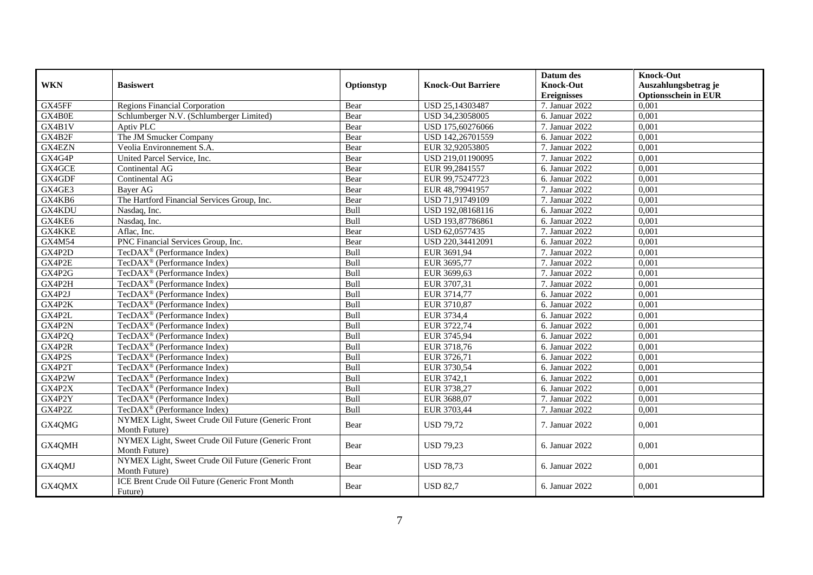|            |                                                                     |            |                           | Datum des          | <b>Knock-Out</b>            |
|------------|---------------------------------------------------------------------|------------|---------------------------|--------------------|-----------------------------|
| <b>WKN</b> | <b>Basiswert</b>                                                    | Optionstyp | <b>Knock-Out Barriere</b> | <b>Knock-Out</b>   | Auszahlungsbetrag je        |
|            |                                                                     |            |                           | <b>Ereignisses</b> | <b>Optionsschein in EUR</b> |
| GX45FF     | <b>Regions Financial Corporation</b>                                | Bear       | USD 25,14303487           | 7. Januar 2022     | 0,001                       |
| GX4B0E     | Schlumberger N.V. (Schlumberger Limited)                            | Bear       | USD 34,23058005           | 6. Januar 2022     | 0,001                       |
| GX4B1V     | Aptiv PLC                                                           | Bear       | USD 175,60276066          | 7. Januar 2022     | 0,001                       |
| GX4B2F     | The JM Smucker Company                                              | Bear       | USD 142,26701559          | 6. Januar 2022     | 0,001                       |
| GX4EZN     | Veolia Environnement S.A.                                           | Bear       | EUR 32,92053805           | 7. Januar 2022     | 0,001                       |
| GX4G4P     | United Parcel Service, Inc.                                         | Bear       | USD 219,01190095          | 7. Januar 2022     | 0,001                       |
| GX4GCE     | Continental AG                                                      | Bear       | EUR 99,2841557            | 6. Januar 2022     | 0,001                       |
| GX4GDF     | Continental AG                                                      | Bear       | EUR 99,75247723           | 6. Januar 2022     | 0,001                       |
| GX4GE3     | Bayer AG                                                            | Bear       | EUR 48,79941957           | 7. Januar 2022     | 0,001                       |
| GX4KB6     | The Hartford Financial Services Group, Inc.                         | Bear       | USD 71,91749109           | 7. Januar 2022     | 0,001                       |
| GX4KDU     | Nasdaq, Inc.                                                        | Bull       | USD 192,08168116          | 6. Januar 2022     | 0,001                       |
| GX4KE6     | Nasdaq, Inc.                                                        | Bull       | USD 193,87786861          | 6. Januar 2022     | 0,001                       |
| GX4KKE     | Aflac, Inc.                                                         | Bear       | USD 62,0577435            | 7. Januar 2022     | 0.001                       |
| GX4M54     | PNC Financial Services Group, Inc.                                  | Bear       | USD 220,34412091          | 6. Januar 2022     | 0,001                       |
| GX4P2D     | TecDAX <sup>®</sup> (Performance Index)                             | Bull       | EUR 3691,94               | 7. Januar 2022     | 0,001                       |
| GX4P2E     | TecDAX <sup>®</sup> (Performance Index)                             | Bull       | EUR 3695,77               | 7. Januar 2022     | 0,001                       |
| GX4P2G     | TecDAX <sup>®</sup> (Performance Index)                             | Bull       | EUR 3699,63               | 7. Januar 2022     | 0,001                       |
| GX4P2H     | TecDAX <sup>®</sup> (Performance Index)                             | Bull       | EUR 3707,31               | 7. Januar 2022     | 0,001                       |
| GX4P2J     | TecDAX <sup>®</sup> (Performance Index)                             | Bull       | EUR 3714,77               | 6. Januar 2022     | 0,001                       |
| GX4P2K     | TecDAX <sup>®</sup> (Performance Index)                             | Bull       | EUR 3710,87               | 6. Januar 2022     | 0,001                       |
| GX4P2L     | TecDAX <sup>®</sup> (Performance Index)                             | Bull       | EUR 3734,4                | 6. Januar 2022     | 0,001                       |
| GX4P2N     | TecDAX <sup>®</sup> (Performance Index)                             | Bull       | EUR 3722,74               | 6. Januar 2022     | 0,001                       |
| GX4P2Q     | TecDAX <sup>®</sup> (Performance Index)                             | Bull       | EUR 3745,94               | 6. Januar $2022$   | 0,001                       |
| GX4P2R     | TecDAX <sup>®</sup> (Performance Index)                             | Bull       | EUR 3718,76               | 6. Januar 2022     | 0,001                       |
| GX4P2S     | TecDAX <sup>®</sup> (Performance Index)                             | Bull       | EUR 3726,71               | 6. Januar 2022     | 0,001                       |
| GX4P2T     | TecDAX <sup>®</sup> (Performance Index)                             | Bull       | EUR 3730,54               | 6. Januar 2022     | 0,001                       |
| GX4P2W     | TecDAX <sup>®</sup> (Performance Index)                             | Bull       | EUR 3742,1                | 6. Januar 2022     | 0,001                       |
| GX4P2X     | TecDAX <sup>®</sup> (Performance Index)                             | Bull       | EUR 3738,27               | 6. Januar 2022     | 0,001                       |
| GX4P2Y     | TecDAX <sup>®</sup> (Performance Index)                             | Bull       | EUR 3688,07               | 7. Januar 2022     | 0,001                       |
| GX4P2Z     | $TecDAX^{\circledast}$ (Performance Index)                          | Bull       | EUR 3703,44               | 7. Januar 2022     | 0,001                       |
| GX4QMG     | NYMEX Light, Sweet Crude Oil Future (Generic Front                  | Bear       | <b>USD 79,72</b>          | 7. Januar 2022     | 0,001                       |
|            | Month Future)                                                       |            |                           |                    |                             |
| GX4QMH     | NYMEX Light, Sweet Crude Oil Future (Generic Front                  | Bear       | <b>USD 79,23</b>          | 6. Januar 2022     | 0,001                       |
|            | Month Future)                                                       |            |                           |                    |                             |
| GX4QMJ     | NYMEX Light, Sweet Crude Oil Future (Generic Front<br>Month Future) | Bear       | <b>USD 78.73</b>          | 6. Januar 2022     | 0,001                       |
| GX4QMX     | ICE Brent Crude Oil Future (Generic Front Month<br>Future)          | Bear       | <b>USD 82,7</b>           | 6. Januar 2022     | 0,001                       |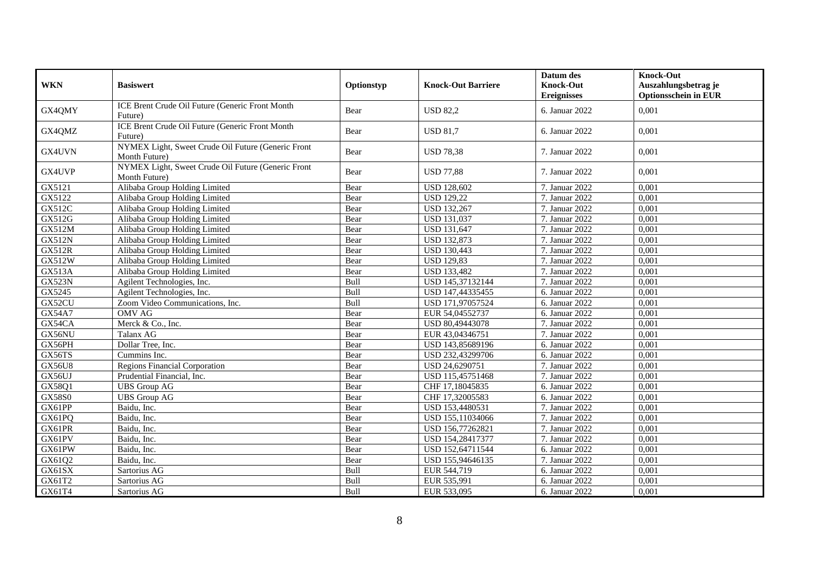| <b>WKN</b>    | <b>Basiswert</b>                                                    | Optionstyp | <b>Knock-Out Barriere</b> | Datum des<br><b>Knock-Out</b><br><b>Ereignisses</b> | <b>Knock-Out</b><br>Auszahlungsbetrag je<br><b>Optionsschein in EUR</b> |
|---------------|---------------------------------------------------------------------|------------|---------------------------|-----------------------------------------------------|-------------------------------------------------------------------------|
| GX4QMY        | <b>ICE Brent Crude Oil Future (Generic Front Month</b><br>Future)   | Bear       | <b>USD 82,2</b>           | 6. Januar 2022                                      | 0.001                                                                   |
| GX4QMZ        | ICE Brent Crude Oil Future (Generic Front Month<br>Future)          | Bear       | <b>USD 81,7</b>           | 6. Januar 2022                                      | 0.001                                                                   |
| GX4UVN        | NYMEX Light, Sweet Crude Oil Future (Generic Front<br>Month Future) | Bear       | <b>USD 78,38</b>          | 7. Januar 2022                                      | 0.001                                                                   |
| GX4UVP        | NYMEX Light, Sweet Crude Oil Future (Generic Front<br>Month Future) | Bear       | <b>USD 77,88</b>          | 7. Januar 2022                                      | 0,001                                                                   |
| GX5121        | Alibaba Group Holding Limited                                       | Bear       | <b>USD 128,602</b>        | 7. Januar 2022                                      | 0.001                                                                   |
| GX5122        | Alibaba Group Holding Limited                                       | Bear       | <b>USD 129,22</b>         | 7. Januar 2022                                      | 0,001                                                                   |
| GX512C        | Alibaba Group Holding Limited                                       | Bear       | <b>USD 132,267</b>        | 7. Januar 2022                                      | 0,001                                                                   |
| GX512G        | Alibaba Group Holding Limited                                       | Bear       | <b>USD 131,037</b>        | 7. Januar 2022                                      | 0,001                                                                   |
| GX512M        | Alibaba Group Holding Limited                                       | Bear       | <b>USD 131,647</b>        | 7. Januar 2022                                      | 0,001                                                                   |
| <b>GX512N</b> | Alibaba Group Holding Limited                                       | Bear       | <b>USD 132,873</b>        | 7. Januar 2022                                      | 0.001                                                                   |
| <b>GX512R</b> | Alibaba Group Holding Limited                                       | Bear       | <b>USD 130,443</b>        | 7. Januar 2022                                      | 0,001                                                                   |
| GX512W        | Alibaba Group Holding Limited                                       | Bear       | <b>USD 129,83</b>         | 7. Januar 2022                                      | 0,001                                                                   |
| <b>GX513A</b> | Alibaba Group Holding Limited                                       | Bear       | <b>USD 133,482</b>        | 7. Januar 2022                                      | 0,001                                                                   |
| <b>GX523N</b> | Agilent Technologies, Inc.                                          | Bull       | USD 145,37132144          | 7. Januar 2022                                      | 0,001                                                                   |
| GX5245        | Agilent Technologies, Inc.                                          | Bull       | USD 147,44335455          | 6. Januar 2022                                      | 0,001                                                                   |
| GX52CU        | Zoom Video Communications, Inc.                                     | Bull       | USD 171,97057524          | 6. Januar 2022                                      | 0.001                                                                   |
| GX54A7        | <b>OMV AG</b>                                                       | Bear       | EUR 54,04552737           | 6. Januar 2022                                      | 0,001                                                                   |
| GX54CA        | Merck & Co., Inc.                                                   | Bear       | USD 80,49443078           | 7. Januar 2022                                      | 0,001                                                                   |
| GX56NU        | Talanx AG                                                           | Bear       | EUR 43,04346751           | 7. Januar 2022                                      | 0,001                                                                   |
| GX56PH        | Dollar Tree, Inc.                                                   | Bear       | USD 143,85689196          | 6. Januar 2022                                      | 0.001                                                                   |
| GX56TS        | Cummins Inc.                                                        | Bear       | USD 232,43299706          | 6. Januar 2022                                      | 0,001                                                                   |
| <b>GX56U8</b> | <b>Regions Financial Corporation</b>                                | Bear       | USD 24,6290751            | 7. Januar 2022                                      | 0,001                                                                   |
| GX56UJ        | Prudential Financial, Inc.                                          | Bear       | USD 115,45751468          | 7. Januar 2022                                      | 0,001                                                                   |
| GX58Q1        | <b>UBS</b> Group AG                                                 | Bear       | CHF 17,18045835           | 6. Januar 2022                                      | 0,001                                                                   |
| <b>GX58S0</b> | <b>UBS</b> Group AG                                                 | Bear       | CHF 17,32005583           | 6. Januar 2022                                      | 0,001                                                                   |
| GX61PP        | Baidu, Inc.                                                         | Bear       | USD 153,4480531           | 7. Januar 2022                                      | 0,001                                                                   |
| GX61PQ        | Baidu. Inc.                                                         | Bear       | USD 155,11034066          | 7. Januar 2022                                      | 0.001                                                                   |
| GX61PR        | Baidu, Inc.                                                         | Bear       | USD 156,77262821          | 7. Januar 2022                                      | 0,001                                                                   |
| GX61PV        | Baidu, Inc.                                                         | Bear       | USD 154,28417377          | 7. Januar 2022                                      | 0,001                                                                   |
| GX61PW        | Baidu, Inc.                                                         | Bear       | USD 152,64711544          | 6. Januar 2022                                      | 0,001                                                                   |
| GX61Q2        | Baidu. Inc.                                                         | Bear       | USD 155,94646135          | 7. Januar 2022                                      | 0,001                                                                   |
| GX61SX        | Sartorius AG                                                        | Bull       | EUR 544,719               | 6. Januar 2022                                      | 0,001                                                                   |
| GX61T2        | Sartorius AG                                                        | Bull       | EUR 535,991               | 6. Januar 2022                                      | 0,001                                                                   |
| GX61T4        | Sartorius AG                                                        | Bull       | EUR 533,095               | 6. Januar 2022                                      | 0,001                                                                   |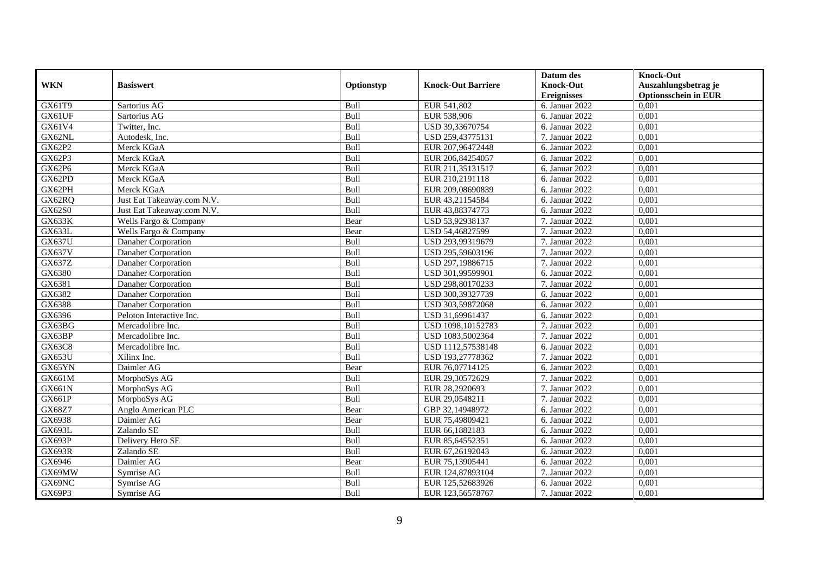|               |                            |             |                           | Datum des          | <b>Knock-Out</b>            |
|---------------|----------------------------|-------------|---------------------------|--------------------|-----------------------------|
| <b>WKN</b>    | <b>Basiswert</b>           | Optionstyp  | <b>Knock-Out Barriere</b> | <b>Knock-Out</b>   | Auszahlungsbetrag je        |
|               |                            |             |                           | <b>Ereignisses</b> | <b>Optionsschein in EUR</b> |
| GX61T9        | Sartorius AG               | Bull        | EUR 541,802               | 6. Januar 2022     | 0,001                       |
| GX61UF        | Sartorius AG               | Bull        | EUR 538,906               | 6. Januar 2022     | 0,001                       |
| GX61V4        | Twitter, Inc.              | Bull        | USD 39,33670754           | 6. Januar 2022     | 0,001                       |
| GX62NL        | Autodesk, Inc.             | Bull        | USD 259,43775131          | 7. Januar 2022     | 0,001                       |
| GX62P2        | Merck KGaA                 | Bull        | EUR 207,96472448          | 6. Januar 2022     | 0,001                       |
| GX62P3        | Merck KGaA                 | Bull        | EUR 206,84254057          | 6. Januar 2022     | 0,001                       |
| GX62P6        | Merck KGaA                 | Bull        | EUR 211,35131517          | 6. Januar 2022     | 0,001                       |
| GX62PD        | Merck KGaA                 | Bull        | EUR 210,2191118           | 6. Januar 2022     | 0,001                       |
| GX62PH        | Merck KGaA                 | Bull        | EUR 209,08690839          | 6. Januar 2022     | 0,001                       |
| GX62RQ        | Just Eat Takeaway.com N.V. | Bull        | EUR 43,21154584           | 6. Januar 2022     | 0.001                       |
| <b>GX62S0</b> | Just Eat Takeaway.com N.V. | Bull        | EUR 43,88374773           | 6. Januar 2022     | 0,001                       |
| <b>GX633K</b> | Wells Fargo & Company      | Bear        | USD 53,92938137           | 7. Januar 2022     | 0,001                       |
| GX633L        | Wells Fargo & Company      | Bear        | USD 54,46827599           | 7. Januar 2022     | 0,001                       |
| <b>GX637U</b> | Danaher Corporation        | Bull        | USD 293,99319679          | 7. Januar 2022     | 0.001                       |
| GX637V        | Danaher Corporation        | Bull        | USD 295,59603196          | 7. Januar 2022     | 0,001                       |
| GX637Z        | Danaher Corporation        | Bull        | USD 297,19886715          | 7. Januar 2022     | 0,001                       |
| GX6380        | Danaher Corporation        | Bull        | USD 301,99599901          | 6. Januar 2022     | 0,001                       |
| GX6381        | Danaher Corporation        | Bull        | USD 298,80170233          | 7. Januar 2022     | 0,001                       |
| GX6382        | Danaher Corporation        | Bull        | USD 300,39327739          | 6. Januar 2022     | 0,001                       |
| GX6388        | Danaher Corporation        | Bull        | USD 303,59872068          | 6. Januar 2022     | 0,001                       |
| GX6396        | Peloton Interactive Inc.   | Bull        | USD 31,69961437           | 6. Januar 2022     | 0,001                       |
| GX63BG        | Mercadolibre Inc.          | <b>Bull</b> | USD 1098,10152783         | 7. Januar 2022     | 0,001                       |
| GX63BP        | Mercadolibre Inc.          | Bull        | USD 1083,5002364          | 7. Januar 2022     | 0,001                       |
| GX63C8        | Mercadolibre Inc.          | Bull        | USD 1112,57538148         | 6. Januar 2022     | 0,001                       |
| GX653U        | Xilinx Inc.                | Bull        | USD 193,27778362          | 7. Januar 2022     | 0,001                       |
| GX65YN        | Daimler AG                 | Bear        | EUR 76,07714125           | 6. Januar 2022     | 0,001                       |
| GX661M        | MorphoSys AG               | Bull        | EUR 29,30572629           | 7. Januar 2022     | 0,001                       |
| GX661N        | MorphoSys AG               | Bull        | EUR 28,2920693            | 7. Januar 2022     | 0,001                       |
| GX661P        | MorphoSys AG               | Bull        | EUR 29,0548211            | 7. Januar 2022     | 0,001                       |
| GX68Z7        | Anglo American PLC         | Bear        | GBP 32,14948972           | 6. Januar 2022     | 0,001                       |
| GX6938        | Daimler AG                 | Bear        | EUR 75,49809421           | 6. Januar 2022     | 0,001                       |
| GX693L        | Zalando SE                 | Bull        | EUR 66,1882183            | 6. Januar 2022     | 0,001                       |
| <b>GX693P</b> | Delivery Hero SE           | Bull        | EUR 85,64552351           | 6. Januar 2022     | 0,001                       |
| <b>GX693R</b> | Zalando SE                 | Bull        | EUR 67,26192043           | 6. Januar 2022     | 0,001                       |
| GX6946        | Daimler AG                 | Bear        | EUR 75,13905441           | 6. Januar 2022     | 0,001                       |
| GX69MW        | Symrise AG                 | Bull        | EUR 124,87893104          | 7. Januar 2022     | 0,001                       |
| GX69NC        | Symrise AG                 | Bull        | EUR 125,52683926          | 6. Januar 2022     | 0,001                       |
| GX69P3        | Symrise AG                 | Bull        | EUR 123,56578767          | 7. Januar 2022     | 0,001                       |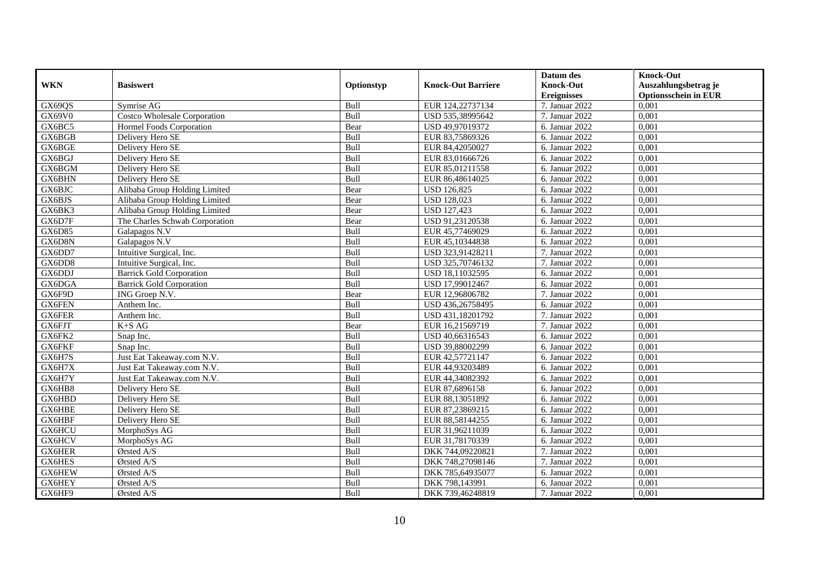|               |                                        |            |                           | Datum des          | <b>Knock-Out</b>            |
|---------------|----------------------------------------|------------|---------------------------|--------------------|-----------------------------|
| <b>WKN</b>    | <b>Basiswert</b>                       | Optionstyp | <b>Knock-Out Barriere</b> | <b>Knock-Out</b>   | Auszahlungsbetrag je        |
|               |                                        |            |                           | <b>Ereignisses</b> | <b>Optionsschein in EUR</b> |
| GX69QS        | Symrise AG                             | Bull       | EUR 124,22737134          | 7. Januar 2022     | 0,001                       |
| <b>GX69V0</b> | Costco Wholesale Corporation           | Bull       | USD 535,38995642          | 7. Januar 2022     | 0,001                       |
| GX6BC5        | Hormel Foods Corporation               | Bear       | USD 49,97019372           | 6. Januar 2022     | 0,001                       |
| GX6BGB        | Delivery Hero SE                       | Bull       | EUR 83,75869326           | 6. Januar 2022     | 0,001                       |
| GX6BGE        | Delivery Hero SE                       | Bull       | EUR 84,42050027           | 6. Januar 2022     | 0,001                       |
| GX6BGJ        | Delivery Hero SE                       | Bull       | EUR 83,01666726           | 6. Januar 2022     | 0,001                       |
| GX6BGM        | Delivery Hero SE                       | Bull       | EUR 85,01211558           | 6. Januar 2022     | 0,001                       |
| GX6BHN        | Delivery Hero SE                       | Bull       | EUR 86,48614025           | 6. Januar 2022     | 0,001                       |
| GX6BJC        | Alibaba Group Holding Limited          | Bear       | <b>USD 126,825</b>        | 6. Januar 2022     | 0,001                       |
| GX6BJS        | Alibaba Group Holding Limited          | Bear       | <b>USD 128,023</b>        | 6. Januar 2022     | 0,001                       |
| GX6BK3        | Alibaba Group Holding Limited          | Bear       | <b>USD 127,423</b>        | 6. Januar 2022     | 0,001                       |
| GX6D7F        | The Charles Schwab Corporation         | Bear       | USD 91,23120538           | 6. Januar 2022     | 0,001                       |
| GX6D85        | Galapagos N.V                          | Bull       | EUR 45,77469029           | 6. Januar 2022     | 0,001                       |
| GX6D8N        | Galapagos N.V                          | Bull       | EUR 45,10344838           | 6. Januar 2022     | 0,001                       |
| GX6DD7        | Intuitive Surgical, Inc.               | Bull       | USD 323,91428211          | 7. Januar 2022     | 0,001                       |
| GX6DD8        | Intuitive Surgical, Inc.               | Bull       | USD 325,70746132          | 7. Januar 2022     | 0,001                       |
| GX6DDJ        | <b>Barrick Gold Corporation</b>        | Bull       | USD 18,11032595           | 6. Januar 2022     | 0,001                       |
| GX6DGA        | <b>Barrick Gold Corporation</b>        | Bull       | USD 17,99012467           | 6. Januar 2022     | 0,001                       |
| GX6F9D        | ING Groep N.V.                         | Bear       | EUR 12,96806782           | 7. Januar 2022     | 0,001                       |
| GX6FEN        | Anthem Inc.                            | Bull       | USD 436,26758495          | 6. Januar 2022     | 0,001                       |
| GX6FER        | Anthem Inc.                            | Bull       | USD 431,18201792          | 7. Januar 2022     | 0,001                       |
| GX6FJT        | $K+SAG$                                | Bear       | EUR 16,21569719           | 7. Januar 2022     | 0,001                       |
| GX6FK2        | Snap Inc.                              | Bull       | USD 40,66316543           | 6. Januar 2022     | 0,001                       |
| GX6FKF        | Snap Inc.                              | Bull       | USD 39,88002299           | 6. Januar 2022     | 0,001                       |
| GX6H7S        | Just Eat Takeaway.com N.V.             | Bull       | EUR 42,57721147           | 6. Januar 2022     | 0.001                       |
| GX6H7X        | Just Eat Takeaway.com N.V.             | Bull       | EUR 44,93203489           | 6. Januar 2022     | 0,001                       |
| GX6H7Y        | Just Eat Takeaway.com N.V.             | Bull       | EUR 44,34082392           | 6. Januar 2022     | 0,001                       |
| GX6HB8        | Delivery Hero SE                       | Bull       | EUR 87,6896158            | 6. Januar 2022     | 0,001                       |
| GX6HBD        | Delivery Hero SE                       | Bull       | EUR 88,13051892           | 6. Januar 2022     | 0,001                       |
| GX6HBE        | Delivery Hero SE                       | Bull       | EUR 87,23869215           | 6. Januar 2022     | 0,001                       |
| GX6HBF        | Delivery Hero SE                       | Bull       | EUR 88,58144255           | 6. Januar 2022     | 0,001                       |
| GX6HCU        | MorphoSys AG                           | Bull       | EUR 31,96211039           | 6. Januar 2022     | 0,001                       |
| GX6HCV        | MorphoSys AG                           | Bull       | EUR 31,78170339           | 6. Januar 2022     | 0,001                       |
| GX6HER        | $\overline{\textcircled{O}}$ rsted A/S | Bull       | DKK 744,09220821          | 7. Januar 2022     | 0,001                       |
| GX6HES        | Ørsted A/S                             | Bull       | DKK 748,27098146          | 7. Januar 2022     | 0,001                       |
| GX6HEW        | Ørsted A/S                             | Bull       | DKK 785,64935077          | 6. Januar 2022     | 0,001                       |
| GX6HEY        | Ørsted A/S                             | Bull       | DKK 798,143991            | 6. Januar 2022     | 0,001                       |
| GX6HF9        | Ørsted A/S                             | Bull       | DKK 739,46248819          | 7. Januar 2022     | 0,001                       |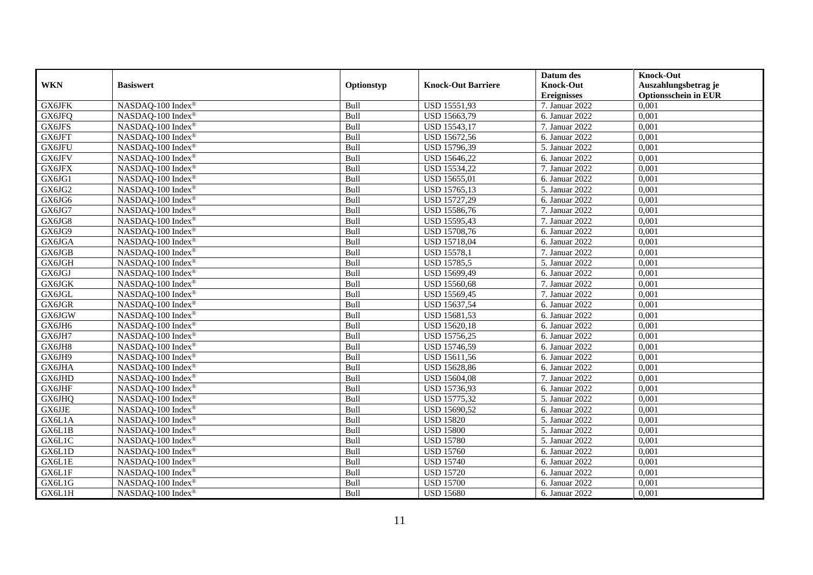|            |                               |            |                           | Datum des          | <b>Knock-Out</b>            |
|------------|-------------------------------|------------|---------------------------|--------------------|-----------------------------|
| <b>WKN</b> | <b>Basiswert</b>              | Optionstyp | <b>Knock-Out Barriere</b> | <b>Knock-Out</b>   | Auszahlungsbetrag je        |
|            |                               |            |                           | <b>Ereignisses</b> | <b>Optionsschein in EUR</b> |
| GX6JFK     | NASDAQ-100 Index®             | Bull       | <b>USD 15551,93</b>       | 7. Januar 2022     | 0,001                       |
| GX6JFQ     | NASDAQ-100 Index®             | Bull       | USD 15663,79              | 6. Januar 2022     | 0,001                       |
| GX6JFS     | NASDAQ-100 Index®             | Bull       | USD 15543,17              | 7. Januar 2022     | 0,001                       |
| GX6JFT     | NASDAQ-100 Index®             | Bull       | USD 15672,56              | 6. Januar 2022     | 0,001                       |
| GX6JFU     | NASDAQ-100 Index®             | Bull       | USD 15796,39              | 5. Januar 2022     | 0,001                       |
| GX6JFV     | NASDAQ-100 Index®             | Bull       | USD 15646,22              | 6. Januar 2022     | 0,001                       |
| GX6JFX     | NASDAQ-100 Index®             | Bull       | USD 15534,22              | 7. Januar 2022     | 0,001                       |
| GX6JG1     | NASDAQ-100 Index®             | Bull       | USD 15655,01              | 6. Januar 2022     | 0,001                       |
| GX6JG2     | NASDAQ-100 Index®             | Bull       | USD 15765,13              | 5. Januar 2022     | 0,001                       |
| GX6JG6     | NASDAQ-100 Index®             | Bull       | USD 15727,29              | 6. Januar 2022     | 0,001                       |
| GX6JG7     | NASDAQ-100 Index®             | Bull       | USD 15586,76              | 7. Januar 2022     | 0,001                       |
| GX6JG8     | NASDAQ-100 Index®             | Bull       | USD 15595,43              | 7. Januar 2022     | 0,001                       |
| GX6JG9     | NASDAQ-100 Index®             | Bull       | <b>USD 15708,76</b>       | 6. Januar 2022     | 0,001                       |
| GX6JGA     | NASDAO-100 Index <sup>®</sup> | Bull       | <b>USD 15718,04</b>       | 6. Januar 2022     | 0,001                       |
| GX6JGB     | NASDAQ-100 Index®             | Bull       | <b>USD 15578,1</b>        | 7. Januar 2022     | 0,001                       |
| GX6JGH     | NASDAQ-100 Index®             | Bull       | <b>USD 15785,5</b>        | 5. Januar 2022     | 0,001                       |
| GX6JGJ     | NASDAQ-100 Index®             | Bull       | USD 15699,49              | 6. Januar 2022     | 0,001                       |
| GX6JGK     | NASDAQ-100 Index®             | Bull       | <b>USD 15560,68</b>       | 7. Januar 2022     | 0,001                       |
| GX6JGL     | NASDAQ-100 Index®             | Bull       | USD 15569,45              | 7. Januar 2022     | 0,001                       |
| GX6JGR     | NASDAQ-100 Index®             | Bull       | USD 15637,54              | 6. Januar 2022     | 0,001                       |
| GX6JGW     | NASDAQ-100 Index®             | Bull       | USD 15681,53              | 6. Januar 2022     | 0,001                       |
| GX6JH6     | NASDAQ-100 Index®             | Bull       | <b>USD 15620,18</b>       | 6. Januar 2022     | 0,001                       |
| GX6JH7     | NASDAQ-100 Index®             | Bull       | <b>USD 15756,25</b>       | 6. Januar 2022     | 0,001                       |
| GX6JH8     | NASDAQ-100 Index®             | Bull       | USD 15746,59              | 6. Januar 2022     | 0,001                       |
| GX6JH9     | NASDAQ-100 Index®             | Bull       | USD 15611,56              | 6. Januar 2022     | 0,001                       |
| GX6JHA     | NASDAQ-100 Index®             | Bull       | USD 15628,86              | 6. Januar 2022     | 0,001                       |
| GX6JHD     | NASDAQ-100 Index®             | Bull       | <b>USD 15604,08</b>       | 7. Januar 2022     | 0,001                       |
| GX6JHF     | NASDAQ-100 Index®             | Bull       | USD 15736,93              | 6. Januar 2022     | 0,001                       |
| GX6JHQ     | NASDAQ-100 Index®             | Bull       | USD 15775,32              | 5. Januar 2022     | 0,001                       |
| GX6JJE     | NASDAQ-100 Index®             | Bull       | USD 15690,52              | 6. Januar 2022     | 0,001                       |
| GX6L1A     | NASDAQ-100 Index®             | Bull       | <b>USD 15820</b>          | 5. Januar 2022     | 0,001                       |
| GX6L1B     | NASDAQ-100 Index®             | Bull       | <b>USD 15800</b>          | 5. Januar 2022     | 0,001                       |
| GX6L1C     | NASDAQ-100 Index®             | Bull       | <b>USD 15780</b>          | 5. Januar 2022     | 0,001                       |
| GX6L1D     | NASDAQ-100 Index®             | Bull       | <b>USD 15760</b>          | 6. Januar 2022     | 0,001                       |
| GX6L1E     | NASDAQ-100 Index®             | Bull       | <b>USD 15740</b>          | 6. Januar 2022     | 0,001                       |
| GX6L1F     | NASDAQ-100 Index®             | Bull       | <b>USD 15720</b>          | 6. Januar 2022     | 0,001                       |
| GX6L1G     | NASDAQ-100 Index <sup>®</sup> | Bull       | <b>USD 15700</b>          | 6. Januar 2022     | 0,001                       |
| GX6L1H     | NASDAQ-100 Index®             | Bull       | <b>USD 15680</b>          | 6. Januar 2022     | 0,001                       |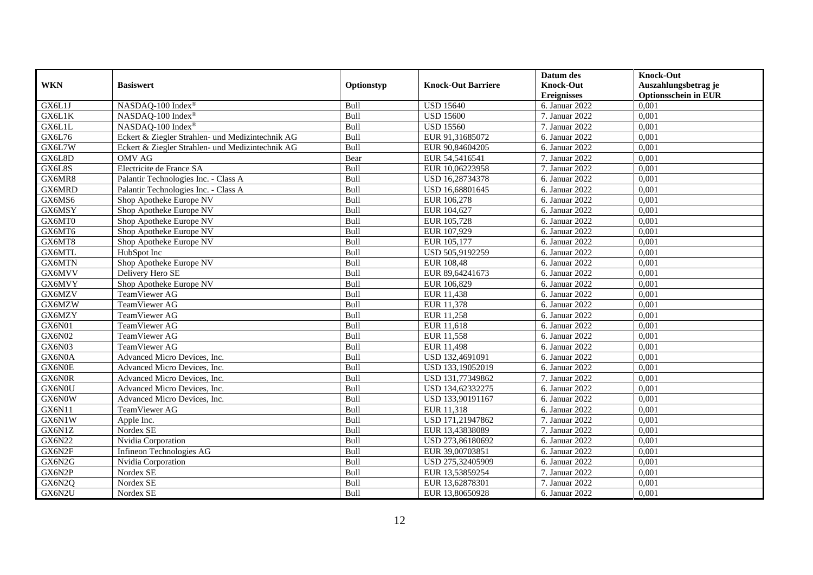|               |                                                  |            |                           | Datum des          | <b>Knock-Out</b>            |
|---------------|--------------------------------------------------|------------|---------------------------|--------------------|-----------------------------|
| <b>WKN</b>    | <b>Basiswert</b>                                 | Optionstyp | <b>Knock-Out Barriere</b> | <b>Knock-Out</b>   | Auszahlungsbetrag je        |
|               |                                                  |            |                           | <b>Ereignisses</b> | <b>Optionsschein in EUR</b> |
| GX6L1J        | NASDAQ-100 Index®                                | Bull       | <b>USD 15640</b>          | 6. Januar 2022     | 0,001                       |
| GX6L1K        | NASDAQ-100 Index®                                | Bull       | <b>USD 15600</b>          | 7. Januar 2022     | 0,001                       |
| GX6L1L        | NASDAQ-100 Index®                                | Bull       | <b>USD 15560</b>          | 7. Januar 2022     | 0,001                       |
| GX6L76        | Eckert & Ziegler Strahlen- und Medizintechnik AG | Bull       | EUR 91,31685072           | 6. Januar 2022     | 0,001                       |
| GX6L7W        | Eckert & Ziegler Strahlen- und Medizintechnik AG | Bull       | EUR 90,84604205           | 6. Januar 2022     | 0,001                       |
| GX6L8D        | <b>OMV AG</b>                                    | Bear       | EUR 54,5416541            | 7. Januar 2022     | 0,001                       |
| GX6L8S        | Electricite de France SA                         | Bull       | EUR 10,06223958           | 7. Januar 2022     | 0,001                       |
| GX6MR8        | Palantir Technologies Inc. - Class A             | Bull       | USD 16,28734378           | 6. Januar 2022     | 0,001                       |
| GX6MRD        | Palantir Technologies Inc. - Class A             | Bull       | USD 16,68801645           | 6. Januar 2022     | 0,001                       |
| GX6MS6        | Shop Apotheke Europe NV                          | Bull       | EUR 106,278               | 6. Januar 2022     | 0.001                       |
| GX6MSY        | Shop Apotheke Europe NV                          | Bull       | EUR 104,627               | 6. Januar 2022     | 0,001                       |
| GX6MT0        | Shop Apotheke Europe NV                          | Bull       | EUR 105,728               | 6. Januar 2022     | 0,001                       |
| GX6MT6        | Shop Apotheke Europe NV                          | Bull       | EUR 107,929               | 6. Januar 2022     | 0,001                       |
| GX6MT8        | Shop Apotheke Europe NV                          | Bull       | EUR 105.177               | 6. Januar 2022     | 0.001                       |
| GX6MTL        | HubSpot Inc                                      | Bull       | USD 505,9192259           | 6. Januar 2022     | 0,001                       |
| GX6MTN        | Shop Apotheke Europe NV                          | Bull       | EUR 108,48                | 6. Januar 2022     | 0,001                       |
| GX6MVV        | Delivery Hero SE                                 | Bull       | EUR 89,64241673           | 6. Januar 2022     | 0,001                       |
| GX6MVY        | Shop Apotheke Europe NV                          | Bull       | EUR 106,829               | 6. Januar 2022     | 0,001                       |
| GX6MZV        | <b>TeamViewer AG</b>                             | Bull       | EUR 11,438                | 6. Januar $2022$   | 0,001                       |
| GX6MZW        | TeamViewer AG                                    | Bull       | EUR 11,378                | 6. Januar 2022     | 0,001                       |
| GX6MZY        | TeamViewer AG                                    | Bull       | EUR 11,258                | 6. Januar 2022     | 0,001                       |
| <b>GX6N01</b> | <b>TeamViewer AG</b>                             | Bull       | EUR 11.618                | 6. Januar 2022     | 0,001                       |
| GX6N02        | TeamViewer AG                                    | Bull       | EUR 11,558                | 6. Januar 2022     | 0,001                       |
| GX6N03        | TeamViewer AG                                    | Bull       | EUR 11,498                | 6. Januar 2022     | 0,001                       |
| GX6N0A        | Advanced Micro Devices, Inc.                     | Bull       | USD 132,4691091           | 6. Januar 2022     | 0,001                       |
| GX6N0E        | Advanced Micro Devices, Inc.                     | Bull       | USD 133,19052019          | 6. Januar 2022     | 0,001                       |
| GX6N0R        | Advanced Micro Devices, Inc.                     | Bull       | USD 131,77349862          | 7. Januar 2022     | 0,001                       |
| GX6N0U        | Advanced Micro Devices, Inc.                     | Bull       | USD 134,62332275          | 6. Januar 2022     | 0,001                       |
| GX6N0W        | Advanced Micro Devices, Inc.                     | Bull       | USD 133,90191167          | 6. Januar 2022     | 0,001                       |
| GX6N11        | TeamViewer AG                                    | Bull       | EUR 11,318                | 6. Januar 2022     | 0,001                       |
| GX6N1W        | Apple Inc.                                       | Bull       | USD 171,21947862          | 7. Januar 2022     | 0,001                       |
| GX6N1Z        | Nordex SE                                        | Bull       | EUR 13,43838089           | 7. Januar 2022     | 0,001                       |
| <b>GX6N22</b> | Nvidia Corporation                               | Bull       | USD 273,86180692          | 6. Januar 2022     | 0,001                       |
| GX6N2F        | Infineon Technologies AG                         | Bull       | EUR 39,00703851           | 6. Januar 2022     | 0,001                       |
| GX6N2G        | Nvidia Corporation                               | Bull       | USD 275,32405909          | 6. Januar 2022     | 0,001                       |
| GX6N2P        | Nordex SE                                        | Bull       | EUR 13,53859254           | 7. Januar 2022     | 0,001                       |
| GX6N2Q        | Nordex SE                                        | Bull       | EUR 13,62878301           | 7. Januar 2022     | 0,001                       |
| GX6N2U        | Nordex SE                                        | Bull       | EUR 13,80650928           | 6. Januar 2022     | 0,001                       |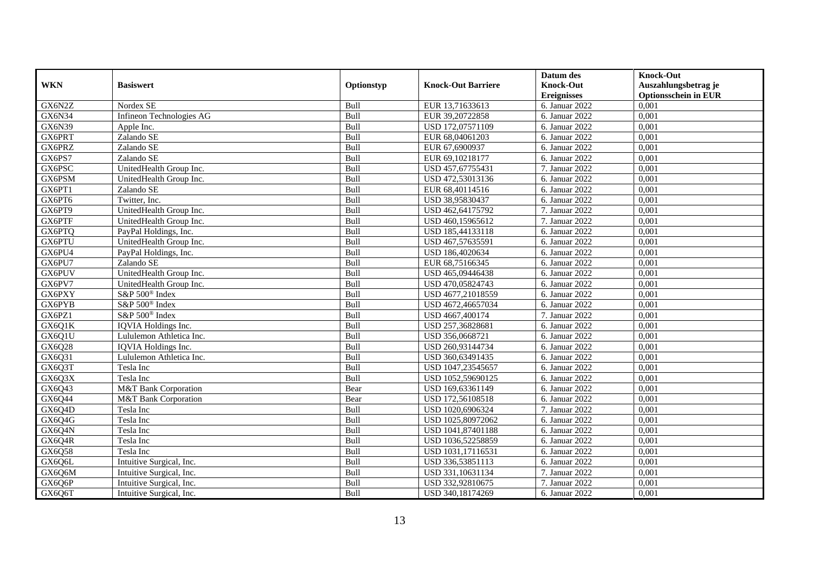|            |                            |            |                           | Datum des          | <b>Knock-Out</b>            |
|------------|----------------------------|------------|---------------------------|--------------------|-----------------------------|
| <b>WKN</b> | <b>Basiswert</b>           | Optionstyp | <b>Knock-Out Barriere</b> | <b>Knock-Out</b>   | Auszahlungsbetrag je        |
|            |                            |            |                           | <b>Ereignisses</b> | <b>Optionsschein in EUR</b> |
| GX6N2Z     | Nordex SE                  | Bull       | EUR 13,71633613           | 6. Januar 2022     | 0,001                       |
| GX6N34     | Infineon Technologies AG   | Bull       | EUR 39,20722858           | 6. Januar 2022     | 0,001                       |
| GX6N39     | Apple Inc.                 | Bull       | USD 172,07571109          | 6. Januar 2022     | 0,001                       |
| GX6PRT     | Zalando SE                 | Bull       | EUR 68,04061203           | 6. Januar 2022     | 0,001                       |
| GX6PRZ     | Zalando SE                 | Bull       | EUR 67,6900937            | 6. Januar 2022     | 0,001                       |
| GX6PS7     | Zalando SE                 | Bull       | EUR 69,10218177           | 6. Januar 2022     | 0,001                       |
| GX6PSC     | UnitedHealth Group Inc.    | Bull       | USD 457,67755431          | 7. Januar 2022     | 0,001                       |
| GX6PSM     | UnitedHealth Group Inc.    | Bull       | USD 472,53013136          | 6. Januar 2022     | 0,001                       |
| GX6PT1     | Zalando SE                 | Bull       | EUR 68,40114516           | 6. Januar 2022     | 0,001                       |
| GX6PT6     | Twitter, Inc.              | Bull       | USD 38,95830437           | 6. Januar 2022     | 0,001                       |
| GX6PT9     | UnitedHealth Group Inc.    | Bull       | USD 462,64175792          | 7. Januar 2022     | 0,001                       |
| GX6PTF     | UnitedHealth Group Inc.    | Bull       | USD 460,15965612          | 7. Januar 2022     | 0,001                       |
| GX6PTQ     | PayPal Holdings, Inc.      | Bull       | USD 185,44133118          | 6. Januar 2022     | 0,001                       |
| GX6PTU     | UnitedHealth Group Inc.    | Bull       | USD 467,57635591          | 6. Januar 2022     | 0,001                       |
| GX6PU4     | PayPal Holdings, Inc.      | Bull       | USD 186,4020634           | 6. Januar 2022     | 0,001                       |
| GX6PU7     | Zalando SE                 | Bull       | EUR 68,75166345           | 6. Januar 2022     | 0,001                       |
| GX6PUV     | UnitedHealth Group Inc.    | Bull       | USD 465,09446438          | 6. Januar 2022     | 0,001                       |
| GX6PV7     | UnitedHealth Group Inc.    | Bull       | USD 470,05824743          | 6. Januar 2022     | 0.001                       |
| GX6PXY     | S&P 500 <sup>®</sup> Index | Bull       | USD 4677,21018559         | 6. Januar 2022     | 0,001                       |
| GX6PYB     | S&P 500 <sup>®</sup> Index | Bull       | USD 4672,46657034         | 6. Januar 2022     | 0,001                       |
| GX6PZ1     | S&P 500 <sup>®</sup> Index | Bull       | USD 4667,400174           | 7. Januar 2022     | 0,001                       |
| GX6Q1K     | <b>IQVIA</b> Holdings Inc. | Bull       | USD 257,36828681          | 6. Januar 2022     | 0,001                       |
| GX6Q1U     | Lululemon Athletica Inc.   | Bull       | USD 356,0668721           | 6. Januar 2022     | 0,001                       |
| GX6Q28     | IQVIA Holdings Inc.        | Bull       | USD 260,93144734          | 6. Januar 2022     | 0,001                       |
| GX6Q31     | Lululemon Athletica Inc.   | Bull       | USD 360,63491435          | 6. Januar 2022     | 0,001                       |
| GX6Q3T     | Tesla Inc                  | Bull       | USD 1047,23545657         | 6. Januar 2022     | 0,001                       |
| GX6Q3X     | Tesla Inc                  | Bull       | USD 1052,59690125         | 6. Januar 2022     | 0,001                       |
| GX6Q43     | M&T Bank Corporation       | Bear       | USD 169,63361149          | 6. Januar 2022     | 0.001                       |
| GX6Q44     | M&T Bank Corporation       | Bear       | USD 172,56108518          | 6. Januar 2022     | 0,001                       |
| GX6Q4D     | Tesla Inc                  | Bull       | USD 1020,6906324          | 7. Januar 2022     | 0,001                       |
| GX6Q4G     | Tesla Inc                  | Bull       | USD 1025,80972062         | 6. Januar 2022     | 0,001                       |
| GX6Q4N     | Tesla Inc                  | Bull       | USD 1041,87401188         | 6. Januar 2022     | 0.001                       |
| GX6Q4R     | Tesla Inc                  | Bull       | USD 1036,52258859         | 6. Januar 2022     | 0,001                       |
| GX6Q58     | Tesla Inc                  | Bull       | USD 1031,17116531         | 6. Januar 2022     | 0,001                       |
| GX6Q6L     | Intuitive Surgical, Inc.   | Bull       | USD 336,53851113          | 6. Januar 2022     | 0,001                       |
| GX6Q6M     | Intuitive Surgical, Inc.   | Bull       | USD 331,10631134          | 7. Januar 2022     | 0,001                       |
| GX6Q6P     | Intuitive Surgical, Inc.   | Bull       | USD 332,92810675          | 7. Januar 2022     | 0,001                       |
| GX6Q6T     | Intuitive Surgical, Inc.   | Bull       | USD 340,18174269          | 6. Januar 2022     | 0,001                       |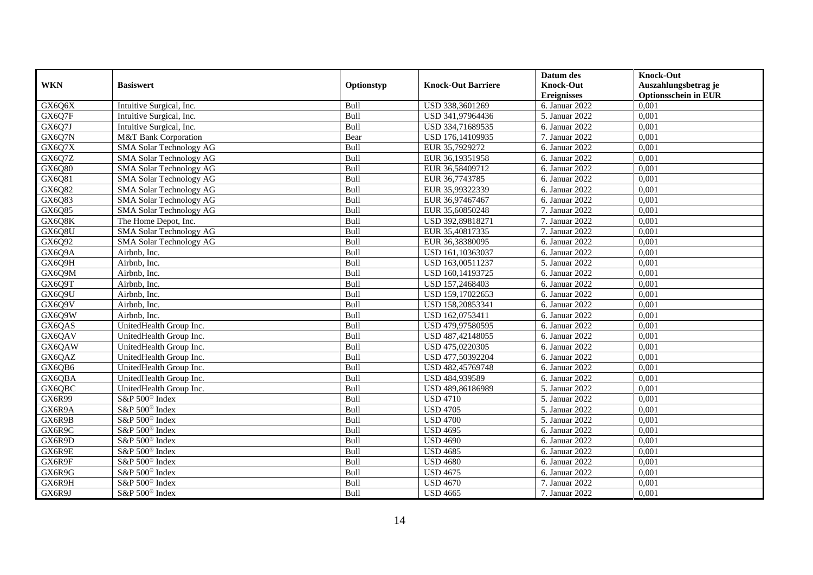|            |                            |            |                           | Datum des          | <b>Knock-Out</b>            |
|------------|----------------------------|------------|---------------------------|--------------------|-----------------------------|
| <b>WKN</b> | <b>Basiswert</b>           | Optionstyp | <b>Knock-Out Barriere</b> | <b>Knock-Out</b>   | Auszahlungsbetrag je        |
|            |                            |            |                           | <b>Ereignisses</b> | <b>Optionsschein in EUR</b> |
| GX6Q6X     | Intuitive Surgical, Inc.   | Bull       | USD 338,3601269           | 6. Januar 2022     | 0,001                       |
| GX6Q7F     | Intuitive Surgical, Inc.   | Bull       | USD 341,97964436          | 5. Januar 2022     | 0,001                       |
| GX6Q7J     | Intuitive Surgical, Inc.   | Bull       | USD 334,71689535          | 6. Januar 2022     | 0,001                       |
| GX6Q7N     | M&T Bank Corporation       | Bear       | USD 176,14109935          | 7. Januar 2022     | 0,001                       |
| GX6Q7X     | SMA Solar Technology AG    | Bull       | EUR 35,7929272            | 6. Januar 2022     | 0,001                       |
| GX6Q7Z     | SMA Solar Technology AG    | Bull       | EUR 36,19351958           | 6. Januar 2022     | 0,001                       |
| GX6Q80     | SMA Solar Technology AG    | Bull       | EUR 36,58409712           | 6. Januar 2022     | 0,001                       |
| GX6Q81     | SMA Solar Technology AG    | Bull       | EUR 36,7743785            | 6. Januar 2022     | 0,001                       |
| GX6Q82     | SMA Solar Technology AG    | Bull       | EUR 35,99322339           | 6. Januar 2022     | 0,001                       |
| GX6Q83     | SMA Solar Technology AG    | Bull       | EUR 36,97467467           | 6. Januar 2022     | 0,001                       |
| GX6Q85     | SMA Solar Technology AG    | Bull       | EUR 35,60850248           | 7. Januar 2022     | 0,001                       |
| GX6Q8K     | The Home Depot, Inc.       | Bull       | USD 392,89818271          | 7. Januar 2022     | 0,001                       |
| GX6Q8U     | SMA Solar Technology AG    | Bull       | EUR 35,40817335           | 7. Januar 2022     | 0,001                       |
| GX6Q92     | SMA Solar Technology AG    | Bull       | EUR 36,38380095           | 6. Januar 2022     | 0,001                       |
| GX6Q9A     | Airbnb, Inc.               | Bull       | USD 161,10363037          | 6. Januar 2022     | 0,001                       |
| GX6Q9H     | Airbnb, Inc.               | Bull       | USD 163,00511237          | 5. Januar 2022     | 0,001                       |
| GX6Q9M     | Airbnb, Inc.               | Bull       | USD 160,14193725          | 6. Januar 2022     | 0,001                       |
| GX6Q9T     | Airbnb, Inc.               | Bull       | USD 157,2468403           | 6. Januar 2022     | 0,001                       |
| GX6Q9U     | Airbnb. Inc.               | Bull       | USD 159,17022653          | 6. Januar 2022     | 0,001                       |
| GX6Q9V     | Airbnb, Inc.               | Bull       | USD 158,20853341          | 6. Januar 2022     | 0,001                       |
| GX6Q9W     | Airbnb, Inc.               | Bull       | USD 162,0753411           | 6. Januar 2022     | 0,001                       |
| GX6QAS     | UnitedHealth Group Inc.    | Bull       | USD 479,97580595          | 6. Januar 2022     | 0,001                       |
| GX6QAV     | UnitedHealth Group Inc.    | Bull       | USD 487,42148055          | 6. Januar 2022     | 0,001                       |
| GX6QAW     | UnitedHealth Group Inc.    | Bull       | USD 475,0220305           | 6. Januar 2022     | 0,001                       |
| GX6QAZ     | UnitedHealth Group Inc.    | Bull       | USD 477,50392204          | 6. Januar 2022     | 0,001                       |
| GX6QB6     | UnitedHealth Group Inc.    | Bull       | USD 482,45769748          | 6. Januar 2022     | 0,001                       |
| GX6QBA     | UnitedHealth Group Inc.    | Bull       | USD 484,939589            | 6. Januar 2022     | 0,001                       |
| GX6QBC     | UnitedHealth Group Inc.    | Bull       | USD 489,86186989          | 5. Januar 2022     | 0,001                       |
| GX6R99     | S&P 500 <sup>®</sup> Index | Bull       | <b>USD 4710</b>           | 5. Januar 2022     | 0,001                       |
| GX6R9A     | S&P 500 <sup>®</sup> Index | Bull       | <b>USD 4705</b>           | 5. Januar 2022     | 0,001                       |
| GX6R9B     | S&P 500 <sup>®</sup> Index | Bull       | <b>USD 4700</b>           | 5. Januar 2022     | 0,001                       |
| GX6R9C     | S&P 500 <sup>®</sup> Index | Bull       | <b>USD 4695</b>           | 6. Januar 2022     | 0,001                       |
| GX6R9D     | S&P 500 <sup>®</sup> Index | Bull       | <b>USD 4690</b>           | 6. Januar 2022     | 0,001                       |
| GX6R9E     | $S\&P 500^{\circ}$ Index   | Bull       | <b>USD 4685</b>           | 6. Januar 2022     | 0,001                       |
| GX6R9F     | S&P 500 <sup>®</sup> Index | Bull       | <b>USD 4680</b>           | 6. Januar 2022     | 0,001                       |
| GX6R9G     | S&P 500 <sup>®</sup> Index | Bull       | <b>USD 4675</b>           | 6. Januar 2022     | 0,001                       |
| GX6R9H     | S&P 500 <sup>®</sup> Index | Bull       | <b>USD 4670</b>           | 7. Januar 2022     | 0,001                       |
| GX6R9J     | S&P 500 <sup>®</sup> Index | Bull       | <b>USD 4665</b>           | 7. Januar 2022     | 0,001                       |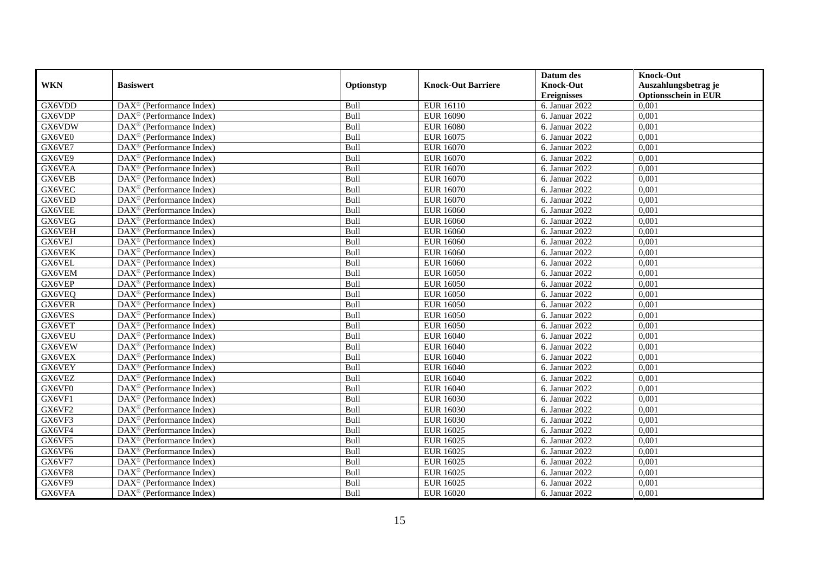|               |                                                         |            |                           | Datum des          | <b>Knock-Out</b>            |
|---------------|---------------------------------------------------------|------------|---------------------------|--------------------|-----------------------------|
| <b>WKN</b>    | <b>Basiswert</b>                                        | Optionstyp | <b>Knock-Out Barriere</b> | <b>Knock-Out</b>   | Auszahlungsbetrag je        |
|               |                                                         |            |                           | <b>Ereignisses</b> | <b>Optionsschein in EUR</b> |
| GX6VDD        | DAX <sup>®</sup> (Performance Index)                    | Bull       | <b>EUR 16110</b>          | 6. Januar 2022     | 0,001                       |
| GX6VDP        | $\text{DAX}^{\circledast}$ (Performance Index)          | Bull       | <b>EUR 16090</b>          | 6. Januar 2022     | 0,001                       |
| GX6VDW        | $DAX^{\circledR}$ (Performance Index)                   | Bull       | <b>EUR 16080</b>          | 6. Januar 2022     | 0,001                       |
| GX6VE0        | $\text{DAX}^{\otimes}$ (Performance Index)              | Bull       | <b>EUR 16075</b>          | 6. Januar 2022     | 0,001                       |
| GX6VE7        | DAX <sup>®</sup> (Performance Index)                    | Bull       | <b>EUR 16070</b>          | 6. Januar 2022     | 0,001                       |
| GX6VE9        | $\text{DAX}^{\textcircled{D}}$ (Performance Index)      | Bull       | EUR 16070                 | 6. Januar 2022     | 0,001                       |
| GX6VEA        | $\overline{\text{DAX}}^{\textcirc}$ (Performance Index) | Bull       | EUR 16070                 | 6. Januar 2022     | 0,001                       |
| GX6VEB        | $\text{DAX}^{\textcircled{n}}$ (Performance Index)      | Bull       | <b>EUR 16070</b>          | 6. Januar 2022     | 0,001                       |
| GX6VEC        | $\text{DAX}^{\circledast}$ (Performance Index)          | Bull       | EUR 16070                 | 6. Januar 2022     | 0,001                       |
| GX6VED        | DAX <sup>®</sup> (Performance Index)                    | Bull       | <b>EUR 16070</b>          | 6. Januar 2022     | 0.001                       |
| GX6VEE        | $\overline{\text{DAX}^{\otimes}}$ (Performance Index)   | Bull       | <b>EUR 16060</b>          | 6. Januar 2022     | 0,001                       |
| GX6VEG        | $\overline{\text{DAX}^{\otimes}}$ (Performance Index)   | Bull       | <b>EUR 16060</b>          | 6. Januar 2022     | 0,001                       |
| GX6VEH        | $\text{DAX}^{\textcircled{n}}$ (Performance Index)      | Bull       | <b>EUR 16060</b>          | 6. Januar 2022     | 0,001                       |
| GX6VEJ        | $DAX^{\circledR}$ (Performance Index)                   | Bull       | EUR 16060                 | 6. Januar 2022     | 0.001                       |
| GX6VEK        | $\overline{\text{DAX}^{\otimes}}$ (Performance Index)   | Bull       | <b>EUR 16060</b>          | 6. Januar 2022     | 0,001                       |
| GX6VEL        | DAX <sup>®</sup> (Performance Index)                    | Bull       | <b>EUR 16060</b>          | 6. Januar 2022     | 0,001                       |
| GX6VEM        | DAX <sup>®</sup> (Performance Index)                    | Bull       | <b>EUR 16050</b>          | 6. Januar 2022     | 0,001                       |
| GX6VEP        | DAX <sup>®</sup> (Performance Index)                    | Bull       | <b>EUR 16050</b>          | 6. Januar 2022     | 0,001                       |
| GX6VEQ        | $\text{DAX}^{\circledast}$ (Performance Index)          | Bull       | <b>EUR 16050</b>          | 6. Januar 2022     | 0,001                       |
| GX6VER        | $\text{DAX}^{\circledast}$ (Performance Index)          | Bull       | <b>EUR 16050</b>          | 6. Januar 2022     | 0,001                       |
| GX6VES        | DAX <sup>®</sup> (Performance Index)                    | Bull       | <b>EUR 16050</b>          | 6. Januar 2022     | 0,001                       |
| GX6VET        | $DAX^{\circledR}$ (Performance Index)                   | Bull       | <b>EUR 16050</b>          | 6. Januar 2022     | 0,001                       |
| <b>GX6VEU</b> | $\text{DAX}^{\textcircled{p}}$ (Performance Index)      | Bull       | <b>EUR 16040</b>          | 6. Januar 2022     | 0,001                       |
| GX6VEW        | $\text{DAX}^{\textcircled{p}}$ (Performance Index)      | Bull       | <b>EUR 16040</b>          | 6. Januar 2022     | 0,001                       |
| GX6VEX        | $DAX^{\circledR}$ (Performance Index)                   | Bull       | <b>EUR 16040</b>          | 6. Januar 2022     | 0,001                       |
| GX6VEY        | $\text{DAX}^{\circledast}$ (Performance Index)          | Bull       | EUR 16040                 | 6. Januar $2022$   | 0,001                       |
| GX6VEZ        | DAX <sup>®</sup> (Performance Index)                    | Bull       | <b>EUR 16040</b>          | 6. Januar 2022     | 0,001                       |
| GX6VF0        | DAX <sup>®</sup> (Performance Index)                    | Bull       | <b>EUR 16040</b>          | 6. Januar 2022     | 0,001                       |
| GX6VF1        | $\text{DAX}^{\otimes}$ (Performance Index)              | Bull       | EUR 16030                 | 6. Januar 2022     | 0,001                       |
| GX6VF2        | $\text{DAX}^{\circledast}$ (Performance Index)          | Bull       | EUR 16030                 | 6. Januar 2022     | 0,001                       |
| GX6VF3        | DAX <sup>®</sup> (Performance Index)                    | Bull       | EUR 16030                 | 6. Januar 2022     | 0,001                       |
| GX6VF4        | DAX <sup>®</sup> (Performance Index)                    | Bull       | <b>EUR 16025</b>          | 6. Januar 2022     | 0,001                       |
| GX6VF5        | $\overline{\text{DAX}^{\otimes}}$ (Performance Index)   | Bull       | <b>EUR 16025</b>          | 6. Januar 2022     | 0,001                       |
| GX6VF6        | $\overline{\text{DAX}}^{\textcirc}$ (Performance Index) | Bull       | <b>EUR 16025</b>          | 6. Januar 2022     | 0,001                       |
| GX6VF7        | $\text{DAX}^{\textcircled{n}}$ (Performance Index)      | Bull       | <b>EUR 16025</b>          | 6. Januar 2022     | 0,001                       |
| GX6VF8        | $\text{DAX}^{\circledast}$ (Performance Index)          | Bull       | <b>EUR 16025</b>          | 6. Januar 2022     | 0,001                       |
| GX6VF9        | $\text{DAX}^{\otimes}$ (Performance Index)              | Bull       | EUR 16025                 | 6. Januar 2022     | 0,001                       |
| GX6VFA        | $\overline{\text{DAX}}^{\textcirc}$ (Performance Index) | Bull       | EUR 16020                 | 6. Januar 2022     | 0,001                       |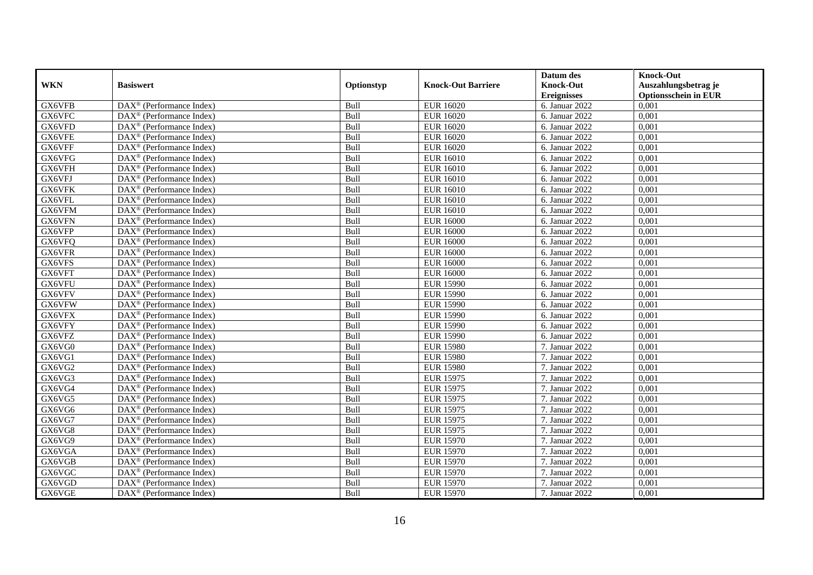|            |                                                         |            |                           | Datum des          | <b>Knock-Out</b>            |
|------------|---------------------------------------------------------|------------|---------------------------|--------------------|-----------------------------|
| <b>WKN</b> | <b>Basiswert</b>                                        | Optionstyp | <b>Knock-Out Barriere</b> | <b>Knock-Out</b>   | Auszahlungsbetrag je        |
|            |                                                         |            |                           | <b>Ereignisses</b> | <b>Optionsschein in EUR</b> |
| GX6VFB     | DAX <sup>®</sup> (Performance Index)                    | Bull       | <b>EUR 16020</b>          | 6. Januar 2022     | 0,001                       |
| GX6VFC     | $\text{DAX}^{\circledast}$ (Performance Index)          | Bull       | <b>EUR 16020</b>          | 6. Januar 2022     | 0,001                       |
| GX6VFD     | $DAX^{\circledR}$ (Performance Index)                   | Bull       | <b>EUR 16020</b>          | 6. Januar 2022     | 0,001                       |
| GX6VFE     | $\text{DAX}^{\otimes}$ (Performance Index)              | Bull       | <b>EUR 16020</b>          | 6. Januar 2022     | 0,001                       |
| GX6VFF     | DAX <sup>®</sup> (Performance Index)                    | Bull       | <b>EUR 16020</b>          | 6. Januar 2022     | 0,001                       |
| GX6VFG     | $\text{DAX}^{\textcircled{D}}$ (Performance Index)      | Bull       | EUR 16010                 | 6. Januar 2022     | 0,001                       |
| GX6VFH     | $\overline{\text{DAX}}^{\textcirc}$ (Performance Index) | Bull       | EUR 16010                 | 6. Januar 2022     | 0,001                       |
| GX6VFJ     | $\text{DAX}^{\textcircled{n}}$ (Performance Index)      | Bull       | <b>EUR 16010</b>          | 6. Januar 2022     | 0,001                       |
| GX6VFK     | $\text{DAX}^{\circledast}$ (Performance Index)          | Bull       | <b>EUR 16010</b>          | 6. Januar 2022     | 0,001                       |
| GX6VFL     | DAX <sup>®</sup> (Performance Index)                    | Bull       | <b>EUR 16010</b>          | 6. Januar 2022     | 0.001                       |
| GX6VFM     | DAX <sup>®</sup> (Performance Index)                    | Bull       | <b>EUR 16010</b>          | 6. Januar 2022     | 0,001                       |
| GX6VFN     | $\overline{\text{DAX}^{\otimes}}$ (Performance Index)   | Bull       | <b>EUR 16000</b>          | 6. Januar 2022     | 0,001                       |
| GX6VFP     | $\text{DAX}^{\textcircled{n}}$ (Performance Index)      | Bull       | <b>EUR 16000</b>          | 6. Januar 2022     | 0,001                       |
| GX6VFQ     | $DAX^{\circledR}$ (Performance Index)                   | Bull       | <b>EUR 16000</b>          | 6. Januar 2022     | 0.001                       |
| GX6VFR     | $\overline{\text{DAX}^{\otimes}}$ (Performance Index)   | Bull       | <b>EUR 16000</b>          | 6. Januar 2022     | 0,001                       |
| GX6VFS     | DAX <sup>®</sup> (Performance Index)                    | Bull       | <b>EUR 16000</b>          | 6. Januar $2022$   | 0,001                       |
| GX6VFT     | DAX <sup>®</sup> (Performance Index)                    | Bull       | <b>EUR 16000</b>          | 6. Januar 2022     | 0,001                       |
| GX6VFU     | DAX <sup>®</sup> (Performance Index)                    | Bull       | <b>EUR 15990</b>          | 6. Januar 2022     | 0,001                       |
| GX6VFV     | $\text{DAX}^{\circledast}$ (Performance Index)          | Bull       | <b>EUR 15990</b>          | 6. Januar 2022     | 0,001                       |
| GX6VFW     | $\text{DAX}^{\circledast}$ (Performance Index)          | Bull       | <b>EUR 15990</b>          | 6. Januar 2022     | 0,001                       |
| GX6VFX     | DAX <sup>®</sup> (Performance Index)                    | Bull       | <b>EUR 15990</b>          | 6. Januar 2022     | 0,001                       |
| GX6VFY     | $DAX^{\circledR}$ (Performance Index)                   | Bull       | <b>EUR 15990</b>          | 6. Januar 2022     | 0,001                       |
| GX6VFZ     | $\text{DAX}^{\textcircled{p}}$ (Performance Index)      | Bull       | <b>EUR 15990</b>          | 6. Januar 2022     | 0,001                       |
| GX6VG0     | $\text{DAX}^{\textcircled{p}}$ (Performance Index)      | Bull       | <b>EUR 15980</b>          | 7. Januar 2022     | 0,001                       |
| GX6VG1     | $DAX^{\circledR}$ (Performance Index)                   | Bull       | <b>EUR 15980</b>          | 7. Januar 2022     | 0,001                       |
| GX6VG2     | $\text{DAX}^{\circledast}$ (Performance Index)          | Bull       | <b>EUR 15980</b>          | 7. Januar 2022     | 0,001                       |
| GX6VG3     | DAX <sup>®</sup> (Performance Index)                    | Bull       | <b>EUR 15975</b>          | 7. Januar 2022     | 0,001                       |
| GX6VG4     | DAX <sup>®</sup> (Performance Index)                    | Bull       | <b>EUR 15975</b>          | 7. Januar 2022     | 0,001                       |
| GX6VG5     | $\text{DAX}^{\otimes}$ (Performance Index)              | Bull       | <b>EUR 15975</b>          | 7. Januar 2022     | 0,001                       |
| GX6VG6     | $\text{DAX}^{\textcircled{n}}$ (Performance Index)      | Bull       | <b>EUR 15975</b>          | 7. Januar 2022     | 0,001                       |
| GX6VG7     | DAX <sup>®</sup> (Performance Index)                    | Bull       | <b>EUR 15975</b>          | 7. Januar 2022     | 0,001                       |
| GX6VG8     | DAX <sup>®</sup> (Performance Index)                    | Bull       | <b>EUR 15975</b>          | 7. Januar 2022     | 0,001                       |
| GX6VG9     | DAX <sup>®</sup> (Performance Index)                    | Bull       | <b>EUR 15970</b>          | 7. Januar 2022     | 0,001                       |
| GX6VGA     | $\overline{\text{DAX}}^{\textcirc}$ (Performance Index) | Bull       | <b>EUR 15970</b>          | 7. Januar 2022     | 0,001                       |
| GX6VGB     | $\text{DAX}^{\otimes}$ (Performance Index)              | Bull       | <b>EUR 15970</b>          | 7. Januar 2022     | 0,001                       |
| GX6VGC     | $\text{DAX}^{\circledast}$ (Performance Index)          | Bull       | <b>EUR 15970</b>          | 7. Januar 2022     | 0,001                       |
| GX6VGD     | $\text{DAX}^{\otimes}$ (Performance Index)              | Bull       | <b>EUR 15970</b>          | 7. Januar 2022     | 0,001                       |
| GX6VGE     | $\overline{\text{DAX}}^{\textcirc}$ (Performance Index) | Bull       | <b>EUR 15970</b>          | 7. Januar 2022     | 0,001                       |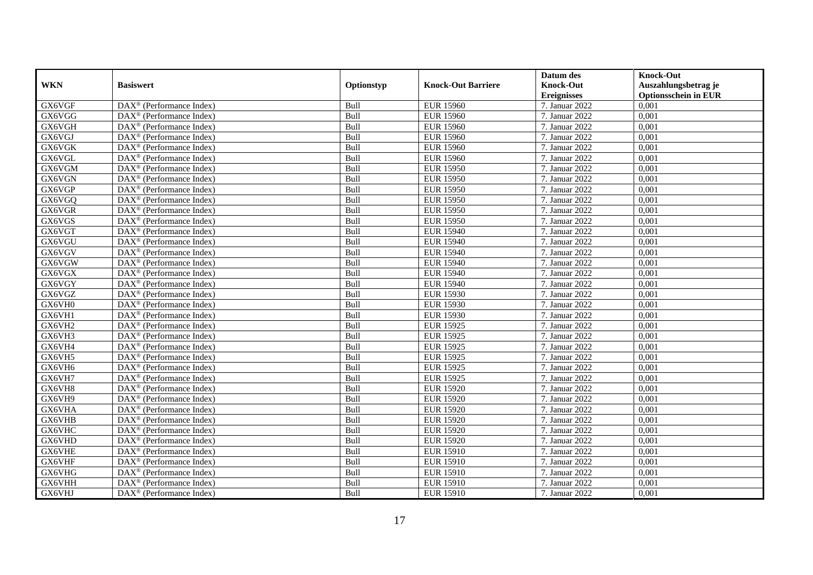|               |                                                              |            |                           | Datum des          | <b>Knock-Out</b>            |
|---------------|--------------------------------------------------------------|------------|---------------------------|--------------------|-----------------------------|
| <b>WKN</b>    | <b>Basiswert</b>                                             | Optionstyp | <b>Knock-Out Barriere</b> | <b>Knock-Out</b>   | Auszahlungsbetrag je        |
|               |                                                              |            |                           | <b>Ereignisses</b> | <b>Optionsschein in EUR</b> |
| GX6VGF        | $\overline{\text{DAX}}^{\textcircled{}}$ (Performance Index) | Bull       | <b>EUR 15960</b>          | 7. Januar 2022     | 0,001                       |
| GX6VGG        | $DAX^{\circledR}$ (Performance Index)                        | Bull       | <b>EUR 15960</b>          | 7. Januar 2022     | 0,001                       |
| GX6VGH        | DAX <sup>®</sup> (Performance Index)                         | Bull       | <b>EUR 15960</b>          | 7. Januar 2022     | 0,001                       |
| GX6VGJ        | $\text{DAX}^{\otimes}$ (Performance Index)                   | Bull       | <b>EUR 15960</b>          | 7. Januar 2022     | 0,001                       |
| GX6VGK        | DAX <sup>®</sup> (Performance Index)                         | Bull       | <b>EUR 15960</b>          | 7. Januar 2022     | 0,001                       |
| GX6VGL        | $\text{DAX}^{\circledast}$ (Performance Index)               | Bull       | <b>EUR 15960</b>          | 7. Januar 2022     | 0,001                       |
| GX6VGM        | $\text{DAX}^{\textcircled{n}}$ (Performance Index)           | Bull       | <b>EUR 15950</b>          | 7. Januar 2022     | 0,001                       |
| GX6VGN        | $\text{DAX}^{\textcircled{}}$ (Performance Index)            | Bull       | <b>EUR 15950</b>          | 7. Januar 2022     | 0,001                       |
| GX6VGP        | $\text{DAX}^{\textcircled{D}}$ (Performance Index)           | Bull       | <b>EUR 15950</b>          | 7. Januar 2022     | 0,001                       |
| GX6VGQ        | $DAX^{\otimes}$ (Performance Index)                          | Bull       | <b>EUR 15950</b>          | 7. Januar 2022     | 0,001                       |
| GX6VGR        | DAX <sup>®</sup> (Performance Index)                         | Bull       | <b>EUR 15950</b>          | 7. Januar 2022     | 0,001                       |
| GX6VGS        | $\overline{\text{DAX}^{\otimes}}$ (Performance Index)        | Bull       | <b>EUR 15950</b>          | 7. Januar 2022     | 0,001                       |
| GX6VGT        | $\text{DAX}^{\circledast}$ (Performance Index)               | Bull       | <b>EUR 15940</b>          | 7. Januar 2022     | 0,001                       |
| GX6VGU        | DAX <sup>®</sup> (Performance Index)                         | Bull       | <b>EUR 15940</b>          | 7. Januar 2022     | 0,001                       |
| GX6VGV        | DAX <sup>®</sup> (Performance Index)                         | Bull       | <b>EUR 15940</b>          | 7. Januar 2022     | 0,001                       |
| GX6VGW        | DAX <sup>®</sup> (Performance Index)                         | Bull       | <b>EUR 15940</b>          | 7. Januar 2022     | 0,001                       |
| GX6VGX        | DAX <sup>®</sup> (Performance Index)                         | Bull       | <b>EUR 15940</b>          | 7. Januar 2022     | 0,001                       |
| GX6VGY        | $\overline{\text{DAX}}^{\textcirc}$ (Performance Index)      | Bull       | <b>EUR 15940</b>          | 7. Januar 2022     | 0,001                       |
| GX6VGZ        | DAX <sup>®</sup> (Performance Index)                         | Bull       | <b>EUR 15930</b>          | 7. Januar 2022     | 0,001                       |
| GX6VH0        | DAX <sup>®</sup> (Performance Index)                         | Bull       | <b>EUR 15930</b>          | 7. Januar 2022     | 0,001                       |
| GX6VH1        | DAX <sup>®</sup> (Performance Index)                         | Bull       | <b>EUR 15930</b>          | 7. Januar 2022     | 0,001                       |
| GX6VH2        | $\overline{\text{DAX}^{\otimes}}$ (Performance Index)        | Bull       | <b>EUR 15925</b>          | 7. Januar 2022     | 0,001                       |
| GX6VH3        | $\text{DAX}^{\circledast}$ (Performance Index)               | Bull       | <b>EUR 15925</b>          | 7. Januar 2022     | 0,001                       |
| GX6VH4        | DAX <sup>®</sup> (Performance Index)                         | Bull       | <b>EUR 15925</b>          | 7. Januar 2022     | 0,001                       |
| GX6VH5        | DAX <sup>®</sup> (Performance Index)                         | Bull       | <b>EUR 15925</b>          | 7. Januar 2022     | 0,001                       |
| GX6VH6        | $\text{DAX}^{\otimes}$ (Performance Index)                   | Bull       | <b>EUR 15925</b>          | 7. Januar 2022     | 0,001                       |
| GX6VH7        | $\text{DAX}^{\circledast}$ (Performance Index)               | Bull       | <b>EUR 15925</b>          | 7. Januar 2022     | 0,001                       |
| GX6VH8        | $DAX^{\circledR}$ (Performance Index)                        | Bull       | <b>EUR 15920</b>          | 7. Januar 2022     | 0.001                       |
| GX6VH9        | $\text{DAX}^{\textcircled{D}}$ (Performance Index)           | Bull       | <b>EUR 15920</b>          | 7. Januar 2022     | 0,001                       |
| GX6VHA        | $DAX^{\circledcirc}$ (Performance Index)                     | Bull       | <b>EUR 15920</b>          | 7. Januar 2022     | 0,001                       |
| GX6VHB        | DAX <sup>®</sup> (Performance Index)                         | Bull       | <b>EUR 15920</b>          | 7. Januar 2022     | 0,001                       |
| GX6VHC        | $\text{DAX}^{\otimes}$ (Performance Index)                   | Bull       | <b>EUR 15920</b>          | 7. Januar 2022     | 0.001                       |
| GX6VHD        | $\overline{\text{DAX}^{\otimes}}$ (Performance Index)        | Bull       | <b>EUR 15920</b>          | 7. Januar 2022     | 0,001                       |
| <b>GX6VHE</b> | $\text{DAX}^{\circledast}$ (Performance Index)               | Bull       | <b>EUR 15910</b>          | 7. Januar 2022     | 0,001                       |
| GX6VHF        | $\text{DAX}^{\textcircled{n}}$ (Performance Index)           | Bull       | <b>EUR 15910</b>          | 7. Januar 2022     | 0,001                       |
| GX6VHG        | $\text{DAX}^{\circledast}$ (Performance Index)               | Bull       | <b>EUR 15910</b>          | 7. Januar 2022     | 0,001                       |
| GX6VHH        | $\text{DAX}^{\otimes}$ (Performance Index)                   | Bull       | <b>EUR 15910</b>          | 7. Januar 2022     | 0,001                       |
| GX6VHJ        | $\overline{\text{DAX}}^{\textcirc}$ (Performance Index)      | Bull       | <b>EUR 15910</b>          | 7. Januar 2022     | 0,001                       |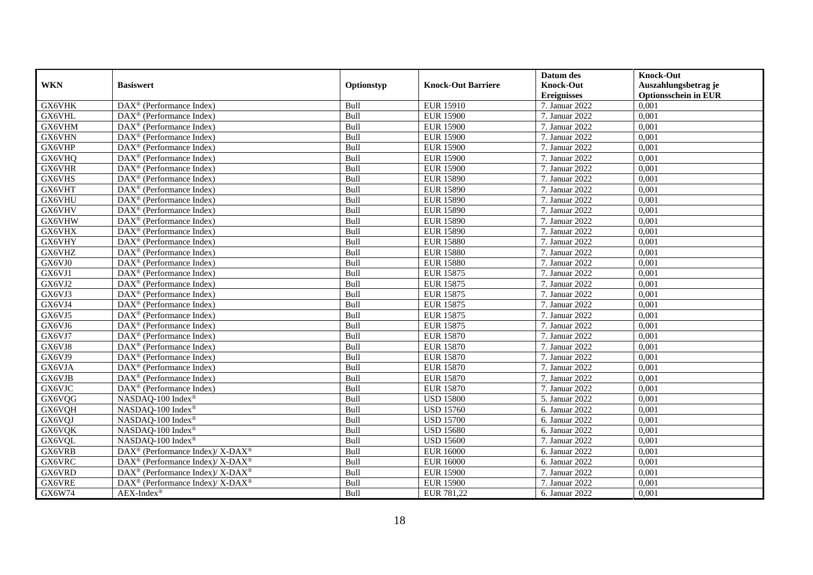|               |                                                                  |            |                           | Datum des          | <b>Knock-Out</b>            |
|---------------|------------------------------------------------------------------|------------|---------------------------|--------------------|-----------------------------|
| <b>WKN</b>    | <b>Basiswert</b>                                                 | Optionstyp | <b>Knock-Out Barriere</b> | <b>Knock-Out</b>   | Auszahlungsbetrag je        |
|               |                                                                  |            |                           | <b>Ereignisses</b> | <b>Optionsschein in EUR</b> |
| GX6VHK        | DAX <sup>®</sup> (Performance Index)                             | Bull       | <b>EUR 15910</b>          | 7. Januar 2022     | 0,001                       |
| GX6VHL        | $DAX^{\circledR}$ (Performance Index)                            | Bull       | <b>EUR 15900</b>          | 7. Januar 2022     | 0,001                       |
| GX6VHM        | $DAX^{\circledR}$ (Performance Index)                            | Bull       | <b>EUR 15900</b>          | 7. Januar 2022     | 0,001                       |
| GX6VHN        | DAX <sup>®</sup> (Performance Index)                             | Bull       | <b>EUR 15900</b>          | 7. Januar 2022     | 0,001                       |
| GX6VHP        | DAX <sup>®</sup> (Performance Index)                             | Bull       | <b>EUR 15900</b>          | 7. Januar 2022     | 0,001                       |
| GX6VHQ        | $\text{DAX}^{\textcircled{D}}$ (Performance Index)               | Bull       | <b>EUR 15900</b>          | 7. Januar 2022     | 0,001                       |
| <b>GX6VHR</b> | $DAX^{\otimes}$ (Performance Index)                              | Bull       | <b>EUR 15900</b>          | 7. Januar 2022     | 0,001                       |
| GX6VHS        | DAX <sup>®</sup> (Performance Index)                             | Bull       | <b>EUR 15890</b>          | 7. Januar 2022     | 0,001                       |
| GX6VHT        | $\text{DAX}^{\circledast}$ (Performance Index)                   | Bull       | <b>EUR 15890</b>          | 7. Januar 2022     | 0,001                       |
| GX6VHU        | DAX <sup>®</sup> (Performance Index)                             | Bull       | <b>EUR 15890</b>          | 7. Januar 2022     | 0.001                       |
| GX6VHV        | $\overline{\text{DAX}^{\otimes}}$ (Performance Index)            | Bull       | <b>EUR 15890</b>          | 7. Januar 2022     | 0,001                       |
| GX6VHW        | $\overline{\text{DAX}^{\otimes}}$ (Performance Index)            | Bull       | <b>EUR 15890</b>          | 7. Januar 2022     | 0,001                       |
| GX6VHX        | $\text{DAX}^{\textcircled{n}}$ (Performance Index)               | Bull       | <b>EUR 15890</b>          | 7. Januar 2022     | 0,001                       |
| GX6VHY        | DAX <sup>®</sup> (Performance Index)                             | Bull       | <b>EUR 15880</b>          | 7. Januar 2022     | 0.001                       |
| GX6VHZ        | $\overline{\text{DAX}^{\otimes}}$ (Performance Index)            | Bull       | <b>EUR 15880</b>          | 7. Januar 2022     | 0,001                       |
| GX6VJ0        | DAX <sup>®</sup> (Performance Index)                             | Bull       | <b>EUR 15880</b>          | 7. Januar 2022     | 0,001                       |
| GX6VJ1        | DAX <sup>®</sup> (Performance Index)                             | Bull       | <b>EUR 15875</b>          | 7. Januar 2022     | 0,001                       |
| GX6VJ2        | DAX <sup>®</sup> (Performance Index)                             | Bull       | <b>EUR 15875</b>          | 7. Januar 2022     | 0,001                       |
| GX6VJ3        | $\text{DAX}^{\circledast}$ (Performance Index)                   | Bull       | <b>EUR 15875</b>          | 7. Januar 2022     | 0,001                       |
| GX6VJ4        | $\text{DAX}^{\circledast}$ (Performance Index)                   | Bull       | <b>EUR 15875</b>          | 7. Januar 2022     | 0,001                       |
| GX6VJ5        | DAX <sup>®</sup> (Performance Index)                             | Bull       | <b>EUR 15875</b>          | 7. Januar 2022     | 0,001                       |
| GX6VJ6        | $DAX^{\circledR}$ (Performance Index)                            | Bull       | <b>EUR 15875</b>          | 7. Januar 2022     | 0,001                       |
| GX6VJ7        | $\text{DAX}^{\textcircled{p}}$ (Performance Index)               | Bull       | <b>EUR 15870</b>          | 7. Januar 2022     | 0,001                       |
| GX6VJ8        | $\text{DAX}^{\textcircled{p}}$ (Performance Index)               | Bull       | <b>EUR 15870</b>          | 7. Januar 2022     | 0,001                       |
| GX6VJ9        | $DAX^{\circledR}$ (Performance Index)                            | Bull       | <b>EUR 15870</b>          | 7. Januar 2022     | 0,001                       |
| GX6VJA        | $\text{DAX}^{\circledast}$ (Performance Index)                   | Bull       | <b>EUR 15870</b>          | 7. Januar 2022     | 0,001                       |
| GX6VJB        | DAX <sup>®</sup> (Performance Index)                             | Bull       | <b>EUR 15870</b>          | 7. Januar 2022     | 0,001                       |
| GX6VJC        | $\overline{\text{DAX}^{\otimes}}$ (Performance Index)            | Bull       | <b>EUR 15870</b>          | 7. Januar 2022     | 0,001                       |
| GX6VQG        | NASDAQ-100 Index®                                                | Bull       | <b>USD 15800</b>          | 5. Januar 2022     | 0,001                       |
| GX6VQH        | NASDAQ-100 Index®                                                | Bull       | <b>USD 15760</b>          | 6. Januar 2022     | 0,001                       |
| GX6VQJ        | NASDAQ-100 Index®                                                | Bull       | <b>USD 15700</b>          | 6. Januar 2022     | 0,001                       |
| GX6VQK        | NASDAQ-100 Index®                                                | Bull       | <b>USD 15680</b>          | 6. Januar 2022     | 0,001                       |
| GX6VQL        | NASDAQ-100 Index®                                                | Bull       | <b>USD 15600</b>          | 7. Januar 2022     | 0,001                       |
| GX6VRB        | $\text{DAX}^{\circledR}$ (Performance Index)/ X-DAX <sup>®</sup> | Bull       | <b>EUR 16000</b>          | 6. Januar 2022     | 0,001                       |
| GX6VRC        | DAX <sup>®</sup> (Performance Index)/X-DAX <sup>®</sup>          | Bull       | <b>EUR 16000</b>          | 6. Januar 2022     | 0,001                       |
| GX6VRD        | DAX <sup>®</sup> (Performance Index)/ X-DAX <sup>®</sup>         | Bull       | <b>EUR 15900</b>          | 7. Januar 2022     | 0,001                       |
| GX6VRE        | DAX <sup>®</sup> (Performance Index)/ X-DAX <sup>®</sup>         | Bull       | <b>EUR 15900</b>          | 7. Januar 2022     | 0,001                       |
| GX6W74        | $AEX-Index^{\circledR}$                                          | Bull       | EUR 781,22                | 6. Januar 2022     | 0,001                       |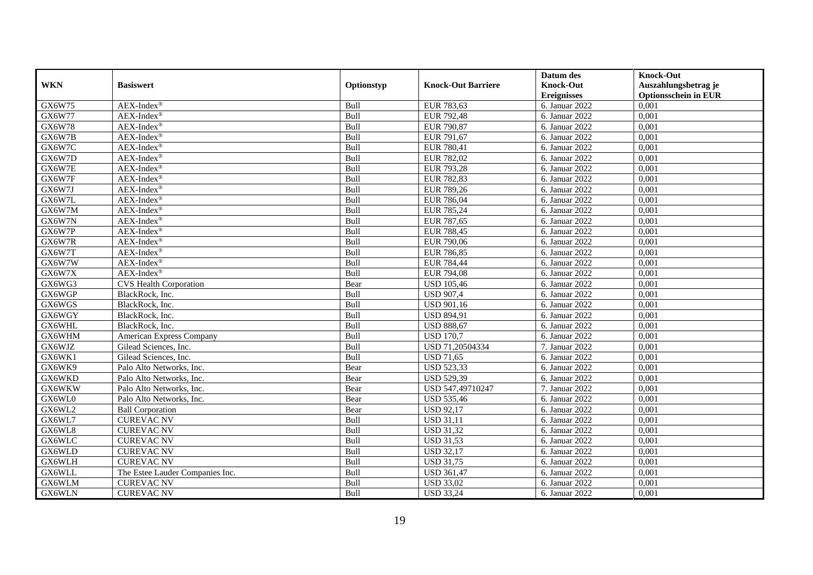|            |                                 |            |                           | Datum des          | <b>Knock-Out</b>            |
|------------|---------------------------------|------------|---------------------------|--------------------|-----------------------------|
| <b>WKN</b> | <b>Basiswert</b>                | Optionstyp | <b>Knock-Out Barriere</b> | <b>Knock-Out</b>   | Auszahlungsbetrag je        |
|            |                                 |            |                           | <b>Ereignisses</b> | <b>Optionsschein in EUR</b> |
| GX6W75     | $AEX-Index^{\circledR}$         | Bull       | EUR 783,63                | 6. Januar 2022     | 0,001                       |
| GX6W77     | $AEX-Index^{\circledR}$         | Bull       | EUR 792,48                | 6. Januar 2022     | 0,001                       |
| GX6W78     | $AEX-Index^{\circledR}$         | Bull       | EUR 790,87                | 6. Januar 2022     | 0,001                       |
| GX6W7B     | AEX-Index®                      | Bull       | EUR 791,67                | 6. Januar 2022     | 0,001                       |
| GX6W7C     | $AEX-Index^{\circledR}$         | Bull       | EUR 780,41                | 6. Januar 2022     | 0,001                       |
| GX6W7D     | $AEX-Index^{\circledR}$         | Bull       | EUR 782,02                | 6. Januar 2022     | 0,001                       |
| GX6W7E     | $AEX-Index^{\circledR}$         | Bull       | EUR 793,28                | 6. Januar 2022     | 0,001                       |
| GX6W7F     | $AEX-Index^{\circledR}$         | Bull       | EUR 782,83                | 6. Januar 2022     | 0,001                       |
| GX6W7J     | AEX-Index®                      | Bull       | EUR 789,26                | 6. Januar 2022     | 0,001                       |
| GX6W7L     | $AEX-Index^{\circledR}$         | Bull       | EUR 786,04                | 6. Januar 2022     | 0,001                       |
| GX6W7M     | $AEX-Index^{\circledR}$         | Bull       | EUR 785,24                | 6. Januar 2022     | 0,001                       |
| GX6W7N     | $AEX-Index^{\circledR}$         | Bull       | EUR 787,65                | 6. Januar 2022     | 0,001                       |
| GX6W7P     | AEX-Index®                      | Bull       | <b>EUR 788,45</b>         | 6. Januar 2022     | 0,001                       |
| GX6W7R     | $AEX-Index^{\circledR}$         | Bull       | EUR 790,06                | 6. Januar 2022     | 0,001                       |
| GX6W7T     | $AEX-Index^{\circledR}$         | Bull       | EUR 786,85                | 6. Januar 2022     | 0,001                       |
| GX6W7W     | $AEX$ -Index®                   | Bull       | EUR 784,44                | 6. Januar 2022     | 0,001                       |
| GX6W7X     | $AEX-Index^{\circledR}$         | Bull       | <b>EUR 794,08</b>         | 6. Januar 2022     | 0,001                       |
| GX6WG3     | <b>CVS Health Corporation</b>   | Bear       | <b>USD 105,46</b>         | 6. Januar 2022     | 0.001                       |
| GX6WGP     | BlackRock, Inc.                 | Bull       | <b>USD 907,4</b>          | 6. Januar 2022     | 0,001                       |
| GX6WGS     | BlackRock, Inc.                 | Bull       | <b>USD 901,16</b>         | 6. Januar 2022     | 0,001                       |
| GX6WGY     | BlackRock, Inc.                 | Bull       | <b>USD 894,91</b>         | 6. Januar $2022$   | 0,001                       |
| GX6WHL     | BlackRock, Inc.                 | Bull       | <b>USD 888,67</b>         | 6. Januar 2022     | 0,001                       |
| GX6WHM     | American Express Company        | Bull       | <b>USD 170.7</b>          | 6. Januar 2022     | 0,001                       |
| GX6WJZ     | Gilead Sciences, Inc.           | Bull       | USD 71,20504334           | 7. Januar 2022     | 0,001                       |
| GX6WK1     | Gilead Sciences, Inc.           | Bull       | <b>USD 71,65</b>          | 6. Januar 2022     | 0,001                       |
| GX6WK9     | Palo Alto Networks, Inc.        | Bear       | <b>USD 523,33</b>         | 6. Januar 2022     | 0.001                       |
| GX6WKD     | Palo Alto Networks, Inc.        | Bear       | <b>USD 529,39</b>         | 6. Januar 2022     | 0,001                       |
| GX6WKW     | Palo Alto Networks, Inc.        | Bear       | USD 547,49710247          | 7. Januar 2022     | 0.001                       |
| GX6WL0     | Palo Alto Networks, Inc.        | Bear       | <b>USD 535,46</b>         | 6. Januar 2022     | 0,001                       |
| GX6WL2     | <b>Ball Corporation</b>         | Bear       | <b>USD 92,17</b>          | 6. Januar 2022     | 0,001                       |
| GX6WL7     | <b>CUREVAC NV</b>               | Bull       | <b>USD 31,11</b>          | 6. Januar 2022     | 0,001                       |
| GX6WL8     | <b>CUREVAC NV</b>               | Bull       | <b>USD 31,32</b>          | 6. Januar 2022     | 0,001                       |
| GX6WLC     | <b>CUREVAC NV</b>               | Bull       | <b>USD 31,53</b>          | 6. Januar 2022     | 0,001                       |
| GX6WLD     | <b>CUREVAC NV</b>               | Bull       | <b>USD 32,17</b>          | 6. Januar 2022     | 0,001                       |
| GX6WLH     | <b>CUREVAC NV</b>               | Bull       | <b>USD 31,75</b>          | 6. Januar 2022     | 0,001                       |
| GX6WLL     | The Estee Lauder Companies Inc. | Bull       | <b>USD 361,47</b>         | 6. Januar 2022     | 0,001                       |
| GX6WLM     | <b>CUREVAC NV</b>               | Bull       | <b>USD 33,02</b>          | 6. Januar 2022     | 0,001                       |
| GX6WLN     | <b>CUREVAC NV</b>               | Bull       | <b>USD 33,24</b>          | 6. Januar 2022     | 0,001                       |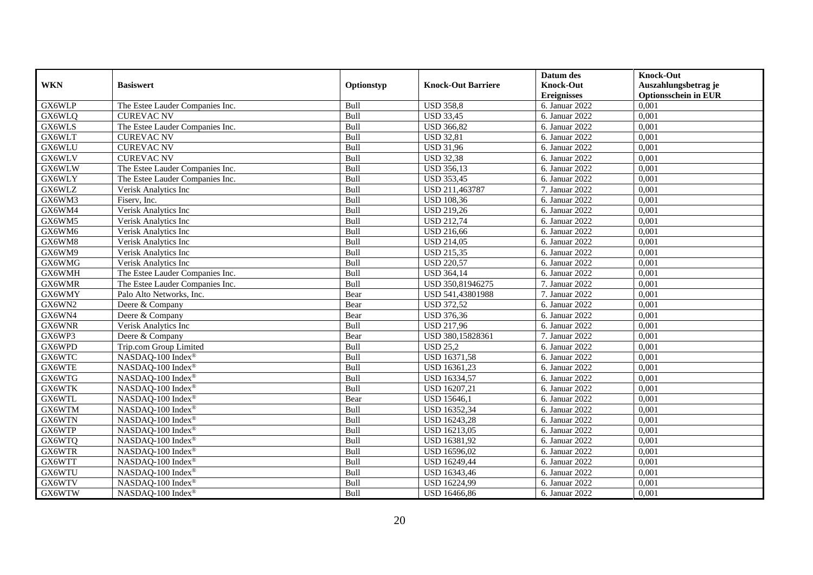|            |                                 |            |                           | Datum des                   | <b>Knock-Out</b>            |
|------------|---------------------------------|------------|---------------------------|-----------------------------|-----------------------------|
| <b>WKN</b> | <b>Basiswert</b>                | Optionstyp | <b>Knock-Out Barriere</b> | <b>Knock-Out</b>            | Auszahlungsbetrag je        |
|            |                                 |            |                           | <b>Ereignisses</b>          | <b>Optionsschein in EUR</b> |
| GX6WLP     | The Estee Lauder Companies Inc. | Bull       | <b>USD 358,8</b>          | 6. Januar 2022              | 0,001                       |
| GX6WLQ     | <b>CUREVAC NV</b>               | Bull       | <b>USD 33,45</b>          | 6. Januar 2022              | 0,001                       |
| GX6WLS     | The Estee Lauder Companies Inc. | Bull       | <b>USD 366,82</b>         | 6. Januar 2022              | 0,001                       |
| GX6WLT     | <b>CUREVAC NV</b>               | Bull       | <b>USD 32,81</b>          | 6. Januar 2022              | 0,001                       |
| GX6WLU     | <b>CUREVAC NV</b>               | Bull       | <b>USD 31,96</b>          | 6. Januar 2022              | 0,001                       |
| GX6WLV     | <b>CUREVAC NV</b>               | Bull       | <b>USD 32,38</b>          | 6. Januar 2022              | 0,001                       |
| GX6WLW     | The Estee Lauder Companies Inc. | Bull       | <b>USD 356,13</b>         | 6. Januar 2022              | 0,001                       |
| GX6WLY     | The Estee Lauder Companies Inc. | Bull       | <b>USD 353,45</b>         | 6. Januar 2022              | 0,001                       |
| GX6WLZ     | Verisk Analytics Inc            | Bull       | USD 211,463787            | 7. Januar 2022              | 0,001                       |
| GX6WM3     | Fiserv, Inc.                    | Bull       | <b>USD 108,36</b>         | 6. Januar 2022              | 0,001                       |
| GX6WM4     | Verisk Analytics Inc            | Bull       | <b>USD 219,26</b>         | 6. Januar 2022              | 0,001                       |
| GX6WM5     | Verisk Analytics Inc            | Bull       | <b>USD 212,74</b>         | 6. Januar 2022              | 0,001                       |
| GX6WM6     | Verisk Analytics Inc            | Bull       | <b>USD 216,66</b>         | 6. Januar 2022              | 0,001                       |
| GX6WM8     | Verisk Analytics Inc            | Bull       | <b>USD 214,05</b>         | 6. Januar 2022              | 0,001                       |
| GX6WM9     | Verisk Analytics Inc            | Bull       | <b>USD 215,35</b>         | 6. Januar $2022$            | 0,001                       |
| GX6WMG     | Verisk Analytics Inc            | Bull       | <b>USD 220,57</b>         | 6. Januar 2022              | 0,001                       |
| GX6WMH     | The Estee Lauder Companies Inc. | Bull       | <b>USD 364,14</b>         | 6. Januar 2022              | 0,001                       |
| GX6WMR     | The Estee Lauder Companies Inc. | Bull       | USD 350,81946275          | 7. Januar 2022              | 0.001                       |
| GX6WMY     | Palo Alto Networks, Inc.        | Bear       | USD 541,43801988          | 7. Januar 2022              | 0,001                       |
| GX6WN2     | Deere & Company                 | Bear       | <b>USD 372,52</b>         | 6. Januar 2022              | 0,001                       |
| GX6WN4     | Deere & Company                 | Bear       | <b>USD 376,36</b>         | 6. Januar $20\overline{22}$ | 0,001                       |
| GX6WNR     | Verisk Analytics Inc            | Bull       | <b>USD 217,96</b>         | 6. Januar 2022              | 0,001                       |
| GX6WP3     | Deere & Company                 | Bear       | USD 380,15828361          | 7. Januar 2022              | 0,001                       |
| GX6WPD     | Trip.com Group Limited          | Bull       | <b>USD 25,2</b>           | 6. Januar 2022              | 0,001                       |
| GX6WTC     | NASDAQ-100 Index®               | Bull       | <b>USD 16371,58</b>       | 6. Januar 2022              | 0,001                       |
| GX6WTE     | NASDAQ-100 Index®               | Bull       | USD 16361,23              | 6. Januar $2022$            | 0,001                       |
| GX6WTG     | NASDAQ-100 Index®               | Bull       | USD 16334,57              | 6. Januar 2022              | 0,001                       |
| GX6WTK     | NASDAQ-100 Index®               | Bull       | USD 16207,21              | 6. Januar 2022              | 0.001                       |
| GX6WTL     | NASDAQ-100 Index®               | Bear       | <b>USD 15646,1</b>        | 6. Januar 2022              | 0,001                       |
| GX6WTM     | NASDAQ-100 Index®               | Bull       | USD 16352,34              | 6. Januar 2022              | 0,001                       |
| GX6WTN     | NASDAQ-100 Index®               | Bull       | <b>USD 16243,28</b>       | 6. Januar 2022              | 0,001                       |
| GX6WTP     | NASDAQ-100 Index®               | Bull       | <b>USD 16213,05</b>       | 6. Januar 2022              | 0,001                       |
| GX6WTQ     | NASDAQ-100 Index®               | Bull       | USD 16381,92              | 6. Januar 2022              | 0,001                       |
| GX6WTR     | NASDAQ-100 Index®               | Bull       | USD 16596,02              | 6. Januar 2022              | 0,001                       |
| GX6WTT     | NASDAQ-100 Index®               | Bull       | USD 16249,44              | 6. Januar 2022              | 0,001                       |
| GX6WTU     | NASDAQ-100 Index®               | Bull       | USD 16343,46              | 6. Januar 2022              | 0,001                       |
| GX6WTV     | NASDAQ-100 Index®               | Bull       | USD 16224,99              | 6. Januar 2022              | 0,001                       |
| GX6WTW     | NASDAQ-100 Index®               | Bull       | USD 16466,86              | 6. Januar 2022              | 0,001                       |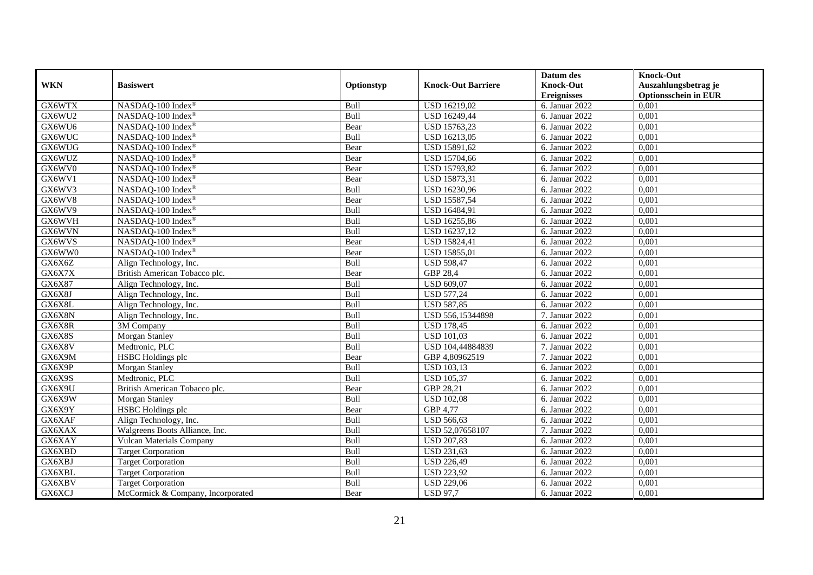|            |                                   |             |                           | Datum des          | <b>Knock-Out</b>            |
|------------|-----------------------------------|-------------|---------------------------|--------------------|-----------------------------|
| <b>WKN</b> | <b>Basiswert</b>                  | Optionstyp  | <b>Knock-Out Barriere</b> | <b>Knock-Out</b>   | Auszahlungsbetrag je        |
|            |                                   |             |                           | <b>Ereignisses</b> | <b>Optionsschein in EUR</b> |
| GX6WTX     | NASDAQ-100 Index®                 | Bull        | USD 16219,02              | 6. Januar 2022     | 0,001                       |
| GX6WU2     | NASDAQ-100 Index®                 | Bull        | USD 16249,44              | 6. Januar 2022     | 0,001                       |
| GX6WU6     | NASDAQ-100 Index®                 | Bear        | USD 15763,23              | 6. Januar 2022     | 0,001                       |
| GX6WUC     | NASDAQ-100 Index®                 | Bull        | USD 16213,05              | 6. Januar 2022     | 0,001                       |
| GX6WUG     | NASDAQ-100 Index®                 | Bear        | USD 15891,62              | 6. Januar 2022     | 0,001                       |
| GX6WUZ     | NASDAQ-100 Index®                 | Bear        | <b>USD 15704,66</b>       | 6. Januar 2022     | 0,001                       |
| GX6WV0     | NASDAQ-100 Index®                 | Bear        | <b>USD 15793,82</b>       | 6. Januar 2022     | 0,001                       |
| GX6WV1     | NASDAQ-100 Index®                 | Bear        | USD 15873,31              | 6. Januar 2022     | 0,001                       |
| GX6WV3     | NASDAQ-100 Index®                 | Bull        | USD 16230,96              | 6. Januar 2022     | 0,001                       |
| GX6WV8     | NASDAQ-100 Index®                 | Bear        | <b>USD 15587,54</b>       | 6. Januar 2022     | 0,001                       |
| GX6WV9     | NASDAQ-100 Index®                 | Bull        | USD 16484,91              | 6. Januar 2022     | 0,001                       |
| GX6WVH     | NASDAQ-100 Index®                 | Bull        | <b>USD 16255,86</b>       | 6. Januar 2022     | 0,001                       |
| GX6WVN     | NASDAQ-100 Index®                 | Bull        | USD 16237,12              | 6. Januar 2022     | 0,001                       |
| GX6WVS     | NASDAQ-100 Index®                 | Bear        | USD 15824,41              | 6. Januar 2022     | 0,001                       |
| GX6WW0     | NASDAQ-100 Index®                 | Bear        | USD 15855,01              | 6. Januar 2022     | 0,001                       |
| GX6X6Z     | Align Technology, Inc.            | Bull        | <b>USD 598,47</b>         | 6. Januar 2022     | 0,001                       |
| GX6X7X     | British American Tobacco plc.     | Bear        | GBP 28,4                  | 6. Januar 2022     | 0,001                       |
| GX6X87     | Align Technology, Inc.            | <b>Bull</b> | USD 609,07                | 6. Januar 2022     | 0,001                       |
| GX6X8J     | Align Technology, Inc.            | Bull        | <b>USD 577,24</b>         | 6. Januar 2022     | 0,001                       |
| GX6X8L     | Align Technology, Inc.            | Bull        | <b>USD 587,85</b>         | 6. Januar 2022     | 0,001                       |
| GX6X8N     | Align Technology, Inc.            | Bull        | USD 556,15344898          | 7. Januar 2022     | 0,001                       |
| GX6X8R     | $\overline{3M}$ Company           | Bull        | <b>USD 178,45</b>         | 6. Januar 2022     | 0,001                       |
| GX6X8S     | Morgan Stanley                    | Bull        | <b>USD 101,03</b>         | 6. Januar 2022     | 0,001                       |
| GX6X8V     | Medtronic, PLC                    | Bull        | USD 104,44884839          | 7. Januar 2022     | 0,001                       |
| GX6X9M     | <b>HSBC</b> Holdings plc          | Bear        | GBP 4,80962519            | 7. Januar 2022     | 0.001                       |
| GX6X9P     | Morgan Stanley                    | Bull        | <b>USD 103,13</b>         | 6. Januar 2022     | 0,001                       |
| GX6X9S     | Medtronic, PLC                    | Bull        | <b>USD 105,37</b>         | 6. Januar 2022     | 0,001                       |
| GX6X9U     | British American Tobacco plc.     | Bear        | GBP 28,21                 | 6. Januar 2022     | 0,001                       |
| GX6X9W     | Morgan Stanley                    | Bull        | <b>USD 102,08</b>         | 6. Januar 2022     | 0,001                       |
| GX6X9Y     | HSBC Holdings plc                 | Bear        | GBP 4,77                  | 6. Januar 2022     | 0,001                       |
| GX6XAF     | Align Technology, Inc.            | Bull        | <b>USD 566,63</b>         | 6. Januar 2022     | 0,001                       |
| GX6XAX     | Walgreens Boots Alliance, Inc.    | Bull        | USD 52,07658107           | 7. Januar 2022     | 0.001                       |
| GX6XAY     | <b>Vulcan Materials Company</b>   | Bull        | <b>USD 207,83</b>         | 6. Januar 2022     | 0,001                       |
| GX6XBD     | <b>Target Corporation</b>         | Bull        | <b>USD 231,63</b>         | 6. Januar 2022     | 0,001                       |
| GX6XBJ     | Target Corporation                | Bull        | <b>USD 226,49</b>         | 6. Januar 2022     | 0,001                       |
| GX6XBL     | <b>Target Corporation</b>         | Bull        | <b>USD 223,92</b>         | 6. Januar 2022     | 0,001                       |
| GX6XBV     | <b>Target Corporation</b>         | Bull        | <b>USD 229,06</b>         | 6. Januar 2022     | 0,001                       |
| GX6XCJ     | McCormick & Company, Incorporated | Bear        | <b>USD 97,7</b>           | 6. Januar 2022     | 0,001                       |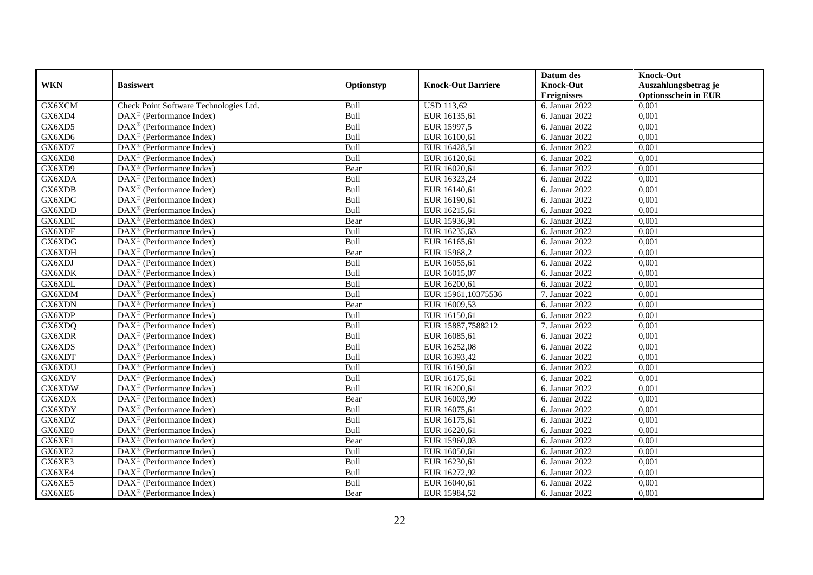|            |                                                         |            |                           | Datum des                   | <b>Knock-Out</b>            |
|------------|---------------------------------------------------------|------------|---------------------------|-----------------------------|-----------------------------|
| <b>WKN</b> | <b>Basiswert</b>                                        | Optionstyp | <b>Knock-Out Barriere</b> | <b>Knock-Out</b>            | Auszahlungsbetrag je        |
|            |                                                         |            |                           | <b>Ereignisses</b>          | <b>Optionsschein in EUR</b> |
| GX6XCM     | Check Point Software Technologies Ltd.                  | Bull       | <b>USD 113,62</b>         | 6. Januar 2022              | 0,001                       |
| GX6XD4     | $\text{DAX}^{\textcircled{}}$ (Performance Index)       | Bull       | EUR 16135,61              | 6. Januar 2022              | 0,001                       |
| GX6XD5     | DAX <sup>®</sup> (Performance Index)                    | Bull       | EUR 15997,5               | 6. Januar 2022              | 0,001                       |
| GX6XD6     | $DAX^{\circledast}$ (Performance Index)                 | Bull       | EUR 16100,61              | 6. Januar 2022              | 0,001                       |
| GX6XD7     | DAX <sup>®</sup> (Performance Index)                    | Bull       | EUR 16428,51              | 6. Januar 2022              | 0,001                       |
| GX6XD8     | $\text{DAX}^{\textcircled{}}$ (Performance Index)       | Bull       | EUR 16120,61              | 6. Januar 2022              | 0,001                       |
| GX6XD9     | $\text{DAX}^{\textcircled{}}$ (Performance Index)       | Bear       | EUR 16020,61              | 6. Januar 2022              | 0,001                       |
| GX6XDA     | $DAX^{\circledR}$ (Performance Index)                   | Bull       | EUR 16323,24              | 6. Januar 2022              | 0,001                       |
| GX6XDB     | $\text{DAX}^{\textcircled{}}$ (Performance Index)       | Bull       | EUR 16140,61              | 6. Januar 2022              | 0,001                       |
| GX6XDC     | $\overline{\text{DAX}^{\otimes}}$ (Performance Index)   | Bull       | EUR 16190,61              | 6. Januar 2022              | 0,001                       |
| GX6XDD     | DAX <sup>®</sup> (Performance Index)                    | Bull       | EUR 16215,61              | 6. Januar $20\overline{22}$ | 0,001                       |
| GX6XDE     | $\overline{\text{DAX}^{\otimes}}$ (Performance Index)   | Bear       | EUR 15936,91              | 6. Januar 2022              | 0,001                       |
| GX6XDF     | $DAX^{\circledast}$ (Performance Index)                 | Bull       | EUR 16235,63              | 6. Januar 2022              | 0,001                       |
| GX6XDG     | DAX <sup>®</sup> (Performance Index)                    | Bull       | EUR 16165,61              | 6. Januar 2022              | 0,001                       |
| GX6XDH     | DAX <sup>®</sup> (Performance Index)                    | Bear       | EUR 15968,2               | 6. Januar 2022              | 0,001                       |
| GX6XDJ     | DAX <sup>®</sup> (Performance Index)                    | Bull       | EUR 16055,61              | 6. Januar 2022              | 0,001                       |
| GX6XDK     | $\text{DAX}^{\textcircled{}}$ (Performance Index)       | Bull       | EUR 16015,07              | 6. Januar 2022              | 0,001                       |
| GX6XDL     | $\overline{\text{DAX}}^{\textcirc}$ (Performance Index) | Bull       | EUR 16200.61              | 6. Januar 2022              | 0.001                       |
| GX6XDM     | DAX <sup>®</sup> (Performance Index)                    | Bull       | EUR 15961,10375536        | 7. Januar 2022              | 0,001                       |
| GX6XDN     | DAX <sup>®</sup> (Performance Index)                    | Bear       | EUR 16009,53              | 6. Januar 2022              | 0,001                       |
| GX6XDP     | DAX <sup>®</sup> (Performance Index)                    | Bull       | EUR 16150,61              | 6. Januar 2022              | 0,001                       |
| GX6XDQ     | $\overline{\text{DAX}^{\otimes}}$ (Performance Index)   | Bull       | EUR 15887,7588212         | 7. Januar 2022              | 0,001                       |
| GX6XDR     | $\text{DAX}^{\textcircled{}}$ (Performance Index)       | Bull       | EUR 16085,61              | 6. Januar 2022              | 0,001                       |
| GX6XDS     | DAX <sup>®</sup> (Performance Index)                    | Bull       | EUR 16252,08              | 6. Januar 2022              | 0,001                       |
| GX6XDT     | DAX <sup>®</sup> (Performance Index)                    | Bull       | EUR 16393,42              | 6. Januar 2022              | 0,001                       |
| GX6XDU     | DAX <sup>®</sup> (Performance Index)                    | Bull       | EUR 16190,61              | 6. Januar 2022              | 0,001                       |
| GX6XDV     | $DAX^{\circledast}$ (Performance Index)                 | Bull       | EUR 16175,61              | 6. Januar 2022              | 0,001                       |
| GX6XDW     | $DAX^{\circledR}$ (Performance Index)                   | Bull       | EUR 16200,61              | 6. Januar 2022              | 0.001                       |
| GX6XDX     | $\text{DAX}^{\textcircled{}}$ (Performance Index)       | Bear       | EUR 16003,99              | 6. Januar 2022              | 0,001                       |
| GX6XDY     | $\text{DAX}^{\textcircled{}}$ (Performance Index)       | Bull       | EUR 16075,61              | 6. Januar 2022              | 0,001                       |
| GX6XDZ     | DAX <sup>®</sup> (Performance Index)                    | Bull       | EUR 16175,61              | 6. Januar 2022              | 0,001                       |
| GX6XE0     | $DAX^{\circledast}$ (Performance Index)                 | Bull       | EUR 16220,61              | 6. Januar 2022              | 0.001                       |
| GX6XE1     | DAX <sup>®</sup> (Performance Index)                    | Bear       | EUR 15960,03              | 6. Januar 2022              | 0,001                       |
| GX6XE2     | $\overline{\text{DAX}^{\otimes}}$ (Performance Index)   | Bull       | EUR 16050,61              | 6. Januar 2022              | 0,001                       |
| GX6XE3     | $\text{DAX}^{\circledast}$ (Performance Index)          | Bull       | EUR 16230,61              | 6. Januar 2022              | 0,001                       |
| GX6XE4     | $\text{DAX}^{\textcircled{}}$ (Performance Index)       | Bull       | EUR 16272,92              | 6. Januar 2022              | 0,001                       |
| GX6XE5     | DAX <sup>®</sup> (Performance Index)                    | Bull       | EUR 16040,61              | 6. Januar 2022              | 0,001                       |
| GX6XE6     | $\text{DAX}^{\circledast}$ (Performance Index)          | Bear       | EUR 15984,52              | 6. Januar 2022              | 0,001                       |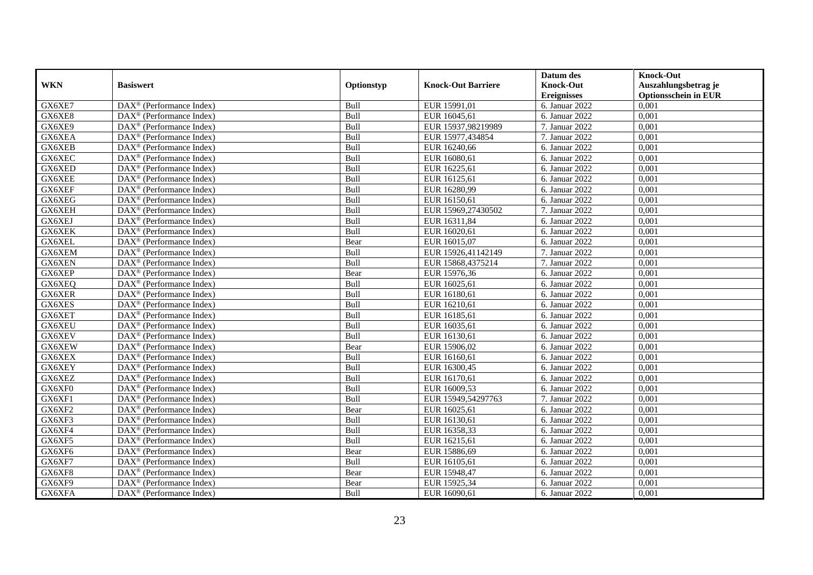|            |                                                         |            |                           | Datum des                   | <b>Knock-Out</b>            |
|------------|---------------------------------------------------------|------------|---------------------------|-----------------------------|-----------------------------|
| <b>WKN</b> | <b>Basiswert</b>                                        | Optionstyp | <b>Knock-Out Barriere</b> | <b>Knock-Out</b>            | Auszahlungsbetrag je        |
|            |                                                         |            |                           | <b>Ereignisses</b>          | <b>Optionsschein in EUR</b> |
| GX6XE7     | $\overline{\text{DAX}}^{\textcirc}$ (Performance Index) | Bull       | EUR 15991,01              | 6. Januar 2022              | 0,001                       |
| GX6XE8     | $DAX^{\circledR}$ (Performance Index)                   | Bull       | EUR 16045,61              | 6. Januar 2022              | 0,001                       |
| GX6XE9     | DAX <sup>®</sup> (Performance Index)                    | Bull       | EUR 15937,98219989        | 7. Januar 2022              | 0,001                       |
| GX6XEA     | $DAX^{\circledast}$ (Performance Index)                 | Bull       | EUR 15977,434854          | 7. Januar 2022              | 0,001                       |
| GX6XEB     | DAX <sup>®</sup> (Performance Index)                    | Bull       | EUR 16240,66              | 6. Januar 2022              | 0,001                       |
| GX6XEC     | $\text{DAX}^{\textcircled{}}$ (Performance Index)       | Bull       | EUR 16080,61              | 6. Januar 2022              | 0,001                       |
| GX6XED     | $\text{DAX}^{\textcircled{}}$ (Performance Index)       | Bull       | EUR 16225,61              | 6. Januar 2022              | 0,001                       |
| GX6XEE     | $DAX^{\circledR}$ (Performance Index)                   | Bull       | EUR 16125,61              | 6. Januar 2022              | 0,001                       |
| GX6XEF     | $\text{DAX}^{\textcircled{}}$ (Performance Index)       | Bull       | EUR 16280,99              | 6. Januar 2022              | 0,001                       |
| GX6XEG     | DAX <sup>®</sup> (Performance Index)                    | Bull       | EUR 16150,61              | 6. Januar 2022              | 0,001                       |
| GX6XEH     | DAX <sup>®</sup> (Performance Index)                    | Bull       | EUR 15969,27430502        | 7. Januar 2022              | 0,001                       |
| GX6XEJ     | $\overline{\text{DAX}^{\otimes}}$ (Performance Index)   | Bull       | EUR 16311,84              | 6. Januar 2022              | 0,001                       |
| GX6XEK     | $DAX^{\circledast}$ (Performance Index)                 | Bull       | EUR 16020,61              | 6. Januar 2022              | 0,001                       |
| GX6XEL     | DAX <sup>®</sup> (Performance Index)                    | Bear       | EUR 16015,07              | 6. Januar 2022              | 0,001                       |
| GX6XEM     | DAX <sup>®</sup> (Performance Index)                    | Bull       | EUR 15926,41142149        | 7. Januar 2022              | 0,001                       |
| GX6XEN     | DAX <sup>®</sup> (Performance Index)                    | Bull       | EUR 15868,4375214         | 7. Januar 2022              | 0,001                       |
| GX6XEP     | $\text{DAX}^{\textcircled{}}$ (Performance Index)       | Bear       | EUR 15976,36              | 6. Januar 2022              | 0,001                       |
| GX6XEQ     | $\overline{\text{DAX}}^{\textcirc}$ (Performance Index) | Bull       | EUR 16025,61              | 6. Januar 2022              | 0.001                       |
| GX6XER     | DAX <sup>®</sup> (Performance Index)                    | Bull       | EUR 16180,61              | 6. Januar 2022              | 0,001                       |
| GX6XES     | DAX <sup>®</sup> (Performance Index)                    | Bull       | EUR 16210,61              | 6. Januar 2022              | 0,001                       |
| GX6XET     | DAX <sup>®</sup> (Performance Index)                    | Bull       | EUR 16185,61              | 6. Januar 2022              | 0,001                       |
| GX6XEU     | $\overline{\text{DAX}^{\otimes}}$ (Performance Index)   | Bull       | EUR 16035,61              | 6. Januar 2022              | 0,001                       |
| GX6XEV     | $\text{DAX}^{\textcircled{}}$ (Performance Index)       | Bull       | EUR 16130,61              | 6. Januar 2022              | 0,001                       |
| GX6XEW     | DAX <sup>®</sup> (Performance Index)                    | Bear       | EUR 15906,02              | 6. Januar 2022              | 0,001                       |
| GX6XEX     | DAX <sup>®</sup> (Performance Index)                    | Bull       | EUR 16160,61              | 6. Januar 2022              | 0,001                       |
| GX6XEY     | DAX <sup>®</sup> (Performance Index)                    | Bull       | EUR 16300,45              | 6. Januar 2022              | 0,001                       |
| GX6XEZ     | $DAX^{\circledast}$ (Performance Index)                 | Bull       | EUR 16170,61              | 6. Januar 2022              | 0,001                       |
| GX6XF0     | $DAX^{\circledR}$ (Performance Index)                   | Bull       | EUR 16009,53              | 6. Januar 2022              | 0.001                       |
| GX6XF1     | $\text{DAX}^{\textcircled{}}$ (Performance Index)       | Bull       | EUR 15949,54297763        | 7. Januar 2022              | 0,001                       |
| GX6XF2     | $\text{DAX}^{\textcircled{}}$ (Performance Index)       | Bear       | EUR 16025,61              | 6. Januar 2022              | 0,001                       |
| GX6XF3     | DAX <sup>®</sup> (Performance Index)                    | Bull       | EUR 16130,61              | 6. Januar 2022              | 0,001                       |
| GX6XF4     | $DAX^{\circledast}$ (Performance Index)                 | Bull       | EUR 16358,33              | 6. Januar $20\overline{22}$ | 0.001                       |
| GX6XF5     | DAX <sup>®</sup> (Performance Index)                    | Bull       | EUR 16215,61              | 6. Januar 2022              | 0,001                       |
| GX6XF6     | $\text{DAX}^{\textcircled{}}$ (Performance Index)       | Bear       | EUR 15886,69              | 6. Januar 2022              | 0,001                       |
| GX6XF7     | $\text{DAX}^{\circledast}$ (Performance Index)          | Bull       | EUR 16105,61              | 6. Januar 2022              | 0,001                       |
| GX6XF8     | $\text{DAX}^{\textcircled{}}$ (Performance Index)       | Bear       | EUR 15948,47              | 6. Januar 2022              | 0,001                       |
| GX6XF9     | $DAX^{\circledast}$ (Performance Index)                 | Bear       | EUR 15925,34              | 6. Januar 2022              | 0,001                       |
| GX6XFA     | $\text{DAX}^{\circledast}$ (Performance Index)          | Bull       | EUR 16090,61              | 6. Januar 2022              | 0,001                       |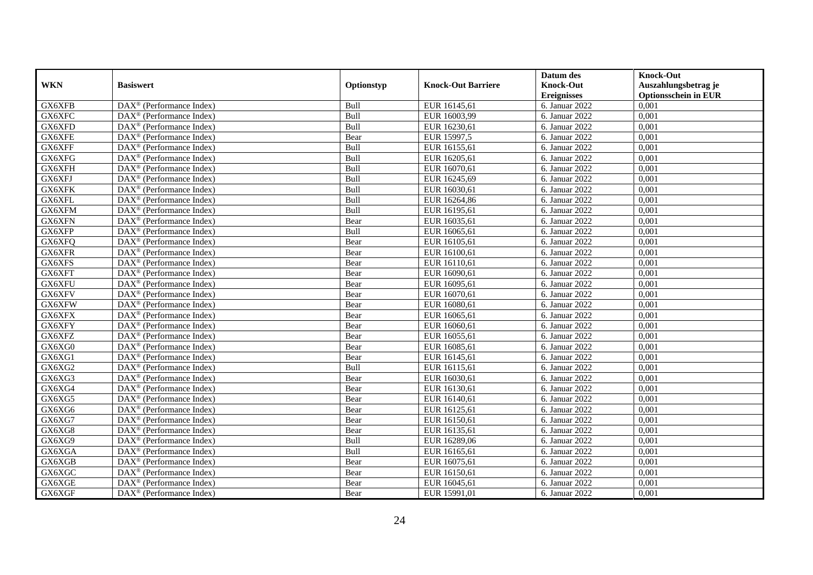|            |                                                         |            |                           | Datum des                   | <b>Knock-Out</b>            |
|------------|---------------------------------------------------------|------------|---------------------------|-----------------------------|-----------------------------|
| <b>WKN</b> | <b>Basiswert</b>                                        | Optionstyp | <b>Knock-Out Barriere</b> | <b>Knock-Out</b>            | Auszahlungsbetrag je        |
|            |                                                         |            |                           | <b>Ereignisses</b>          | <b>Optionsschein in EUR</b> |
| GX6XFB     | DAX <sup>®</sup> (Performance Index)                    | Bull       | EUR 16145,61              | 6. Januar 2022              | 0,001                       |
| GX6XFC     | $\text{DAX}^{\circledast}$ (Performance Index)          | Bull       | EUR 16003,99              | 6. Januar 2022              | 0,001                       |
| GX6XFD     | $DAX^{\circledR}$ (Performance Index)                   | Bull       | EUR 16230,61              | 6. Januar 2022              | 0,001                       |
| GX6XFE     | $\text{DAX}^{\otimes}$ (Performance Index)              | Bear       | EUR 15997,5               | 6. Januar 2022              | 0,001                       |
| GX6XFF     | DAX <sup>®</sup> (Performance Index)                    | Bull       | EUR 16155,61              | 6. Januar 2022              | 0,001                       |
| GX6XFG     | $\text{DAX}^{\textcircled{D}}$ (Performance Index)      | Bull       | EUR 16205,61              | 6. Januar $20\overline{22}$ | 0,001                       |
| GX6XFH     | $DAX^{\otimes}$ (Performance Index)                     | Bull       | EUR 16070,61              | 6. Januar 2022              | 0,001                       |
| GX6XFJ     | $\text{DAX}^{\textcircled{n}}$ (Performance Index)      | Bull       | EUR 16245,69              | 6. Januar 2022              | 0,001                       |
| GX6XFK     | $\text{DAX}^{\circledast}$ (Performance Index)          | Bull       | EUR 16030,61              | 6. Januar 2022              | 0,001                       |
| GX6XFL     | DAX <sup>®</sup> (Performance Index)                    | Bull       | EUR 16264,86              | 6. Januar 2022              | 0.001                       |
| GX6XFM     | $\overline{\text{DAX}^{\otimes}}$ (Performance Index)   | Bull       | EUR 16195,61              | 6. Januar 2022              | 0,001                       |
| GX6XFN     | $\overline{\text{DAX}^{\otimes}}$ (Performance Index)   | Bear       | EUR 16035,61              | 6. Januar 2022              | 0,001                       |
| GX6XFP     | $\text{DAX}^{\textcircled{n}}$ (Performance Index)      | Bull       | EUR 16065,61              | 6. Januar 2022              | 0,001                       |
| GX6XFQ     | $DAX^{\circledR}$ (Performance Index)                   | Bear       | EUR 16105.61              | 6. Januar 2022              | 0.001                       |
| GX6XFR     | $\overline{\text{DAX}^{\otimes}}$ (Performance Index)   | Bear       | EUR 16100,61              | 6. Januar 2022              | 0,001                       |
| GX6XFS     | DAX <sup>®</sup> (Performance Index)                    | Bear       | EUR 16110,61              | 6. Januar 2022              | 0,001                       |
| GX6XFT     | DAX <sup>®</sup> (Performance Index)                    | Bear       | EUR 16090,61              | 6. Januar 2022              | 0,001                       |
| GX6XFU     | DAX <sup>®</sup> (Performance Index)                    | Bear       | EUR 16095,61              | 6. Januar 2022              | 0,001                       |
| GX6XFV     | DAX <sup>®</sup> (Performance Index)                    | Bear       | EUR 16070,61              | 6. Januar 2022              | 0,001                       |
| GX6XFW     | $\text{DAX}^{\circledast}$ (Performance Index)          | Bear       | EUR 16080,61              | 6. Januar 2022              | 0,001                       |
| GX6XFX     | DAX <sup>®</sup> (Performance Index)                    | Bear       | EUR 16065,61              | 6. Januar 2022              | 0,001                       |
| GX6XFY     | $DAX^{\circledR}$ (Performance Index)                   | Bear       | EUR 16060,61              | 6. Januar 2022              | 0,001                       |
| GX6XFZ     | $\text{DAX}^{\textcircled{p}}$ (Performance Index)      | Bear       | EUR 16055,61              | 6. Januar 2022              | 0,001                       |
| GX6XG0     | $\text{DAX}^{\textcircled{p}}$ (Performance Index)      | Bear       | EUR 16085,61              | 6. Januar 2022              | 0,001                       |
| GX6XG1     | $DAX^{\circledR}$ (Performance Index)                   | Bear       | EUR 16145,61              | 6. Januar 2022              | 0,001                       |
| GX6XG2     | $\text{DAX}^{\circledast}$ (Performance Index)          | Bull       | EUR 16115,61              | 6. Januar 2022              | 0,001                       |
| GX6XG3     | DAX <sup>®</sup> (Performance Index)                    | Bear       | EUR 16030,61              | 6. Januar 2022              | 0,001                       |
| GX6XG4     | DAX <sup>®</sup> (Performance Index)                    | Bear       | EUR 16130,61              | 6. Januar 2022              | 0,001                       |
| GX6XG5     | $\text{DAX}^{\otimes}$ (Performance Index)              | Bear       | EUR 16140,61              | 6. Januar 2022              | 0,001                       |
| GX6XG6     | $\text{DAX}^{\textcircled{n}}$ (Performance Index)      | Bear       | EUR 16125,61              | 6. Januar 2022              | 0,001                       |
| GX6XG7     | DAX <sup>®</sup> (Performance Index)                    | Bear       | EUR 16150,61              | 6. Januar 2022              | 0,001                       |
| GX6XG8     | DAX <sup>®</sup> (Performance Index)                    | Bear       | EUR 16135,61              | 6. Januar 2022              | 0.001                       |
| GX6XG9     | $\overline{\text{DAX}^{\otimes}}$ (Performance Index)   | Bull       | EUR 16289,06              | 6. Januar 2022              | 0,001                       |
| GX6XGA     | $\overline{\text{DAX}}^{\textcirc}$ (Performance Index) | Bull       | EUR 16165,61              | 6. Januar 2022              | 0,001                       |
| GX6XGB     | $\text{DAX}^{\otimes}$ (Performance Index)              | Bear       | EUR 16075,61              | 6. Januar 2022              | 0,001                       |
| GX6XGC     | $\text{DAX}^{\circledast}$ (Performance Index)          | Bear       | EUR 16150,61              | 6. Januar 2022              | 0,001                       |
| GX6XGE     | $\text{DAX}^{\otimes}$ (Performance Index)              | Bear       | EUR 16045,61              | 6. Januar 2022              | 0,001                       |
| GX6XGF     | $\overline{\text{DAX}}^{\textcirc}$ (Performance Index) | Bear       | EUR 15991,01              | 6. Januar 2022              | 0,001                       |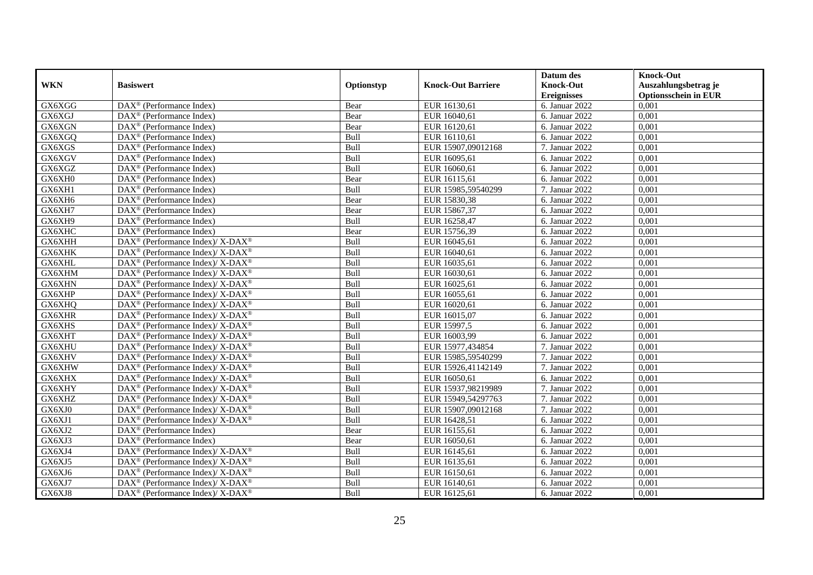|            |                                                                                        |            |                           | Datum des          | <b>Knock-Out</b>            |
|------------|----------------------------------------------------------------------------------------|------------|---------------------------|--------------------|-----------------------------|
| <b>WKN</b> | <b>Basiswert</b>                                                                       | Optionstyp | <b>Knock-Out Barriere</b> | <b>Knock-Out</b>   | Auszahlungsbetrag je        |
|            |                                                                                        |            |                           | <b>Ereignisses</b> | <b>Optionsschein in EUR</b> |
| GX6XGG     | DAX <sup>®</sup> (Performance Index)                                                   | Bear       | EUR 16130,61              | 6. Januar 2022     | 0,001                       |
| GX6XGJ     | DAX <sup>®</sup> (Performance Index)                                                   | Bear       | EUR 16040,61              | 6. Januar 2022     | 0,001                       |
| GX6XGN     | DAX <sup>®</sup> (Performance Index)                                                   | Bear       | EUR 16120,61              | 6. Januar 2022     | 0,001                       |
| GX6XGQ     | DAX <sup>®</sup> (Performance Index)                                                   | Bull       | EUR 16110,61              | 6. Januar 2022     | 0,001                       |
| GX6XGS     | DAX <sup>®</sup> (Performance Index)                                                   | Bull       | EUR 15907,09012168        | 7. Januar 2022     | 0,001                       |
| GX6XGV     | $\text{DAX}^{\textcircled{D}}$ (Performance Index)                                     | Bull       | EUR 16095,61              | 6. Januar 2022     | 0,001                       |
| GX6XGZ     | $\overline{\text{DAX}}^{\textcirc}$ (Performance Index)                                | Bull       | EUR 16060,61              | 6. Januar 2022     | 0,001                       |
| GX6XH0     | $\text{DAX}^{\textcircled{}}$ (Performance Index)                                      | Bear       | EUR 16115,61              | 6. Januar 2022     | 0,001                       |
| GX6XH1     | $DAX^{\circledR}$ (Performance Index)                                                  | Bull       | EUR 15985,59540299        | 7. Januar 2022     | 0,001                       |
| GX6XH6     | $\text{DAX}^{\textcircled{n}}$ (Performance Index)                                     | Bear       | EUR 15830,38              | 6. Januar 2022     | 0,001                       |
| GX6XH7     | $\overline{\text{DAX}}^{\textcircled{}}$ (Performance Index)                           | Bear       | EUR 15867,37              | 6. Januar 2022     | 0,001                       |
| GX6XH9     | DAX <sup>®</sup> (Performance Index)                                                   | Bull       | EUR 16258,47              | 6. Januar 2022     | 0,001                       |
| GX6XHC     | $\text{DAX}^{\circledast}$ (Performance Index)                                         | Bear       | EUR 15756,39              | 6. Januar 2022     | 0,001                       |
| GX6XHH     | DAX <sup>®</sup> (Performance Index)/ $X$ -DAX <sup>®</sup>                            | Bull       | EUR 16045,61              | 6. Januar 2022     | 0,001                       |
| GX6XHK     | DAX <sup>®</sup> (Performance Index)/ X-DAX <sup>®</sup>                               | Bull       | EUR 16040,61              | 6. Januar 2022     | 0,001                       |
| GX6XHL     | $\text{DAX}^{\circledast}$ (Performance Index)/ X-DAX <sup>®</sup>                     | Bull       | EUR 16035,61              | 6. Januar 2022     | 0,001                       |
| GX6XHM     | DAX <sup>®</sup> (Performance Index)/ X-DAX <sup>®</sup>                               | Bull       | EUR 16030,61              | 6. Januar 2022     | 0,001                       |
| GX6XHN     | $\text{DAX}^{\circledR}$ (Performance Index)/ X-DAX <sup>®</sup>                       | Bull       | EUR 16025,61              | 6. Januar 2022     | 0,001                       |
| GX6XHP     | $\text{DAX}^{\circledast}$ (Performance Index)/ X-DAX <sup>®</sup>                     | Bull       | EUR 16055,61              | 6. Januar 2022     | 0,001                       |
| GX6XHQ     | $\text{DAX}^{\circledast}$ (Performance Index)/ X-DAX <sup>®</sup>                     | Bull       | EUR 16020,61              | 6. Januar 2022     | 0,001                       |
| GX6XHR     | $DAX^{\circledast}$ (Performance Index)/X-DAX <sup>®</sup>                             | Bull       | EUR 16015,07              | 6. Januar 2022     | 0,001                       |
| GX6XHS     | $\text{DAX}^{\circledast}$ (Performance Index)/ X-DAX <sup>®</sup>                     | Bull       | EUR 15997,5               | 6. Januar 2022     | 0.001                       |
| GX6XHT     | $\text{DAX}^{\circledR}$ (Performance Index)/ X-DAX <sup>®</sup>                       | Bull       | EUR 16003,99              | 6. Januar 2022     | 0,001                       |
| GX6XHU     | $DAX^{\circledcirc}$ (Performance Index)/X-DAX <sup>®</sup>                            | Bull       | EUR 15977,434854          | 7. Januar 2022     | 0,001                       |
| GX6XHV     | $\overline{\text{DAX}^{\textcircled{\tiny 0}}}$ (Performance Index)/X-DAX <sup>®</sup> | Bull       | EUR 15985,59540299        | 7. Januar 2022     | 0,001                       |
| GX6XHW     | DAX <sup>®</sup> (Performance Index)/ X-DAX <sup>®</sup>                               | Bull       | EUR 15926,41142149        | 7. Januar 2022     | 0,001                       |
| GX6XHX     | $\text{DAX}^{\circledast}$ (Performance Index)/ X-DAX <sup>®</sup>                     | Bull       | EUR 16050,61              | 6. Januar 2022     | 0,001                       |
| GX6XHY     | $\text{DAX}^{\circledast}$ (Performance Index)/ X-DAX <sup>®</sup>                     | Bull       | EUR 15937,98219989        | 7. Januar 2022     | 0,001                       |
| GX6XHZ     | $\text{DAX}^{\circledast}$ (Performance Index)/ X-DAX <sup>®</sup>                     | Bull       | EUR 15949,54297763        | 7. Januar 2022     | 0,001                       |
| GX6XJ0     | $\text{DAX}^{\circledR}$ (Performance Index)/X-DAX <sup>®</sup>                        | Bull       | EUR 15907,09012168        | 7. Januar 2022     | 0.001                       |
| GX6XJ1     | DAX <sup>®</sup> (Performance Index)/ X-DAX <sup>®</sup>                               | Bull       | EUR 16428,51              | 6. Januar 2022     | 0,001                       |
| GX6XJ2     | DAX <sup>®</sup> (Performance Index)                                                   | Bear       | EUR 16155,61              | 6. Januar 2022     | 0,001                       |
| GX6XJ3     | DAX <sup>®</sup> (Performance Index)                                                   | Bear       | EUR 16050,61              | 6. Januar 2022     | 0,001                       |
| GX6XJ4     | $\text{DAX}^{\circledR}$ (Performance Index)/ X-DAX <sup>®</sup>                       | Bull       | EUR 16145,61              | 6. Januar 2022     | 0,001                       |
| GX6XJ5     | $\text{DAX}^{\circledR}$ (Performance Index)/ X-DAX <sup>®</sup>                       | Bull       | EUR 16135,61              | 6. Januar 2022     | 0,001                       |
| GX6XJ6     | $\text{DAX}^{\otimes}$ (Performance Index)/X-DAX <sup>®</sup>                          | Bull       | EUR 16150,61              | 6. Januar 2022     | 0,001                       |
| GX6XJ7     | DAX <sup>®</sup> (Performance Index)/ X-DAX <sup>®</sup>                               | Bull       | EUR 16140,61              | 6. Januar 2022     | 0,001                       |
| GX6XJ8     | DAX <sup>®</sup> (Performance Index)/X-DAX <sup>®</sup>                                | Bull       | EUR 16125,61              | 6. Januar 2022     | 0,001                       |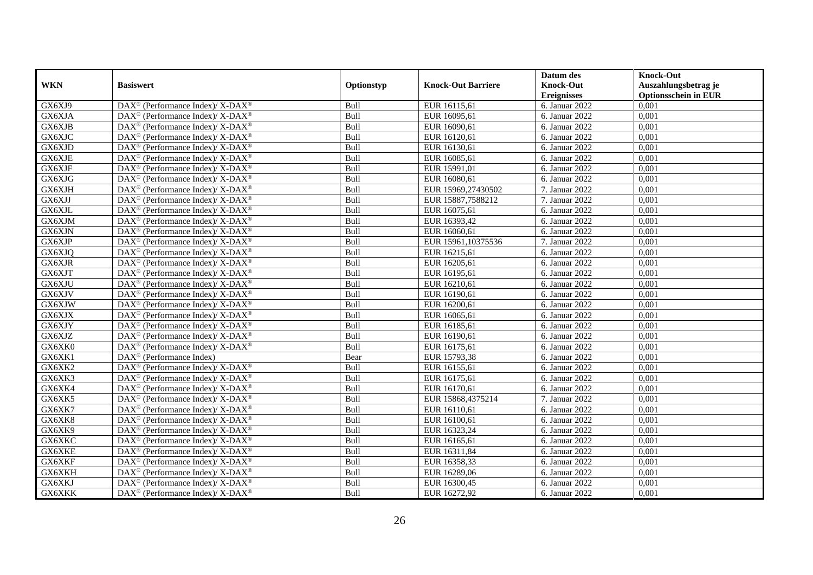|            |                                                                          |            |                           | Datum des          | <b>Knock-Out</b>            |
|------------|--------------------------------------------------------------------------|------------|---------------------------|--------------------|-----------------------------|
| <b>WKN</b> | <b>Basiswert</b>                                                         | Optionstyp | <b>Knock-Out Barriere</b> | <b>Knock-Out</b>   | Auszahlungsbetrag je        |
|            |                                                                          |            |                           | <b>Ereignisses</b> | <b>Optionsschein in EUR</b> |
| GX6XJ9     | DAX <sup>®</sup> (Performance Index)/X-DAX <sup>®</sup>                  | Bull       | EUR 16115,61              | 6. Januar 2022     | 0,001                       |
| GX6XJA     | $\text{DAX}^{\circledast}$ (Performance Index)/ X-DAX <sup>®</sup>       | Bull       | EUR 16095,61              | 6. Januar 2022     | 0,001                       |
| GX6XJB     | $\text{DAX}^{\circledast}$ (Performance Index)/ X-DAX <sup>®</sup>       | Bull       | EUR 16090,61              | 6. Januar 2022     | 0,001                       |
| GX6XJC     | DAX <sup>®</sup> (Performance Index)/X-DAX <sup>®</sup>                  | Bull       | EUR 16120,61              | 6. Januar 2022     | 0,001                       |
| GX6XJD     | DAX <sup>®</sup> (Performance Index)/ X-DAX <sup>®</sup>                 | Bull       | EUR 16130,61              | 6. Januar $2022$   | 0,001                       |
| GX6XJE     | $\text{DAX}^{\circledR}$ (Performance Index)/ X-DAX <sup>®</sup>         | Bull       | EUR 16085,61              | 6. Januar 2022     | 0,001                       |
| GX6XJF     | $\overline{\text{DAX}^{\otimes}}$ (Performance Index)/X-DAX <sup>®</sup> | Bull       | EUR 15991,01              | 6. Januar 2022     | 0,001                       |
| GX6XJG     | $\text{DAX}^{\circledast}$ (Performance Index)/ X-DAX <sup>®</sup>       | Bull       | EUR 16080,61              | 6. Januar 2022     | 0,001                       |
| GX6XJH     | $\text{DAX}^{\circledast}$ (Performance Index)/ X-DAX <sup>®</sup>       | Bull       | EUR 15969,27430502        | 7. Januar 2022     | 0,001                       |
| GX6XJJ     | DAX <sup>®</sup> (Performance Index)/X-DAX <sup>®</sup>                  | Bull       | EUR 15887,7588212         | 7. Januar 2022     | 0,001                       |
| GX6XJL     | DAX <sup>®</sup> (Performance Index)/ X-DAX <sup>®</sup>                 | Bull       | EUR 16075,61              | 6. Januar 2022     | 0.001                       |
| GX6XJM     | $\text{DAX}^{\circledR}$ (Performance Index)/ X-DAX <sup>®</sup>         | Bull       | EUR 16393,42              | 6. Januar 2022     | 0,001                       |
| GX6XJN     | $\text{DAX}^{\circledast}$ (Performance Index)/ X-DAX <sup>®</sup>       | Bull       | EUR 16060,61              | 6. Januar 2022     | 0,001                       |
| GX6XJP     | $\text{DAX}^{\circledast}$ (Performance Index)/X-DAX <sup>®</sup>        | Bull       | EUR 15961,10375536        | 7. Januar 2022     | 0,001                       |
| GX6XJQ     | DAX <sup>®</sup> (Performance Index)/ X-DAX <sup>®</sup>                 | Bull       | EUR 16215,61              | 6. Januar 2022     | 0,001                       |
| GX6XJR     | DAX <sup>®</sup> (Performance Index)/ X-DAX <sup>®</sup>                 | Bull       | EUR 16205,61              | 6. Januar 2022     | 0,001                       |
| GX6XJT     | DAX <sup>®</sup> (Performance Index)/ X-DAX <sup>®</sup>                 | Bull       | EUR 16195,61              | 6. Januar 2022     | 0,001                       |
| GX6XJU     | $\text{DAX}^{\circledast}$ (Performance Index)/ X-DAX <sup>®</sup>       | Bull       | EUR 16210,61              | 6. Januar 2022     | 0.001                       |
| GX6XJV     | $\text{DAX}^{\circledast}$ (Performance Index)/ X-DAX <sup>®</sup>       | Bull       | EUR 16190,61              | 6. Januar 2022     | 0,001                       |
| GX6XJW     | DAX <sup>®</sup> (Performance Index)/X-DAX <sup>®</sup>                  | Bull       | EUR 16200,61              | 6. Januar 2022     | 0,001                       |
| GX6XJX     | $\text{DAX}^{\circledast}$ (Performance Index)/X-DAX <sup>®</sup>        | Bull       | EUR 16065,61              | 6. Januar 2022     | 0,001                       |
| GX6XJY     | $\text{DAX}^{\circledast}$ (Performance Index)/ X-DAX <sup>®</sup>       | Bull       | EUR 16185,61              | 6. Januar 2022     | 0,001                       |
| GX6XJZ     | DAX <sup>®</sup> (Performance Index)/ X-DAX <sup>®</sup>                 | Bull       | EUR 16190,61              | 6. Januar 2022     | 0,001                       |
| GX6XK0     | $\text{DAX}^{\circledast}$ (Performance Index)/ X-DAX <sup>®</sup>       | Bull       | EUR 16175,61              | 6. Januar 2022     | 0,001                       |
| GX6XK1     | $DAX^{\circledR}$ (Performance Index)                                    | Bear       | EUR 15793,38              | 6. Januar 2022     | 0.001                       |
| GX6XK2     | $\text{DAX}^{\circledR}$ (Performance Index)/ X-DAX <sup>®</sup>         | Bull       | EUR 16155,61              | 6. Januar 2022     | 0,001                       |
| GX6XK3     | DAX <sup>®</sup> (Performance Index)/ X-DAX <sup>®</sup>                 | Bull       | EUR 16175,61              | 6. Januar 2022     | 0,001                       |
| GX6XK4     | $\text{DAX}^{\circledR}$ (Performance Index)/ X-DAX <sup>®</sup>         | Bull       | EUR 16170,61              | 6. Januar 2022     | 0,001                       |
| GX6XK5     | $\text{DAX}^{\circledR}$ (Performance Index)/ X-DAX <sup>®</sup>         | Bull       | EUR 15868,4375214         | 7. Januar 2022     | 0,001                       |
| GX6XK7     | $\text{DAX}^{\otimes}$ (Performance Index)/X-DAX <sup>®</sup>            | Bull       | EUR 16110,61              | 6. Januar 2022     | 0,001                       |
| GX6XK8     | $\text{DAX}^{\circledast}$ (Performance Index)/ X-DAX <sup>®</sup>       | Bull       | EUR 16100,61              | 6. Januar 2022     | 0,001                       |
| GX6XK9     | $\overline{\text{DAX}^{\otimes}}$ (Performance Index)/X-DAX <sup>®</sup> | Bull       | EUR 16323,24              | 6. Januar 2022     | 0.001                       |
| GX6XKC     | $\text{DAX}^{\circledast}$ (Performance Index)/ X-DAX <sup>®</sup>       | Bull       | EUR 16165,61              | 6. Januar 2022     | 0,001                       |
| GX6XKE     | $\text{DAX}^{\circledR}$ (Performance Index)/ X-DAX <sup>®</sup>         | Bull       | EUR 16311,84              | 6. Januar 2022     | 0,001                       |
| GX6XKF     | $\text{DAX}^{\circledR}$ (Performance Index)/ X-DAX <sup>®</sup>         | Bull       | EUR 16358,33              | 6. Januar 2022     | 0,001                       |
| GX6XKH     | $\text{DAX}^{\otimes}$ (Performance Index)/X-DAX <sup>®</sup>            | Bull       | EUR 16289,06              | 6. Januar 2022     | 0,001                       |
| GX6XKJ     | DAX <sup>®</sup> (Performance Index)/ X-DAX <sup>®</sup>                 | Bull       | EUR 16300,45              | 6. Januar 2022     | 0,001                       |
| GX6XKK     | DAX <sup>®</sup> (Performance Index)/ X-DAX <sup>®</sup>                 | Bull       | EUR 16272,92              | 6. Januar 2022     | 0,001                       |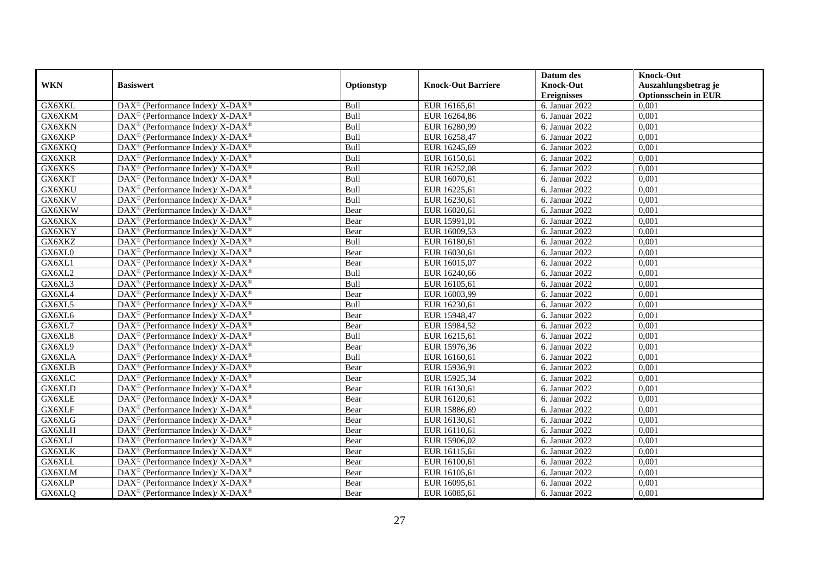|                     |                                                                          |            |                           | Datum des          | <b>Knock-Out</b>            |
|---------------------|--------------------------------------------------------------------------|------------|---------------------------|--------------------|-----------------------------|
| <b>WKN</b>          | <b>Basiswert</b>                                                         | Optionstyp | <b>Knock-Out Barriere</b> | <b>Knock-Out</b>   | Auszahlungsbetrag je        |
|                     |                                                                          |            |                           | <b>Ereignisses</b> | <b>Optionsschein in EUR</b> |
| GX6XKL              | DAX <sup>®</sup> (Performance Index)/X-DAX <sup>®</sup>                  | Bull       | EUR 16165,61              | 6. Januar 2022     | 0,001                       |
| GX6XKM              | $\text{DAX}^{\circledast}$ (Performance Index)/ X-DAX <sup>®</sup>       | Bull       | EUR 16264,86              | 6. Januar 2022     | 0,001                       |
| GX6XKN              | $\text{DAX}^{\circledast}$ (Performance Index)/ X-DAX <sup>®</sup>       | Bull       | EUR 16280,99              | 6. Januar 2022     | 0,001                       |
| GX6XKP              | DAX <sup>®</sup> (Performance Index)/X-DAX <sup>®</sup>                  | Bull       | EUR 16258,47              | 6. Januar 2022     | 0,001                       |
| GX6XKQ              | DAX <sup>®</sup> (Performance Index)/ X-DAX <sup>®</sup>                 | Bull       | EUR 16245,69              | 6. Januar $2022$   | 0,001                       |
| GX6XKR              | $\text{DAX}^{\circledR}$ (Performance Index)/ X-DAX <sup>®</sup>         | Bull       | EUR 16150,61              | 6. Januar 2022     | 0,001                       |
| GX6XKS              | $\text{DAX}^{\circledR}$ (Performance Index)/ X-DAX <sup>®</sup>         | Bull       | EUR 16252,08              | 6. Januar 2022     | 0,001                       |
| GX6XKT              | $\text{DAX}^{\circledast}$ (Performance Index)/ X-DAX <sup>®</sup>       | Bull       | EUR 16070,61              | 6. Januar 2022     | 0,001                       |
| GX6XKU              | $\text{DAX}^{\circledast}$ (Performance Index)/ X-DAX <sup>®</sup>       | Bull       | EUR 16225,61              | 6. Januar 2022     | 0,001                       |
| GX6XKV              | DAX <sup>®</sup> (Performance Index)/X-DAX <sup>®</sup>                  | Bull       | EUR 16230,61              | 6. Januar 2022     | 0,001                       |
| GX6XKW              | $\text{DAX}^{\circledast}$ (Performance Index)/ X-DAX <sup>®</sup>       | Bear       | EUR 16020,61              | 6. Januar 2022     | 0,001                       |
| GX6XKX              | $\text{DAX}^{\circledR}$ (Performance Index)/ X-DAX <sup>®</sup>         | Bear       | EUR 15991,01              | 6. Januar 2022     | 0,001                       |
| GX6XKY              | $\text{DAX}^{\circledast}$ (Performance Index)/ X-DAX <sup>®</sup>       | Bear       | EUR 16009,53              | 6. Januar 2022     | 0,001                       |
| GX6XKZ              | $\text{DAX}^{\circledast}$ (Performance Index)/X-DAX <sup>®</sup>        | Bull       | EUR 16180,61              | 6. Januar 2022     | 0,001                       |
| GX6XL0              | DAX <sup>®</sup> (Performance Index)/ X-DAX <sup>®</sup>                 | Bear       | EUR 16030,61              | 6. Januar 2022     | 0,001                       |
| GX6XL1              | DAX <sup>®</sup> (Performance Index)/ X-DAX <sup>®</sup>                 | Bear       | EUR 16015,07              | 6. Januar 2022     | 0,001                       |
| GX6XL2              | DAX <sup>®</sup> (Performance Index)/ X-DAX <sup>®</sup>                 | Bull       | EUR 16240,66              | 6. Januar 2022     | 0,001                       |
| GX6XL3              | $\text{DAX}^{\circledast}$ (Performance Index)/ X-DAX <sup>®</sup>       | Bull       | EUR 16105,61              | 6. Januar 2022     | 0.001                       |
| GX6XL4              | $\text{DAX}^{\circledast}$ (Performance Index)/ X-DAX <sup>®</sup>       | Bear       | EUR 16003,99              | 6. Januar 2022     | 0,001                       |
| GX6XL5              | $\text{DAX}^{\circledast}$ (Performance Index)/ X-DAX <sup>®</sup>       | Bull       | EUR 16230,61              | 6. Januar 2022     | 0,001                       |
| GX6XL6              | $DAX^{\circledast}$ (Performance Index)/X-DAX <sup>®</sup>               | Bear       | EUR 15948,47              | 6. Januar 2022     | 0,001                       |
| $G\overline{X6XL7}$ | $\text{DAX}^{\circledast}$ (Performance Index)/ X-DAX <sup>®</sup>       | Bear       | EUR 15984,52              | 6. Januar 2022     | 0,001                       |
| GX6XL8              | DAX <sup>®</sup> (Performance Index)/ X-DAX <sup>®</sup>                 | Bull       | EUR 16215,61              | 6. Januar 2022     | 0,001                       |
| GX6XL9              | $\text{DAX}^{\circledR}$ (Performance Index)/ X-DAX <sup>®</sup>         | Bear       | EUR 15976,36              | 6. Januar 2022     | 0,001                       |
| GX6XLA              | $\overline{\text{DAX}^{\otimes}}$ (Performance Index)/X-DAX <sup>®</sup> | Bull       | EUR 16160,61              | 6. Januar 2022     | 0.001                       |
| GX6XLB              | $\text{DAX}^{\circledast}$ (Performance Index)/ X-DAX <sup>®</sup>       | Bear       | EUR 15936,91              | 6. Januar 2022     | 0,001                       |
| GX6XLC              | DAX <sup>®</sup> (Performance Index)/ X-DAX <sup>®</sup>                 | Bear       | EUR 15925,34              | 6. Januar 2022     | 0,001                       |
| GX6XLD              | DAX <sup>®</sup> (Performance Index)/ X-DAX <sup>®</sup>                 | Bear       | EUR 16130,61              | 6. Januar 2022     | 0,001                       |
| GX6XLE              | $\text{DAX}^{\circledR}$ (Performance Index)/ X-DAX <sup>®</sup>         | Bear       | EUR 16120,61              | 6. Januar 2022     | 0,001                       |
| GX6XLF              | $\text{DAX}^{\otimes}$ (Performance Index)/X-DAX <sup>®</sup>            | Bear       | EUR 15886,69              | 6. Januar 2022     | 0,001                       |
| GX6XLG              | $\text{DAX}^{\circledast}$ (Performance Index)/ X-DAX <sup>®</sup>       | Bear       | EUR 16130,61              | 6. Januar 2022     | 0,001                       |
| GX6XLH              | $\overline{\text{DAX}^{\otimes}}$ (Performance Index)/X-DAX <sup>®</sup> | Bear       | EUR 16110,61              | 6. Januar 2022     | 0.001                       |
| GX6XLJ              | $\text{DAX}^{\circledast}$ (Performance Index)/ X-DAX <sup>®</sup>       | Bear       | EUR 15906,02              | 6. Januar 2022     | 0,001                       |
| GX6XLK              | $\text{DAX}^{\circledR}$ (Performance Index)/ X-DAX <sup>®</sup>         | Bear       | EUR 16115,61              | 6. Januar 2022     | 0,001                       |
| GX6XLL              | $\text{DAX}^{\circledR}$ (Performance Index)/ X-DAX <sup>®</sup>         | Bear       | EUR 16100,61              | 6. Januar 2022     | 0,001                       |
| GX6XLM              | $\text{DAX}^{\otimes}$ (Performance Index)/X-DAX <sup>®</sup>            | Bear       | EUR 16105,61              | 6. Januar 2022     | 0,001                       |
| GX6XLP              | DAX <sup>®</sup> (Performance Index)/ X-DAX <sup>®</sup>                 | Bear       | EUR 16095,61              | 6. Januar 2022     | 0,001                       |
| GX6XLQ              | DAX <sup>®</sup> (Performance Index)/ X-DAX <sup>®</sup>                 | Bear       | EUR 16085,61              | 6. Januar 2022     | 0,001                       |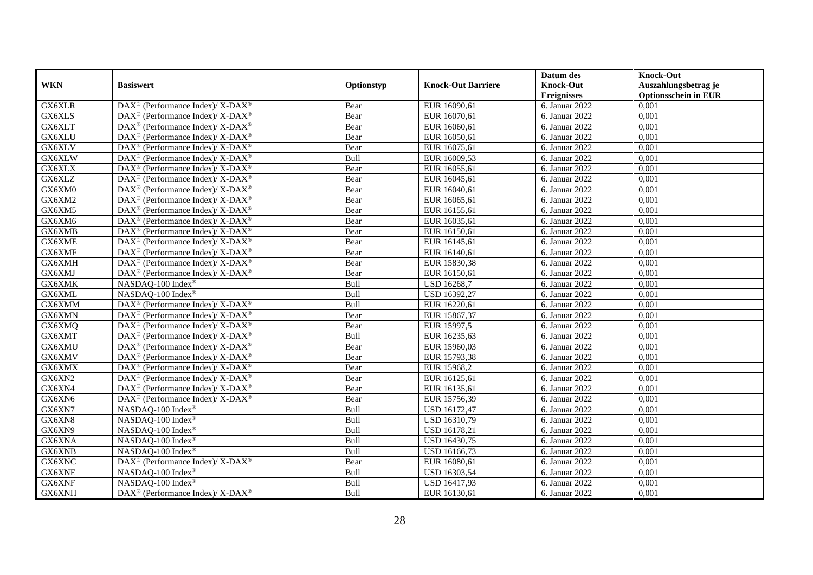|            |                                                                                        |            |                           | Datum des          | <b>Knock-Out</b>            |
|------------|----------------------------------------------------------------------------------------|------------|---------------------------|--------------------|-----------------------------|
| <b>WKN</b> | <b>Basiswert</b>                                                                       | Optionstyp | <b>Knock-Out Barriere</b> | <b>Knock-Out</b>   | Auszahlungsbetrag je        |
|            |                                                                                        |            |                           | <b>Ereignisses</b> | <b>Optionsschein in EUR</b> |
| GX6XLR     | DAX <sup>®</sup> (Performance Index)/X-DAX <sup>®</sup>                                | Bear       | EUR 16090,61              | 6. Januar 2022     | 0,001                       |
| GX6XLS     | $\text{DAX}^{\circledast}$ (Performance Index)/ X-DAX <sup>®</sup>                     | Bear       | EUR 16070,61              | 6. Januar 2022     | 0,001                       |
| GX6XLT     | $\text{DAX}^{\circledast}$ (Performance Index)/ X-DAX <sup>®</sup>                     | Bear       | EUR 16060,61              | 6. Januar 2022     | 0,001                       |
| GX6XLU     | DAX <sup>®</sup> (Performance Index)/X-DAX <sup>®</sup>                                | Bear       | EUR 16050,61              | 6. Januar 2022     | 0,001                       |
| GX6XLV     | $\text{DAX}^{\circledR}$ (Performance Index)/ X-DAX <sup>®</sup>                       | Bear       | EUR 16075,61              | 6. Januar $2022$   | 0,001                       |
| GX6XLW     | $\text{DAX}^{\circledR}$ (Performance Index)/ X-DAX <sup>®</sup>                       | Bull       | EUR 16009,53              | 6. Januar 2022     | 0,001                       |
| GX6XLX     | $DAX^{\circledcirc}$ (Performance Index)/ X-DAX <sup>®</sup>                           | Bear       | EUR 16055,61              | 6. Januar 2022     | 0,001                       |
| GX6XLZ     | $\text{DAX}^{\circledast}$ (Performance Index)/ X-DAX <sup>®</sup>                     | Bear       | EUR 16045,61              | 6. Januar 2022     | 0,001                       |
| GX6XM0     | $\text{DAX}^{\circledast}$ (Performance Index)/ X-DAX <sup>®</sup>                     | Bear       | EUR 16040,61              | 6. Januar 2022     | 0,001                       |
| GX6XM2     | DAX <sup>®</sup> (Performance Index)/X-DAX <sup>®</sup>                                | Bear       | EUR 16065,61              | 6. Januar 2022     | 0,001                       |
| GX6XM5     | $\text{DAX}^{\circledast}$ (Performance Index)/ X-DAX <sup>®</sup>                     | Bear       | EUR 16155,61              | 6. Januar 2022     | 0,001                       |
| GX6XM6     | $\text{DAX}^{\circledR}$ (Performance Index)/ X-DAX <sup>®</sup>                       | Bear       | EUR 16035,61              | 6. Januar 2022     | 0,001                       |
| GX6XMB     | $\text{DAX}^{\circledast}$ (Performance Index)/ X-DAX <sup>®</sup>                     | Bear       | EUR 16150,61              | 6. Januar 2022     | 0,001                       |
| GX6XME     | DAX <sup>®</sup> (Performance Index)/ X-DAX <sup>®</sup>                               | Bear       | EUR 16145,61              | 6. Januar 2022     | 0,001                       |
| GX6XMF     | DAX <sup>®</sup> (Performance Index)/ X-DAX <sup>®</sup>                               | Bear       | EUR 16140,61              | 6. Januar 2022     | 0,001                       |
| GX6XMH     | DAX <sup>®</sup> (Performance Index)/ X-DAX <sup>®</sup>                               | Bear       | EUR 15830,38              | 6. Januar 2022     | 0,001                       |
| GX6XMJ     | DAX <sup>®</sup> (Performance Index)/ X-DAX <sup>®</sup>                               | Bear       | EUR 16150,61              | 6. Januar 2022     | 0,001                       |
| GX6XMK     | NASDAO-100 Index <sup>®</sup>                                                          | Bull       | <b>USD 16268.7</b>        | 6. Januar 2022     | 0.001                       |
| GX6XML     | NASDAQ-100 Index®                                                                      | Bull       | USD 16392,27              | 6. Januar 2022     | 0,001                       |
| GX6XMM     | $\text{DAX}^{\circledR}$ (Performance Index)/ X-DAX <sup>®</sup>                       | Bull       | EUR 16220,61              | 6. Januar 2022     | 0,001                       |
| GX6XMN     | $\overline{\text{DAX}^{\textcircled{\tiny 0}}}$ (Performance Index)/X-DAX <sup>®</sup> | Bear       | EUR 15867,37              | 6. Januar 2022     | 0,001                       |
| GX6XMQ     | $\text{DAX}^{\circledast}$ (Performance Index)/ X-DAX <sup>®</sup>                     | Bear       | EUR 15997,5               | 6. Januar 2022     | 0,001                       |
| GX6XMT     | DAX <sup>®</sup> (Performance Index)/ X-DAX <sup>®</sup>                               | Bull       | EUR 16235,63              | 6. Januar 2022     | 0,001                       |
| GX6XMU     | $\text{DAX}^{\circledR}$ (Performance Index)/ X-DAX <sup>®</sup>                       | Bear       | EUR 15960,03              | 6. Januar 2022     | 0,001                       |
| GX6XMV     | $\text{DAX}^{\circledast}$ (Performance Index)/ X-DAX <sup>®</sup>                     | Bear       | EUR 15793,38              | 6. Januar 2022     | 0.001                       |
| GX6XMX     | $\text{DAX}^{\circledast}$ (Performance Index)/ X-DAX <sup>®</sup>                     | Bear       | EUR 15968,2               | 6. Januar 2022     | 0,001                       |
| GX6XN2     | DAX <sup>®</sup> (Performance Index)/ X-DAX <sup>®</sup>                               | Bear       | EUR 16125,61              | 6. Januar 2022     | 0,001                       |
| GX6XN4     | $\text{DAX}^{\circledR}$ (Performance Index)/ X-DAX <sup>®</sup>                       | Bear       | EUR 16135,61              | 6. Januar 2022     | 0,001                       |
| GX6XN6     | $\text{DAX}^{\circledR}$ (Performance Index)/ X-DAX <sup>®</sup>                       | Bear       | EUR 15756,39              | 6. Januar 2022     | 0,001                       |
| GX6XN7     | NASDAQ-100 Index®                                                                      | Bull       | <b>USD 16172,47</b>       | 6. Januar 2022     | 0,001                       |
| GX6XN8     | NASDAQ-100 Index®                                                                      | Bull       | USD 16310,79              | 6. Januar 2022     | 0,001                       |
| GX6XN9     | NASDAQ-100 Index <sup>®</sup>                                                          | Bull       | USD 16178,21              | 6. Januar 2022     | 0.001                       |
| GX6XNA     | NASDAQ-100 Index®                                                                      | Bull       | USD 16430,75              | 6. Januar 2022     | 0,001                       |
| GX6XNB     | NASDAQ-100 Index®                                                                      | Bull       | USD 16166,73              | 6. Januar 2022     | 0,001                       |
| GX6XNC     | DAX <sup>®</sup> (Performance Index)/ X-DAX <sup>®</sup>                               | Bear       | EUR 16080,61              | 6. Januar 2022     | 0,001                       |
| GX6XNE     | NASDAQ-100 Index®                                                                      | Bull       | <b>USD 16303,54</b>       | 6. Januar 2022     | 0,001                       |
| GX6XNF     | NASDAQ-100 Index®                                                                      | Bull       | USD 16417,93              | 6. Januar 2022     | 0,001                       |
| GX6XNH     | DAX <sup>®</sup> (Performance Index)/ X-DAX <sup>®</sup>                               | Bull       | EUR 16130,61              | 6. Januar 2022     | 0,001                       |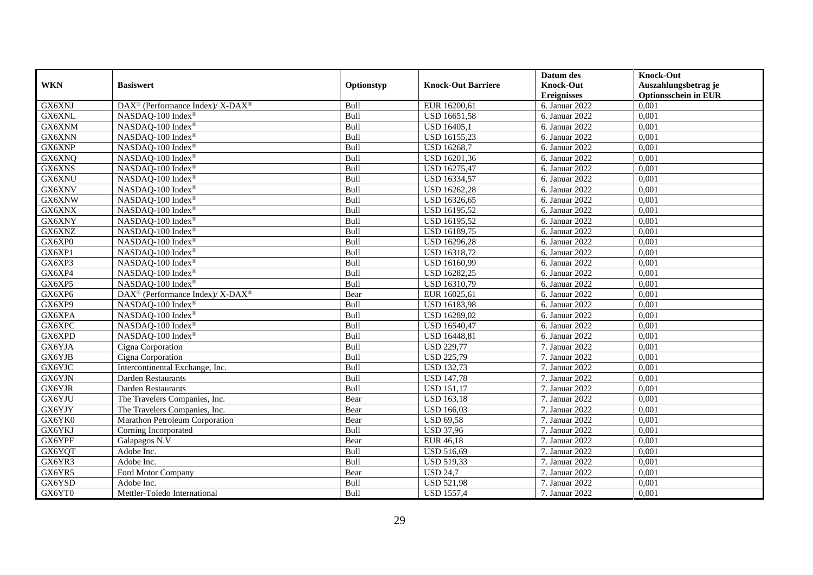|            |                                                          |             |                           | Datum des          | <b>Knock-Out</b>            |
|------------|----------------------------------------------------------|-------------|---------------------------|--------------------|-----------------------------|
| <b>WKN</b> | <b>Basiswert</b>                                         | Optionstyp  | <b>Knock-Out Barriere</b> | <b>Knock-Out</b>   | Auszahlungsbetrag je        |
|            |                                                          |             |                           | <b>Ereignisses</b> | <b>Optionsschein in EUR</b> |
| GX6XNJ     | DAX <sup>®</sup> (Performance Index)/X-DAX <sup>®</sup>  | Bull        | EUR 16200,61              | 6. Januar 2022     | 0,001                       |
| GX6XNL     | NASDAQ-100 Index®                                        | Bull        | USD 16651,58              | 6. Januar 2022     | 0,001                       |
| GX6XNM     | NASDAQ-100 Index®                                        | Bull        | USD 16405,1               | 6. Januar 2022     | 0,001                       |
| GX6XNN     | NASDAQ-100 Index®                                        | Bull        | USD 16155,23              | 6. Januar 2022     | 0,001                       |
| GX6XNP     | NASDAQ-100 Index®                                        | Bull        | <b>USD 16268,7</b>        | 6. Januar 2022     | 0,001                       |
| GX6XNQ     | NASDAQ-100 Index®                                        | Bull        | USD 16201,36              | 6. Januar 2022     | 0,001                       |
| GX6XNS     | NASDAQ-100 Index®                                        | Bull        | USD 16275,47              | 6. Januar 2022     | 0,001                       |
| GX6XNU     | NASDAQ-100 Index®                                        | Bull        | USD 16334,57              | 6. Januar 2022     | 0,001                       |
| GX6XNV     | NASDAQ-100 Index®                                        | Bull        | USD 16262,28              | 6. Januar 2022     | 0,001                       |
| GX6XNW     | NASDAQ-100 Index®                                        | Bull        | USD 16326,65              | 6. Januar 2022     | 0,001                       |
| GX6XNX     | NASDAQ-100 Index®                                        | Bull        | USD 16195,52              | 6. Januar 2022     | 0,001                       |
| GX6XNY     | NASDAQ-100 Index®                                        | Bull        | USD 16195,52              | 6. Januar 2022     | 0,001                       |
| GX6XNZ     | NASDAQ-100 Index®                                        | Bull        | USD 16189,75              | 6. Januar 2022     | 0,001                       |
| GX6XP0     | NASDAQ-100 Index®                                        | Bull        | <b>USD 16296,28</b>       | 6. Januar 2022     | 0,001                       |
| GX6XP1     | NASDAQ-100 Index®                                        | Bull        | USD 16318,72              | 6. Januar 2022     | 0,001                       |
| GX6XP3     | NASDAQ-100 Index®                                        | Bull        | USD 16160,99              | 6. Januar 2022     | 0,001                       |
| GX6XP4     | NASDAQ-100 Index®                                        | Bull        | USD 16282,25              | 6. Januar 2022     | 0,001                       |
| GX6XP5     | NASDAO-100 Index <sup>®</sup>                            | <b>Bull</b> | USD 16310,79              | 6. Januar 2022     | 0.001                       |
| GX6XP6     | DAX <sup>®</sup> (Performance Index)/ X-DAX <sup>®</sup> | Bear        | EUR 16025,61              | 6. Januar 2022     | 0,001                       |
| GX6XP9     | NASDAQ-100 Index®                                        | Bull        | USD 16183,98              | 6. Januar 2022     | 0,001                       |
| GX6XPA     | NASDAQ-100 Index®                                        | Bull        | USD 16289,02              | 6. Januar 2022     | 0,001                       |
| GX6XPC     | NASDAQ-100 Index®                                        | Bull        | USD 16540,47              | 6. Januar 2022     | 0,001                       |
| GX6XPD     | NASDAQ-100 Index®                                        | Bull        | <b>USD 16448,81</b>       | 6. Januar 2022     | 0,001                       |
| GX6YJA     | Cigna Corporation                                        | Bull        | <b>USD 229,77</b>         | 7. Januar 2022     | 0,001                       |
| GX6YJB     | Cigna Corporation                                        | Bull        | <b>USD 225,79</b>         | 7. Januar 2022     | 0.001                       |
| GX6YJC     | Intercontinental Exchange, Inc.                          | Bull        | <b>USD 132,73</b>         | 7. Januar 2022     | 0,001                       |
| GX6YJN     | Darden Restaurants                                       | Bull        | <b>USD 147,78</b>         | 7. Januar 2022     | 0,001                       |
| GX6YJR     | <b>Darden Restaurants</b>                                | Bull        | <b>USD 151,17</b>         | 7. Januar 2022     | 0,001                       |
| GX6YJU     | The Travelers Companies, Inc.                            | Bear        | <b>USD</b> 163,18         | 7. Januar 2022     | 0,001                       |
| GX6YJY     | The Travelers Companies, Inc.                            | Bear        | <b>USD 166,03</b>         | 7. Januar 2022     | 0,001                       |
| GX6YK0     | Marathon Petroleum Corporation                           | Bear        | <b>USD 69,58</b>          | 7. Januar 2022     | 0,001                       |
| GX6YKJ     | Corning Incorporated                                     | Bull        | <b>USD 37,96</b>          | 7. Januar 2022     | 0.001                       |
| GX6YPF     | Galapagos N.V                                            | Bear        | EUR 46,18                 | 7. Januar 2022     | 0,001                       |
| GX6YQT     | Adobe Inc.                                               | Bull        | <b>USD 516,69</b>         | 7. Januar 2022     | 0,001                       |
| GX6YR3     | Adobe Inc.                                               | Bull        | <b>USD 519,33</b>         | 7. Januar 2022     | 0,001                       |
| GX6YR5     | Ford Motor Company                                       | Bear        | <b>USD 24,7</b>           | 7. Januar 2022     | 0,001                       |
| GX6YSD     | Adobe Inc.                                               | Bull        | <b>USD 521,98</b>         | 7. Januar 2022     | 0,001                       |
| GX6YT0     | Mettler-Toledo International                             | Bull        | <b>USD 1557,4</b>         | 7. Januar 2022     | 0,001                       |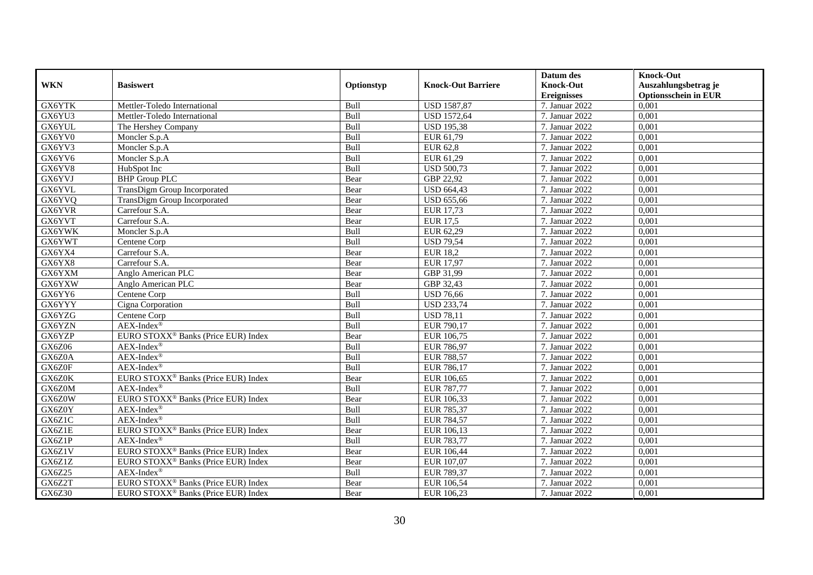|            |                                                 |            |                           | Datum des          | <b>Knock-Out</b>            |
|------------|-------------------------------------------------|------------|---------------------------|--------------------|-----------------------------|
| <b>WKN</b> | <b>Basiswert</b>                                | Optionstyp | <b>Knock-Out Barriere</b> | <b>Knock-Out</b>   | Auszahlungsbetrag je        |
|            |                                                 |            |                           | <b>Ereignisses</b> | <b>Optionsschein in EUR</b> |
| GX6YTK     | Mettler-Toledo International                    | Bull       | <b>USD 1587,87</b>        | 7. Januar 2022     | 0,001                       |
| GX6YU3     | Mettler-Toledo International                    | Bull       | <b>USD 1572,64</b>        | 7. Januar 2022     | 0,001                       |
| GX6YUL     | The Hershey Company                             | Bull       | <b>USD 195,38</b>         | 7. Januar 2022     | 0,001                       |
| GX6YV0     | Moncler S.p.A                                   | Bull       | EUR 61,79                 | 7. Januar 2022     | 0.001                       |
| GX6YV3     | Moncler S.p.A                                   | Bull       | <b>EUR 62,8</b>           | 7. Januar 2022     | 0,001                       |
| GX6YV6     | Moncler S.p.A                                   | Bull       | EUR 61,29                 | 7. Januar 2022     | 0,001                       |
| GX6YV8     | HubSpot Inc                                     | Bull       | <b>USD 500,73</b>         | 7. Januar 2022     | 0,001                       |
| GX6YVJ     | <b>BHP</b> Group PLC                            | Bear       | GBP 22,92                 | 7. Januar 2022     | 0,001                       |
| GX6YVL     | TransDigm Group Incorporated                    | Bear       | <b>USD 664,43</b>         | 7. Januar 2022     | 0,001                       |
| GX6YVQ     | TransDigm Group Incorporated                    | Bear       | <b>USD 655,66</b>         | 7. Januar 2022     | 0,001                       |
| GX6YVR     | Carrefour S.A.                                  | Bear       | EUR 17,73                 | 7. Januar 2022     | 0.001                       |
| GX6YVT     | Carrefour S.A.                                  | Bear       | EUR 17,5                  | 7. Januar 2022     | 0,001                       |
| GX6YWK     | Moncler S.p.A                                   | Bull       | EUR 62,29                 | 7. Januar 2022     | 0,001                       |
| GX6YWT     | Centene Corp                                    | Bull       | <b>USD 79,54</b>          | 7. Januar 2022     | 0,001                       |
| GX6YX4     | Carrefour S.A.                                  | Bear       | <b>EUR 18,2</b>           | 7. Januar 2022     | 0,001                       |
| GX6YX8     | Carrefour S.A.                                  | Bear       | <b>EUR 17,97</b>          | 7. Januar 2022     | 0,001                       |
| GX6YXM     | Anglo American PLC                              | Bear       | GBP 31,99                 | 7. Januar 2022     | 0,001                       |
| GX6YXW     | Anglo American PLC                              | Bear       | GBP 32,43                 | 7. Januar 2022     | 0.001                       |
| GX6YY6     | Centene Corp                                    | Bull       | <b>USD 76,66</b>          | 7. Januar 2022     | 0,001                       |
| GX6YYY     | Cigna Corporation                               | Bull       | <b>USD 233,74</b>         | 7. Januar 2022     | 0,001                       |
| GX6YZG     | Centene Corp                                    | Bull       | <b>USD 78,11</b>          | 7. Januar 2022     | 0,001                       |
| GX6YZN     | $AEX-Index^{\circledR}$                         | Bull       | EUR 790,17                | 7. Januar 2022     | 0,001                       |
| GX6YZP     | EURO STOXX <sup>®</sup> Banks (Price EUR) Index | Bear       | EUR 106,75                | 7. Januar 2022     | 0,001                       |
| GX6Z06     | AEX-Index®                                      | Bull       | EUR 786,97                | 7. Januar 2022     | 0,001                       |
| GX6Z0A     | $AEX-Index^{\circledR}$                         | Bull       | <b>EUR 788,57</b>         | 7. Januar 2022     | 0.001                       |
| GX6Z0F     | $AEX-Index^{\circledR}$                         | Bull       | EUR 786,17                | 7. Januar 2022     | 0,001                       |
| GX6Z0K     | EURO STOXX <sup>®</sup> Banks (Price EUR) Index | Bear       | EUR 106,65                | 7. Januar 2022     | 0,001                       |
| GX6Z0M     | $AEX-Index^{\circledR}$                         | Bull       | EUR 787,77                | 7. Januar 2022     | 0,001                       |
| GX6Z0W     | EURO STOXX <sup>®</sup> Banks (Price EUR) Index | Bear       | EUR 106,33                | 7. Januar 2022     | 0,001                       |
| GX6Z0Y     | $AEX-Index^{\circledR}$                         | Bull       | EUR 785,37                | 7. Januar 2022     | 0,001                       |
| GX6Z1C     | $AEX-Index^{\circledR}$                         | Bull       | EUR 784,57                | 7. Januar 2022     | 0,001                       |
| GX6Z1E     | EURO STOXX <sup>®</sup> Banks (Price EUR) Index | Bear       | EUR 106,13                | 7. Januar 2022     | 0.001                       |
| GX6Z1P     | $AEX-Index^{\circledR}$                         | Bull       | EUR 783,77                | 7. Januar 2022     | 0,001                       |
| GX6Z1V     | EURO STOXX <sup>®</sup> Banks (Price EUR) Index | Bear       | EUR 106,44                | 7. Januar 2022     | 0,001                       |
| GX6Z1Z     | EURO STOXX <sup>®</sup> Banks (Price EUR) Index | Bear       | EUR 107,07                | 7. Januar 2022     | 0,001                       |
| GX6Z25     | $AEX-Index^{\circledR}$                         | Bull       | EUR 789,37                | 7. Januar 2022     | 0,001                       |
| GX6Z2T     | EURO STOXX <sup>®</sup> Banks (Price EUR) Index | Bear       | EUR 106,54                | 7. Januar 2022     | 0,001                       |
| GX6Z30     | EURO STOXX <sup>®</sup> Banks (Price EUR) Index | Bear       | EUR 106,23                | 7. Januar 2022     | 0,001                       |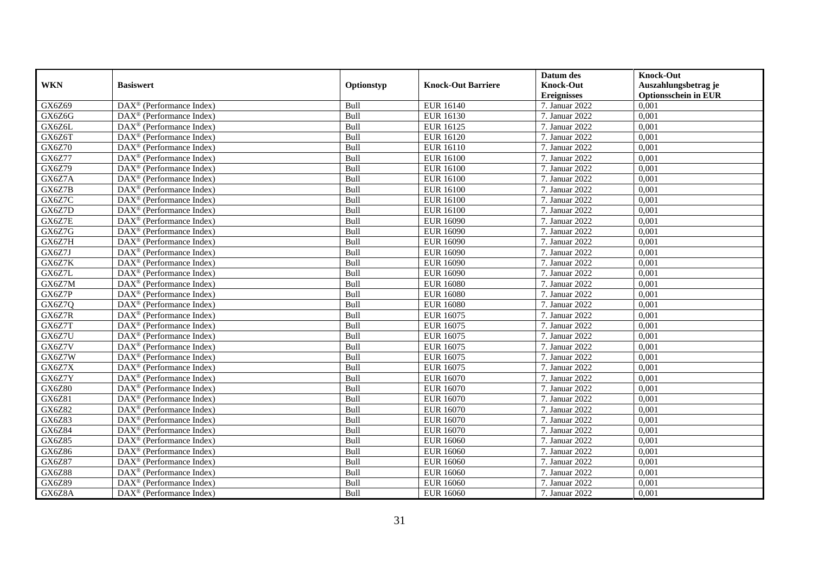|               |                                                         |            |                           | Datum des          | <b>Knock-Out</b>            |
|---------------|---------------------------------------------------------|------------|---------------------------|--------------------|-----------------------------|
| <b>WKN</b>    | <b>Basiswert</b>                                        | Optionstyp | <b>Knock-Out Barriere</b> | <b>Knock-Out</b>   | Auszahlungsbetrag je        |
|               |                                                         |            |                           | <b>Ereignisses</b> | <b>Optionsschein in EUR</b> |
| GX6Z69        | $\overline{\text{DAX}}^{\textcirc}$ (Performance Index) | Bull       | <b>EUR 16140</b>          | 7. Januar 2022     | 0,001                       |
| GX6Z6G        | $DAX^{\circledR}$ (Performance Index)                   | Bull       | <b>EUR 16130</b>          | 7. Januar 2022     | 0,001                       |
| GX6Z6L        | DAX <sup>®</sup> (Performance Index)                    | Bull       | <b>EUR 16125</b>          | 7. Januar 2022     | 0,001                       |
| GX6Z6T        | $DAX^{\circledast}$ (Performance Index)                 | Bull       | <b>EUR 16120</b>          | 7. Januar 2022     | 0,001                       |
| <b>GX6Z70</b> | DAX <sup>®</sup> (Performance Index)                    | Bull       | <b>EUR 16110</b>          | 7. Januar 2022     | 0,001                       |
| <b>GX6Z77</b> | $\text{DAX}^{\textcircled{}}$ (Performance Index)       | Bull       | <b>EUR 16100</b>          | 7. Januar 2022     | 0,001                       |
| GX6Z79        | $\text{DAX}^{\textcircled{}}$ (Performance Index)       | Bull       | <b>EUR 16100</b>          | 7. Januar 2022     | 0,001                       |
| GX6Z7A        | $DAX^{\circledast}$ (Performance Index)                 | Bull       | <b>EUR 16100</b>          | 7. Januar 2022     | 0,001                       |
| GX6Z7B        | $\text{DAX}^{\textcircled{}}$ (Performance Index)       | Bull       | <b>EUR 16100</b>          | 7. Januar 2022     | 0,001                       |
| GX6Z7C        | DAX <sup>®</sup> (Performance Index)                    | Bull       | <b>EUR 16100</b>          | 7. Januar 2022     | 0,001                       |
| GX6Z7D        | DAX <sup>®</sup> (Performance Index)                    | Bull       | <b>EUR 16100</b>          | 7. Januar 2022     | 0,001                       |
| GX6Z7E        | $\overline{\text{DAX}^{\otimes}}$ (Performance Index)   | Bull       | <b>EUR 16090</b>          | 7. Januar 2022     | 0,001                       |
| GX6Z7G        | $DAX^{\circledast}$ (Performance Index)                 | Bull       | <b>EUR 16090</b>          | 7. Januar 2022     | 0,001                       |
| GX6Z7H        | DAX <sup>®</sup> (Performance Index)                    | Bull       | <b>EUR 16090</b>          | 7. Januar 2022     | 0,001                       |
| GX6Z7J        | DAX <sup>®</sup> (Performance Index)                    | Bull       | <b>EUR 16090</b>          | 7. Januar 2022     | 0,001                       |
| GX6Z7K        | DAX <sup>®</sup> (Performance Index)                    | Bull       | <b>EUR 16090</b>          | 7. Januar 2022     | 0,001                       |
| GX6Z7L        | $\text{DAX}^{\textcircled{}}$ (Performance Index)       | Bull       | <b>EUR 16090</b>          | 7. Januar 2022     | 0,001                       |
| GX6Z7M        | $\overline{\text{DAX}}^{\textcirc}$ (Performance Index) | Bull       | <b>EUR 16080</b>          | 7. Januar 2022     | 0.001                       |
| GX6Z7P        | DAX <sup>®</sup> (Performance Index)                    | Bull       | <b>EUR 16080</b>          | 7. Januar 2022     | 0,001                       |
| GX6Z7Q        | DAX <sup>®</sup> (Performance Index)                    | Bull       | <b>EUR 16080</b>          | 7. Januar 2022     | 0,001                       |
| GX6Z7R        | DAX <sup>®</sup> (Performance Index)                    | Bull       | <b>EUR 16075</b>          | 7. Januar 2022     | 0,001                       |
| GX6Z7T        | $\overline{\text{DAX}^{\otimes}}$ (Performance Index)   | Bull       | <b>EUR 16075</b>          | 7. Januar 2022     | 0,001                       |
| GX6Z7U        | $\text{DAX}^{\textcircled{}}$ (Performance Index)       | Bull       | EUR 16075                 | 7. Januar 2022     | 0,001                       |
| GX6Z7V        | DAX <sup>®</sup> (Performance Index)                    | Bull       | <b>EUR 16075</b>          | 7. Januar 2022     | 0,001                       |
| GX6Z7W        | $\text{DAX}^{\circledast}$ (Performance Index)          | Bull       | <b>EUR 16075</b>          | 7. Januar 2022     | 0,001                       |
| GX6Z7X        | DAX <sup>®</sup> (Performance Index)                    | Bull       | <b>EUR 16075</b>          | 7. Januar 2022     | 0,001                       |
| GX6Z7Y        | $DAX^{\circledast}$ (Performance Index)                 | Bull       | <b>EUR 16070</b>          | 7. Januar 2022     | 0,001                       |
| GX6Z80        | $DAX^{\circledR}$ (Performance Index)                   | Bull       | <b>EUR 16070</b>          | 7. Januar 2022     | 0.001                       |
| GX6Z81        | $\overline{\text{DAX}}^{\textcirc}$ (Performance Index) | Bull       | <b>EUR 16070</b>          | 7. Januar 2022     | 0,001                       |
| GX6Z82        | $\text{DAX}^{\textcircled{}}$ (Performance Index)       | Bull       | <b>EUR 16070</b>          | 7. Januar 2022     | 0,001                       |
| GX6Z83        | DAX <sup>®</sup> (Performance Index)                    | Bull       | <b>EUR 16070</b>          | 7. Januar 2022     | 0,001                       |
| GX6Z84        | $DAX^{\circledast}$ (Performance Index)                 | Bull       | <b>EUR 16070</b>          | 7. Januar 2022     | 0.001                       |
| GX6Z85        | DAX <sup>®</sup> (Performance Index)                    | Bull       | <b>EUR 16060</b>          | 7. Januar 2022     | 0,001                       |
| <b>GX6Z86</b> | $\text{DAX}^{\textcircled{}}$ (Performance Index)       | Bull       | <b>EUR 16060</b>          | 7. Januar 2022     | 0,001                       |
| GX6Z87        | $\text{DAX}^{\circledast}$ (Performance Index)          | Bull       | <b>EUR 16060</b>          | 7. Januar 2022     | 0,001                       |
| GX6Z88        | $\text{DAX}^{\textcircled{}}$ (Performance Index)       | Bull       | <b>EUR 16060</b>          | 7. Januar 2022     | 0,001                       |
| GX6Z89        | DAX <sup>®</sup> (Performance Index)                    | Bull       | <b>EUR 16060</b>          | 7. Januar 2022     | 0,001                       |
| GX6Z8A        | $\text{DAX}^{\circledast}$ (Performance Index)          | Bull       | <b>EUR 16060</b>          | 7. Januar 2022     | 0,001                       |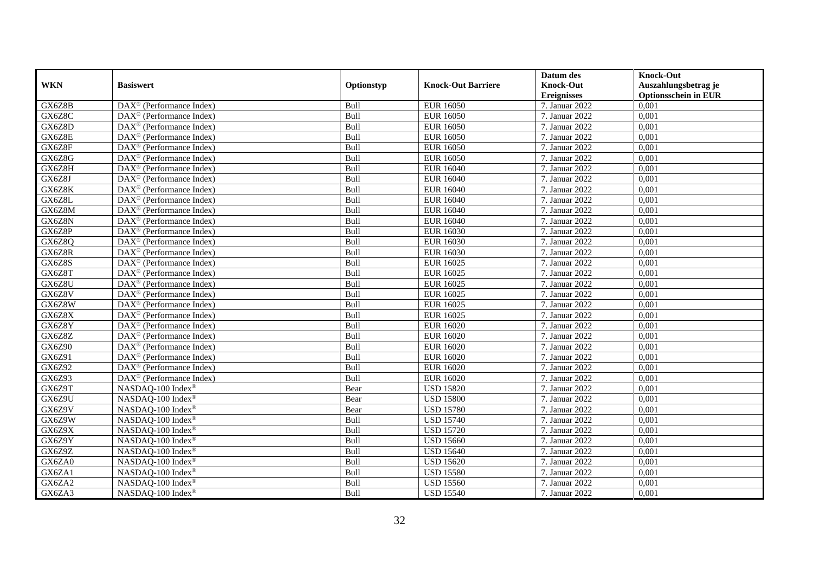|            |                                                               |            |                           | Datum des          | <b>Knock-Out</b>            |
|------------|---------------------------------------------------------------|------------|---------------------------|--------------------|-----------------------------|
| <b>WKN</b> | <b>Basiswert</b>                                              | Optionstyp | <b>Knock-Out Barriere</b> | <b>Knock-Out</b>   | Auszahlungsbetrag je        |
|            |                                                               |            |                           | <b>Ereignisses</b> | <b>Optionsschein in EUR</b> |
| GX6Z8B     | DAX <sup>®</sup> (Performance Index)                          | Bull       | <b>EUR 16050</b>          | 7. Januar 2022     | 0,001                       |
| GX6Z8C     | $\overline{\text{DAX}^{\otimes}}$ (Performance Index)         | Bull       | <b>EUR 16050</b>          | 7. Januar 2022     | 0,001                       |
| GX6Z8D     | $DAX^{\circledR}$ (Performance Index)                         | Bull       | <b>EUR 16050</b>          | 7. Januar 2022     | 0,001                       |
| GX6Z8E     | DAX <sup>®</sup> (Performance Index)                          | Bull       | <b>EUR 16050</b>          | 7. Januar 2022     | 0,001                       |
| GX6Z8F     | DAX <sup>®</sup> (Performance Index)                          | Bull       | <b>EUR 16050</b>          | 7. Januar 2022     | 0,001                       |
| GX6Z8G     | $\text{DAX}^{\textcircled{}}$ (Performance Index)             | Bull       | <b>EUR 16050</b>          | 7. Januar 2022     | 0,001                       |
| GX6Z8H     | $DAX^{\circledast}$ (Performance Index)                       | Bull       | <b>EUR 16040</b>          | 7. Januar 2022     | 0,001                       |
| GX6Z8J     | DAX <sup>®</sup> (Performance Index)                          | Bull       | <b>EUR 16040</b>          | 7. Januar 2022     | 0,001                       |
| GX6Z8K     | DAX <sup>®</sup> (Performance Index)                          | Bull       | <b>EUR 16040</b>          | 7. Januar 2022     | 0,001                       |
| GX6Z8L     | DAX <sup>®</sup> (Performance Index)                          | Bull       | <b>EUR 16040</b>          | 7. Januar 2022     | 0,001                       |
| GX6Z8M     | $\overline{\text{DAX}^{\otimes}}$ (Performance Index)         | Bull       | <b>EUR 16040</b>          | 7. Januar 2022     | 0,001                       |
| GX6Z8N     | $\overline{\text{DA}}X^{\textcircled{e}}$ (Performance Index) | Bull       | <b>EUR 16040</b>          | 7. Januar 2022     | 0,001                       |
| GX6Z8P     | DAX <sup>®</sup> (Performance Index)                          | Bull       | <b>EUR 16030</b>          | 7. Januar 2022     | 0,001                       |
| GX6Z8Q     | $DAX^{\circledR}$ (Performance Index)                         | Bull       | <b>EUR 16030</b>          | 7. Januar 2022     | 0,001                       |
| GX6Z8R     | $DAX^{\circledast}$ (Performance Index)                       | Bull       | <b>EUR 16030</b>          | 7. Januar 2022     | 0,001                       |
| GX6Z8S     | $\text{DAX}^{\textcircled{}}$ (Performance Index)             | Bull       | EUR 16025                 | 7. Januar 2022     | 0,001                       |
| GX6Z8T     | $\text{DAX}^{\circledast}$ (Performance Index)                | Bull       | <b>EUR 16025</b>          | 7. Januar 2022     | 0,001                       |
| GX6Z8U     | $DAX^{\circledR}$ (Performance Index)                         | Bull       | EUR 16025                 | 7. Januar 2022     | 0.001                       |
| GX6Z8V     | $\text{DAX}^{\textcircled{}}$ (Performance Index)             | Bull       | <b>EUR 16025</b>          | 7. Januar 2022     | 0,001                       |
| GX6Z8W     | DAX <sup>®</sup> (Performance Index)                          | Bull       | <b>EUR 16025</b>          | 7. Januar 2022     | 0,001                       |
| GX6Z8X     | $\overline{\text{DAX}}^{\textcirc}$ (Performance Index)       | Bull       | <b>EUR 16025</b>          | 7. Januar 2022     | 0,001                       |
| GX6Z8Y     | $\overline{\text{DAX}^{\otimes}}$ (Performance Index)         | Bull       | <b>EUR 16020</b>          | 7. Januar 2022     | 0,001                       |
| GX6Z8Z     | $\overline{\text{DAX}^{\otimes}}$ (Performance Index)         | Bull       | <b>EUR 16020</b>          | 7. Januar 2022     | 0,001                       |
| GX6Z90     | $\text{DAX}^{\circledast}$ (Performance Index)                | Bull       | <b>EUR 16020</b>          | 7. Januar 2022     | 0,001                       |
| GX6Z91     | $\text{DAX}^{\textcircled{}}$ (Performance Index)             | Bull       | <b>EUR 16020</b>          | 7. Januar 2022     | 0,001                       |
| GX6Z92     | DAX <sup>®</sup> (Performance Index)                          | Bull       | <b>EUR 16020</b>          | 7. Januar 2022     | 0.001                       |
| GX6Z93     | DAX <sup>®</sup> (Performance Index)                          | Bull       | <b>EUR 16020</b>          | 7. Januar 2022     | 0,001                       |
| GX6Z9T     | NASDAQ-100 Index®                                             | Bear       | <b>USD 15820</b>          | 7. Januar 2022     | 0,001                       |
| GX6Z9U     | NASDAQ-100 Index®                                             | Bear       | <b>USD 15800</b>          | 7. Januar 2022     | 0,001                       |
| GX6Z9V     | NASDAQ-100 Index®                                             | Bear       | <b>USD 15780</b>          | 7. Januar 2022     | 0,001                       |
| GX6Z9W     | NASDAQ-100 Index®                                             | Bull       | <b>USD 15740</b>          | 7. Januar 2022     | 0,001                       |
| GX6Z9X     | NASDAQ-100 Index®                                             | Bull       | <b>USD 15720</b>          | 7. Januar 2022     | 0,001                       |
| GX6Z9Y     | NASDAQ-100 Index®                                             | Bull       | <b>USD 15660</b>          | 7. Januar 2022     | 0,001                       |
| GX6Z9Z     | NASDAQ-100 Index®                                             | Bull       | <b>USD 15640</b>          | 7. Januar 2022     | 0,001                       |
| GX6ZA0     | NASDAQ-100 Index®                                             | Bull       | <b>USD 15620</b>          | 7. Januar 2022     | 0,001                       |
| GX6ZA1     | NASDAQ-100 Index®                                             | Bull       | <b>USD 15580</b>          | 7. Januar 2022     | 0,001                       |
| GX6ZA2     | NASDAQ-100 Index®                                             | Bull       | <b>USD 15560</b>          | 7. Januar 2022     | 0,001                       |
| GX6ZA3     | NASDAQ-100 Index®                                             | Bull       | <b>USD 15540</b>          | 7. Januar 2022     | 0,001                       |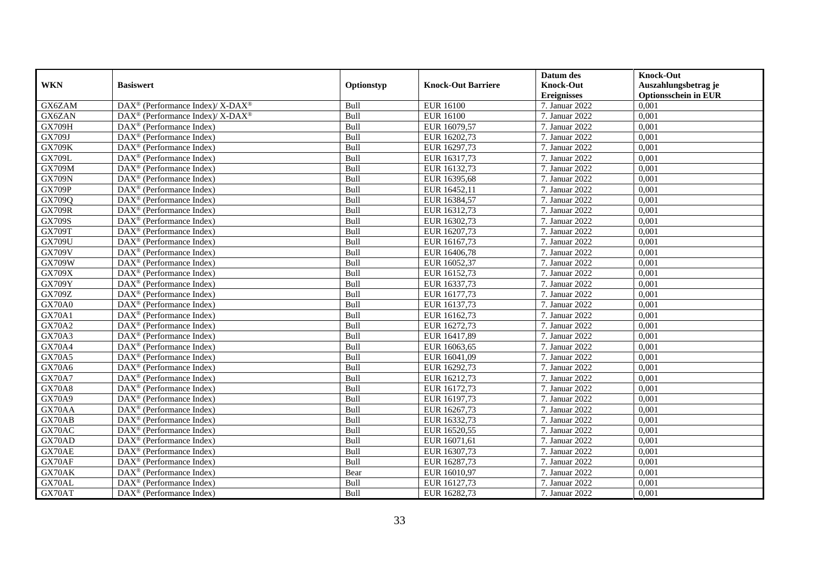|               |                                                              |            |                           | Datum des          | <b>Knock-Out</b>            |
|---------------|--------------------------------------------------------------|------------|---------------------------|--------------------|-----------------------------|
| <b>WKN</b>    | <b>Basiswert</b>                                             | Optionstyp | <b>Knock-Out Barriere</b> | <b>Knock-Out</b>   | Auszahlungsbetrag je        |
|               |                                                              |            |                           | <b>Ereignisses</b> | <b>Optionsschein in EUR</b> |
| GX6ZAM        | DAX <sup>®</sup> (Performance Index)/X-DAX <sup>®</sup>      | Bull       | <b>EUR 16100</b>          | 7. Januar 2022     | 0,001                       |
| GX6ZAN        | DAX <sup>®</sup> (Performance Index)/X-DAX <sup>®</sup>      | Bull       | <b>EUR 16100</b>          | 7. Januar 2022     | 0,001                       |
| <b>GX709H</b> | $DAX^{\circledR}$ (Performance Index)                        | Bull       | EUR 16079,57              | 7. Januar 2022     | 0,001                       |
| GX709J        | $\text{DAX}^{\otimes}$ (Performance Index)                   | Bull       | EUR 16202,73              | 7. Januar 2022     | 0,001                       |
| <b>GX709K</b> | $\overline{\text{DAX}}^{\textcircled{}}$ (Performance Index) | Bull       | EUR 16297,73              | 7. Januar 2022     | 0,001                       |
| <b>GX709L</b> | $\text{DAX}^{\circledast}$ (Performance Index)               | Bull       | EUR 16317,73              | 7. Januar 2022     | 0,001                       |
| <b>GX709M</b> | $\overline{\text{DAX}}^{\textcirc}$ (Performance Index)      | Bull       | EUR 16132,73              | 7. Januar 2022     | 0,001                       |
| <b>GX709N</b> | $\overline{\text{DAX}}^{\textcirc}$ (Performance Index)      | Bull       | EUR 16395,68              | 7. Januar 2022     | 0,001                       |
| <b>GX709P</b> | $DAX^{\circledast}$ (Performance Index)                      | Bull       | EUR 16452,11              | 7. Januar 2022     | 0,001                       |
| GX709Q        | DAX <sup>®</sup> (Performance Index)                         | Bull       | EUR 16384,57              | 7. Januar 2022     | 0.001                       |
| <b>GX709R</b> | $\overline{\text{DAX}^{\otimes}}$ (Performance Index)        | Bull       | EUR 16312,73              | 7. Januar 2022     | 0,001                       |
| <b>GX709S</b> | $\text{DAX}^{\circledast}$ (Performance Index)               | Bull       | EUR 16302,73              | 7. Januar 2022     | 0,001                       |
| <b>GX709T</b> | $\text{DAX}^{\textcircled{}}$ (Performance Index)            | Bull       | EUR 16207,73              | 7. Januar 2022     | 0,001                       |
| <b>GX709U</b> | $DAX^{\circledR}$ (Performance Index)                        | Bull       | EUR 16167.73              | 7. Januar 2022     | 0.001                       |
| <b>GX709V</b> | DAX <sup>®</sup> (Performance Index)                         | Bull       | EUR 16406,78              | 7. Januar 2022     | 0,001                       |
| <b>GX709W</b> | DAX <sup>®</sup> (Performance Index)                         | Bull       | EUR 16052,37              | 7. Januar 2022     | 0,001                       |
| <b>GX709X</b> | DAX <sup>®</sup> (Performance Index)                         | Bull       | EUR 16152,73              | 7. Januar 2022     | 0,001                       |
| <b>GX709Y</b> | $\text{DAX}^{\circledast}$ (Performance Index)               | Bull       | EUR 16337,73              | 7. Januar 2022     | 0,001                       |
| GX709Z        | $\text{DAX}^{\textcircled{}}$ (Performance Index)            | Bull       | EUR 16177,73              | 7. Januar 2022     | 0,001                       |
| <b>GX70A0</b> | $DAX^{\circledast}$ (Performance Index)                      | Bull       | EUR 16137,73              | 7. Januar 2022     | 0,001                       |
| <b>GX70A1</b> | $DAX^{\circledast}$ (Performance Index)                      | Bull       | EUR 16162,73              | 7. Januar 2022     | 0,001                       |
| <b>GX70A2</b> | $DAX^{\circledR}$ (Performance Index)                        | Bull       | EUR 16272,73              | 7. Januar 2022     | 0,001                       |
| <b>GX70A3</b> | $\text{DAX}^{\circledast}$ (Performance Index)               | Bull       | EUR 16417,89              | 7. Januar 2022     | 0,001                       |
| <b>GX70A4</b> | $DAX^{\circledR}$ (Performance Index)                        | Bull       | EUR 16063,65              | 7. Januar 2022     | 0,001                       |
| <b>GX70A5</b> | $DAX^{\circledR}$ (Performance Index)                        | Bull       | EUR 16041,09              | 7. Januar 2022     | 0,001                       |
| GX70A6        | $DAX^{\circledast}$ (Performance Index)                      | Bull       | EUR 16292,73              | 7. Januar 2022     | 0,001                       |
| <b>GX70A7</b> | DAX <sup>®</sup> (Performance Index)                         | Bull       | EUR 16212,73              | 7. Januar 2022     | 0,001                       |
| <b>GX70A8</b> | $\text{DAX}^{\textcircled{}}$ (Performance Index)            | Bull       | EUR 16172,73              | 7. Januar 2022     | 0,001                       |
| GX70A9        | $\text{DAX}^{\textcircled{}}$ (Performance Index)            | Bull       | EUR 16197,73              | 7. Januar 2022     | 0,001                       |
| GX70AA        | $\text{DAX}^{\textcircled{}}$ (Performance Index)            | Bull       | EUR 16267,73              | 7. Januar 2022     | 0,001                       |
| GX70AB        | $DAX^{\circledR}$ (Performance Index)                        | Bull       | EUR 16332,73              | 7. Januar 2022     | 0,001                       |
| GX70AC        | $\text{DAX}^{\otimes}$ (Performance Index)                   | Bull       | EUR 16520,55              | 7. Januar 2022     | 0,001                       |
| GX70AD        | $DAX^{\circledast}$ (Performance Index)                      | Bull       | EUR 16071,61              | 7. Januar 2022     | 0,001                       |
| GX70AE        | $\overline{\text{DAX}}^{\textcirc}$ (Performance Index)      | Bull       | EUR 16307,73              | 7. Januar 2022     | 0,001                       |
| GX70AF        | $\text{DAX}^{\circledast}$ (Performance Index)               | Bull       | EUR 16287,73              | 7. Januar 2022     | 0,001                       |
| GX70AK        | $\text{DAX}^{\textcircled{}}$ (Performance Index)            | Bear       | EUR 16010,97              | 7. Januar 2022     | 0,001                       |
| GX70AL        | $DAX^{\circledast}$ (Performance Index)                      | Bull       | EUR 16127,73              | 7. Januar 2022     | 0,001                       |
| GX70AT        | $\text{DAX}^{\circledast}$ (Performance Index)               | Bull       | EUR 16282,73              | 7. Januar 2022     | 0,001                       |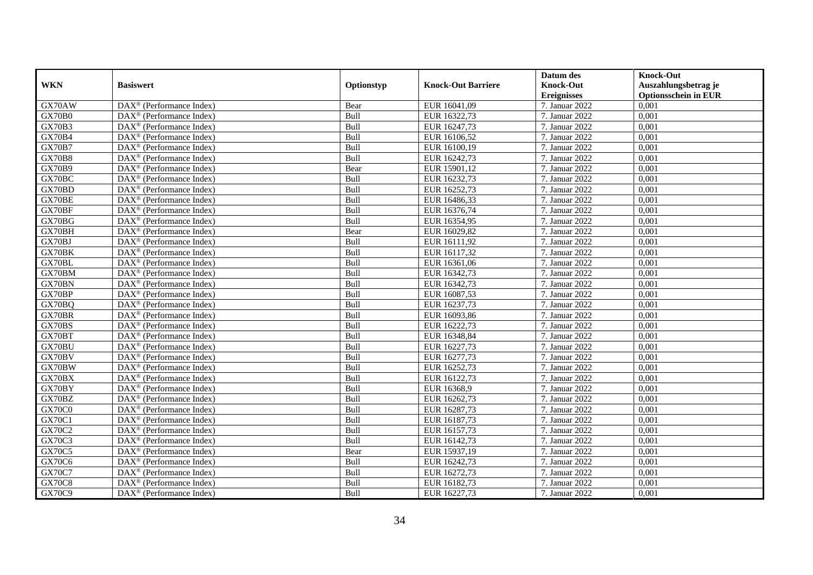|               |                                                         |            |                           | Datum des          | <b>Knock-Out</b>            |
|---------------|---------------------------------------------------------|------------|---------------------------|--------------------|-----------------------------|
| <b>WKN</b>    | <b>Basiswert</b>                                        | Optionstyp | <b>Knock-Out Barriere</b> | <b>Knock-Out</b>   | Auszahlungsbetrag je        |
|               |                                                         |            |                           | <b>Ereignisses</b> | <b>Optionsschein in EUR</b> |
| GX70AW        | $\overline{\text{DAX}}^{\textcirc}$ (Performance Index) | Bear       | EUR 16041,09              | 7. Januar 2022     | 0,001                       |
| GX70B0        | $DAX^{\circledR}$ (Performance Index)                   | Bull       | EUR 16322,73              | 7. Januar 2022     | 0,001                       |
| GX70B3        | DAX <sup>®</sup> (Performance Index)                    | Bull       | EUR 16247,73              | 7. Januar 2022     | 0,001                       |
| GX70B4        | $DAX^{\circledast}$ (Performance Index)                 | Bull       | EUR 16106,52              | 7. Januar 2022     | 0,001                       |
| <b>GX70B7</b> | DAX <sup>®</sup> (Performance Index)                    | Bull       | EUR 16100,19              | 7. Januar 2022     | 0,001                       |
| GX70B8        | $\text{DAX}^{\textcircled{}}$ (Performance Index)       | Bull       | EUR 16242,73              | 7. Januar 2022     | 0,001                       |
| <b>GX70B9</b> | $\text{DAX}^{\textcircled{}}$ (Performance Index)       | Bear       | EUR 15901,12              | 7. Januar 2022     | 0,001                       |
| GX70BC        | $DAX^{\circledR}$ (Performance Index)                   | Bull       | EUR 16232,73              | 7. Januar 2022     | 0,001                       |
| GX70BD        | $\text{DAX}^{\textcircled{}}$ (Performance Index)       | Bull       | EUR 16252,73              | 7. Januar 2022     | 0,001                       |
| GX70BE        | $\overline{\text{DAX}^{\otimes}}$ (Performance Index)   | Bull       | EUR 16486,33              | 7. Januar 2022     | 0,001                       |
| GX70BF        | DAX <sup>®</sup> (Performance Index)                    | Bull       | EUR 16376,74              | 7. Januar 2022     | 0,001                       |
| GX70BG        | $\overline{\text{DAX}^{\otimes}}$ (Performance Index)   | Bull       | EUR 16354,95              | 7. Januar 2022     | 0,001                       |
| GX70BH        | $DAX^{\circledast}$ (Performance Index)                 | Bear       | EUR 16029,82              | 7. Januar 2022     | 0,001                       |
| GX70BJ        | DAX <sup>®</sup> (Performance Index)                    | Bull       | EUR 16111,92              | 7. Januar 2022     | 0,001                       |
| GX70BK        | DAX <sup>®</sup> (Performance Index)                    | Bull       | EUR 16117,32              | 7. Januar 2022     | 0,001                       |
| GX70BL        | DAX <sup>®</sup> (Performance Index)                    | Bull       | EUR 16361,06              | 7. Januar 2022     | 0,001                       |
| GX70BM        | $\text{DAX}^{\textcircled{}}$ (Performance Index)       | Bull       | EUR 16342,73              | 7. Januar 2022     | 0,001                       |
| GX70BN        | $\overline{\text{DAX}}^{\textcirc}$ (Performance Index) | Bull       | EUR 16342,73              | 7. Januar 2022     | 0.001                       |
| GX70BP        | DAX <sup>®</sup> (Performance Index)                    | Bull       | EUR 16087,53              | 7. Januar 2022     | 0,001                       |
| GX70BQ        | $\overline{\text{DAX}}^{\textcirc}$ (Performance Index) | Bull       | EUR 16237,73              | 7. Januar 2022     | 0,001                       |
| GX70BR        | DAX <sup>®</sup> (Performance Index)                    | Bull       | EUR 16093,86              | 7. Januar 2022     | 0,001                       |
| GX70BS        | $\overline{\text{DAX}^{\otimes}}$ (Performance Index)   | Bull       | EUR 16222,73              | 7. Januar 2022     | 0,001                       |
| GX70BT        | $\text{DAX}^{\textcircled{}}$ (Performance Index)       | Bull       | EUR 16348,84              | 7. Januar 2022     | 0,001                       |
| GX70BU        | DAX <sup>®</sup> (Performance Index)                    | Bull       | EUR 16227,73              | 7. Januar 2022     | 0,001                       |
| GX70BV        | DAX <sup>®</sup> (Performance Index)                    | Bull       | EUR 16277,73              | 7. Januar 2022     | 0,001                       |
| GX70BW        | DAX <sup>®</sup> (Performance Index)                    | Bull       | EUR 16252,73              | 7. Januar 2022     | 0,001                       |
| GX70BX        | $DAX^{\circledast}$ (Performance Index)                 | Bull       | EUR 16122,73              | 7. Januar 2022     | 0,001                       |
| GX70BY        | $DAX^{\circledR}$ (Performance Index)                   | Bull       | EUR 16368,9               | 7. Januar 2022     | 0.001                       |
| GX70BZ        | $\text{DAX}^{\circledast}$ (Performance Index)          | Bull       | EUR 16262,73              | 7. Januar 2022     | 0,001                       |
| GX70C0        | $\text{DAX}^{\circledast}$ (Performance Index)          | Bull       | EUR 16287,73              | 7. Januar 2022     | 0,001                       |
| GX70C1        | DAX <sup>®</sup> (Performance Index)                    | Bull       | EUR 16187,73              | 7. Januar 2022     | 0,001                       |
| <b>GX70C2</b> | $DAX^{\circledast}$ (Performance Index)                 | Bull       | EUR 16157,73              | 7. Januar 2022     | 0.001                       |
| <b>GX70C3</b> | DAX <sup>®</sup> (Performance Index)                    | Bull       | EUR 16142,73              | 7. Januar 2022     | 0,001                       |
| <b>GX70C5</b> | $\text{DAX}^{\textcircled{}}$ (Performance Index)       | Bear       | EUR 15937,19              | 7. Januar 2022     | 0,001                       |
| GX70C6        | $\text{DAX}^{\circledast}$ (Performance Index)          | Bull       | EUR 16242,73              | 7. Januar 2022     | 0,001                       |
| <b>GX70C7</b> | $\text{DAX}^{\textcircled{}}$ (Performance Index)       | Bull       | EUR 16272,73              | 7. Januar 2022     | 0,001                       |
| <b>GX70C8</b> | $DAX^{\circledast}$ (Performance Index)                 | Bull       | EUR 16182,73              | 7. Januar 2022     | 0,001                       |
| <b>GX70C9</b> | $\text{DAX}^{\circledast}$ (Performance Index)          | Bull       | EUR 16227,73              | 7. Januar 2022     | 0,001                       |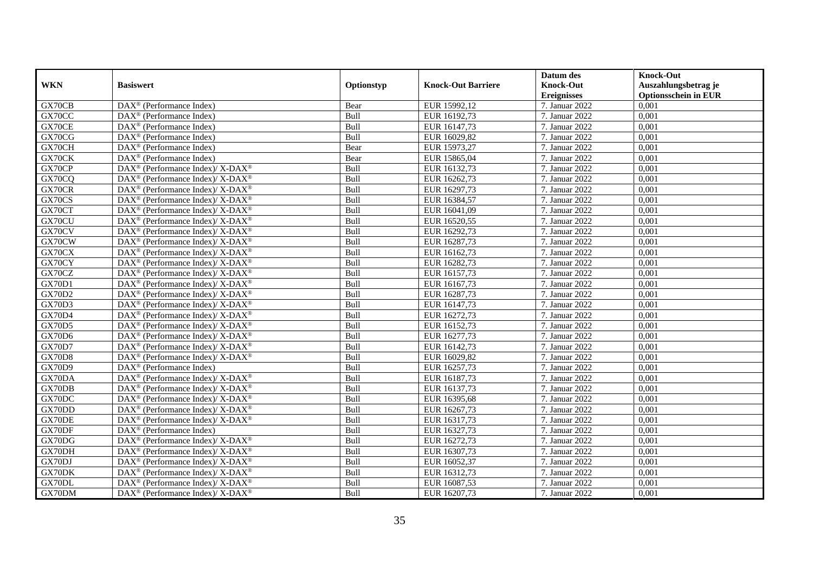|               |                                                                    |            |                           | Datum des          | <b>Knock-Out</b>            |
|---------------|--------------------------------------------------------------------|------------|---------------------------|--------------------|-----------------------------|
| <b>WKN</b>    | <b>Basiswert</b>                                                   | Optionstyp | <b>Knock-Out Barriere</b> | <b>Knock-Out</b>   | Auszahlungsbetrag je        |
|               |                                                                    |            |                           | <b>Ereignisses</b> | <b>Optionsschein in EUR</b> |
| GX70CB        | DAX <sup>®</sup> (Performance Index)                               | Bear       | EUR 15992,12              | 7. Januar 2022     | 0,001                       |
| GX70CC        | $\text{DAX}^{\textcircled{n}}$ (Performance Index)                 | Bull       | EUR 16192,73              | 7. Januar 2022     | 0,001                       |
| GX70CE        | DAX <sup>®</sup> (Performance Index)                               | Bull       | EUR 16147,73              | 7. Januar 2022     | 0,001                       |
| GX70CG        | $\text{DAX}^{\otimes}$ (Performance Index)                         | Bull       | EUR 16029,82              | 7. Januar 2022     | 0,001                       |
| GX70CH        | DAX <sup>®</sup> (Performance Index)                               | Bear       | EUR 15973,27              | 7. Januar 2022     | 0,001                       |
| GX70CK        | $\text{DAX}^{\textcircled{p}}$ (Performance Index)                 | Bear       | EUR 15865,04              | 7. Januar 2022     | 0,001                       |
| GX70CP        | $\text{DAX}^{\circledR}$ (Performance Index)/ X-DAX <sup>®</sup>   | Bull       | EUR 16132,73              | 7. Januar 2022     | 0,001                       |
| GX70CQ        | $\text{DAX}^{\circledast}$ (Performance Index)/ X-DAX <sup>®</sup> | Bull       | EUR 16262,73              | 7. Januar 2022     | 0,001                       |
| GX70CR        | $\text{DAX}^{\circledast}$ (Performance Index)/ X-DAX <sup>®</sup> | Bull       | EUR 16297,73              | 7. Januar 2022     | 0,001                       |
| GX70CS        | DAX <sup>®</sup> (Performance Index)/X-DAX <sup>®</sup>            | Bull       | EUR 16384,57              | 7. Januar 2022     | 0,001                       |
| GX70CT        | $\text{DAX}^{\circledast}$ (Performance Index)/ X-DAX <sup>®</sup> | Bull       | EUR 16041,09              | 7. Januar 2022     | 0,001                       |
| GX70CU        | $\text{DAX}^{\circledR}$ (Performance Index)/ X-DAX <sup>®</sup>   | Bull       | EUR 16520,55              | 7. Januar 2022     | 0,001                       |
| GX70CV        | $\text{DAX}^{\circledast}$ (Performance Index)/ X-DAX <sup>®</sup> | Bull       | EUR 16292,73              | 7. Januar 2022     | 0,001                       |
| GX70CW        | $\text{DAX}^{\circledast}$ (Performance Index)/X-DAX <sup>®</sup>  | Bull       | EUR 16287,73              | 7. Januar 2022     | 0,001                       |
| GX70CX        | DAX <sup>®</sup> (Performance Index)/ X-DAX <sup>®</sup>           | Bull       | EUR 16162,73              | 7. Januar 2022     | 0,001                       |
| GX70CY        | DAX <sup>®</sup> (Performance Index)/ X-DAX <sup>®</sup>           | Bull       | EUR 16282,73              | 7. Januar 2022     | 0,001                       |
| GX70CZ        | DAX <sup>®</sup> (Performance Index)/ X-DAX <sup>®</sup>           | Bull       | EUR 16157,73              | 7. Januar 2022     | 0,001                       |
| GX70D1        | $DAX^{\circledcirc}$ (Performance Index)/X-DAX <sup>®</sup>        | Bull       | EUR 16167,73              | 7. Januar 2022     | 0,001                       |
| <b>GX70D2</b> | $\text{DAX}^{\circledast}$ (Performance Index)/ X-DAX <sup>®</sup> | Bull       | EUR 16287,73              | 7. Januar 2022     | 0,001                       |
| <b>GX70D3</b> | DAX <sup>®</sup> (Performance Index)/X-DAX <sup>®</sup>            | Bull       | EUR 16147,73              | 7. Januar 2022     | 0,001                       |
| GX70D4        | $\text{DAX}^{\circledR}$ (Performance Index)/ X-DAX <sup>®</sup>   | Bull       | EUR 16272,73              | 7. Januar 2022     | 0,001                       |
| GX70D5        | $\text{DAX}^{\circledast}$ (Performance Index)/ X-DAX <sup>®</sup> | Bull       | EUR 16152,73              | 7. Januar 2022     | 0,001                       |
| GX70D6        | DAX <sup>®</sup> (Performance Index)/ X-DAX <sup>®</sup>           | Bull       | EUR 16277,73              | 7. Januar 2022     | 0,001                       |
| GX70D7        | DAX <sup>®</sup> (Performance Index)/ X-DAX <sup>®</sup>           | Bull       | EUR 16142,73              | 7. Januar 2022     | 0,001                       |
| <b>GX70D8</b> | $DAX^{\circledcirc}$ (Performance Index)/X-DAX <sup>®</sup>        | Bull       | EUR 16029,82              | 7. Januar 2022     | 0.001                       |
| GX70D9        | DAX <sup>®</sup> (Performance Index)                               | Bull       | EUR 16257,73              | 7. Januar 2022     | 0,001                       |
| GX70DA        | DAX <sup>®</sup> (Performance Index)/ X-DAX <sup>®</sup>           | Bull       | EUR 16187,73              | 7. Januar 2022     | 0,001                       |
| GX70DB        | DAX <sup>®</sup> (Performance Index)/ X-DAX <sup>®</sup>           | Bull       | EUR 16137,73              | 7. Januar 2022     | 0,001                       |
| GX70DC        | DAX <sup>®</sup> (Performance Index)/ X-DAX <sup>®</sup>           | Bull       | EUR 16395,68              | 7. Januar 2022     | 0,001                       |
| GX70DD        | $DAX^{\circledast}$ (Performance Index)/ X-DAX <sup>®</sup>        | Bull       | EUR 16267,73              | 7. Januar 2022     | 0,001                       |
| GX70DE        | $\text{DAX}^{\circledast}$ (Performance Index)/X-DAX <sup>®</sup>  | Bull       | EUR 16317,73              | 7. Januar 2022     | 0,001                       |
| GX70DF        | $DAX^{\circledR}$ (Performance Index)                              | Bull       | EUR 16327,73              | 7. Januar 2022     | 0.001                       |
| GX70DG        | DAX <sup>®</sup> (Performance Index)/ X-DAX <sup>®</sup>           | Bull       | EUR 16272,73              | 7. Januar 2022     | 0,001                       |
| GX70DH        | DAX <sup>®</sup> (Performance Index)/ X-DAX <sup>®</sup>           | Bull       | EUR 16307,73              | 7. Januar 2022     | 0,001                       |
| GX70DJ        | DAX <sup>®</sup> (Performance Index)/ X-DAX <sup>®</sup>           | Bull       | EUR 16052,37              | 7. Januar 2022     | 0,001                       |
| GX70DK        | $\text{DAX}^{\otimes}$ (Performance Index)/X-DAX <sup>®</sup>      | Bull       | EUR 16312,73              | 7. Januar 2022     | 0,001                       |
| GX70DL        | DAX <sup>®</sup> (Performance Index)/X-DAX <sup>®</sup>            | Bull       | EUR 16087,53              | 7. Januar 2022     | 0,001                       |
| GX70DM        | DAX <sup>®</sup> (Performance Index)/ X-DAX <sup>®</sup>           | Bull       | EUR 16207,73              | 7. Januar 2022     | 0,001                       |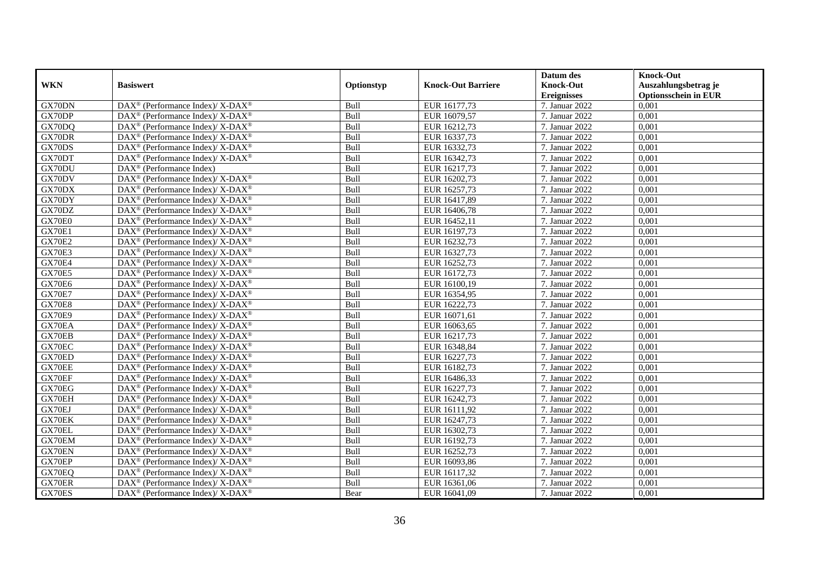|               |                                                                    |            |                           | Datum des          | <b>Knock-Out</b>            |
|---------------|--------------------------------------------------------------------|------------|---------------------------|--------------------|-----------------------------|
| <b>WKN</b>    | <b>Basiswert</b>                                                   | Optionstyp | <b>Knock-Out Barriere</b> | <b>Knock-Out</b>   | Auszahlungsbetrag je        |
|               |                                                                    |            |                           | <b>Ereignisses</b> | <b>Optionsschein in EUR</b> |
| GX70DN        | DAX <sup>®</sup> (Performance Index)/ X-DAX <sup>®</sup>           | Bull       | EUR 16177,73              | 7. Januar 2022     | 0,001                       |
| GX70DP        | $\text{DAX}^{\circledR}$ (Performance Index)/ X-DAX <sup>®</sup>   | Bull       | EUR 16079,57              | 7. Januar 2022     | 0,001                       |
| GX70DQ        | $\text{DAX}^{\circledast}$ (Performance Index)/ X-DAX <sup>®</sup> | Bull       | EUR 16212,73              | 7. Januar 2022     | 0,001                       |
| GX70DR        | DAX <sup>®</sup> (Performance Index)/ X-DAX <sup>®</sup>           | Bull       | EUR 16337,73              | 7. Januar 2022     | 0,001                       |
| GX70DS        | $\text{DAX}^{\circledast}$ (Performance Index)/ X-DAX <sup>®</sup> | Bull       | EUR 16332,73              | 7. Januar 2022     | 0,001                       |
| GX70DT        | $\text{DAX}^{\circledast}$ (Performance Index)/X-DAX <sup>®</sup>  | Bull       | EUR 16342,73              | 7. Januar 2022     | 0,001                       |
| GX70DU        | $\overline{\text{DAX}}^{\textcirc}$ (Performance Index)            | Bull       | EUR 16217,73              | 7. Januar 2022     | 0,001                       |
| GX70DV        | DAX <sup>®</sup> (Performance Index)/ X-DAX <sup>®</sup>           | Bull       | EUR 16202,73              | 7. Januar 2022     | 0,001                       |
| GX70DX        | DAX <sup>®</sup> (Performance Index)/ X-DAX <sup>®</sup>           | Bull       | EUR 16257,73              | 7. Januar 2022     | 0,001                       |
| GX70DY        | $\text{DAX}^{\circledast}$ (Performance Index)/X-DAX <sup>®</sup>  | Bull       | EUR 16417,89              | 7. Januar 2022     | 0,001                       |
| GX70DZ        | $\text{DAX}^{\circledast}$ (Performance Index)/ X-DAX <sup>®</sup> | Bull       | EUR 16406,78              | 7. Januar 2022     | 0,001                       |
| GX70E0        | DAX <sup>®</sup> (Performance Index)/ X-DAX <sup>®</sup>           | Bull       | EUR 16452,11              | 7. Januar 2022     | 0,001                       |
| <b>GX70E1</b> | $\text{DAX}^{\circledast}$ (Performance Index)/ X-DAX <sup>®</sup> | Bull       | EUR 16197,73              | 7. Januar 2022     | 0,001                       |
| <b>GX70E2</b> | $\text{DAX}^{\circledast}$ (Performance Index)/ X-DAX <sup>®</sup> | Bull       | EUR 16232,73              | 7. Januar 2022     | 0,001                       |
| <b>GX70E3</b> | DAX <sup>®</sup> (Performance Index)/ X-DAX <sup>®</sup>           | Bull       | EUR 16327,73              | 7. Januar 2022     | 0,001                       |
| GX70E4        | $\text{DAX}^{\circledast}$ (Performance Index)/ X-DAX <sup>®</sup> | Bull       | EUR 16252,73              | 7. Januar 2022     | 0,001                       |
| <b>GX70E5</b> | DAX <sup>®</sup> (Performance Index)/ X-DAX <sup>®</sup>           | Bull       | EUR 16172,73              | 7. Januar 2022     | 0,001                       |
| GX70E6        | DAX <sup>®</sup> (Performance Index)/ X-DAX <sup>®</sup>           | Bull       | EUR 16100,19              | 7. Januar 2022     | 0,001                       |
| <b>GX70E7</b> | $\text{DAX}^{\otimes}$ (Performance Index)/X-DAX <sup>®</sup>      | Bull       | EUR 16354,95              | 7. Januar 2022     | 0,001                       |
| <b>GX70E8</b> | $\text{DAX}^{\circledast}$ (Performance Index)/ X-DAX <sup>®</sup> | Bull       | EUR 16222,73              | 7. Januar 2022     | 0,001                       |
| <b>GX70E9</b> | DAX <sup>®</sup> (Performance Index)/X-DAX <sup>®</sup>            | Bull       | EUR 16071,61              | 7. Januar 2022     | 0,001                       |
| GX70EA        | $\text{DAX}^{\circledast}$ (Performance Index)/ X-DAX <sup>®</sup> | Bull       | EUR 16063,65              | 7. Januar 2022     | 0.001                       |
| GX70EB        | DAX <sup>®</sup> (Performance Index)/ X-DAX <sup>®</sup>           | Bull       | EUR 16217,73              | 7. Januar 2022     | 0,001                       |
| GX70EC        | $DAX^{\circledcirc}$ (Performance Index)/X-DAX <sup>®</sup>        | Bull       | EUR 16348,84              | 7. Januar 2022     | 0,001                       |
| GX70ED        | $\text{DAX}^{\circledast}$ (Performance Index)/ X-DAX <sup>®</sup> | Bull       | EUR 16227,73              | 7. Januar 2022     | 0,001                       |
| GX70EE        | DAX <sup>®</sup> (Performance Index)/ X-DAX <sup>®</sup>           | Bull       | EUR 16182,73              | 7. Januar 2022     | 0,001                       |
| GX70EF        | $\text{DAX}^{\circledast}$ (Performance Index)/ X-DAX <sup>®</sup> | Bull       | EUR 16486,33              | 7. Januar 2022     | 0,001                       |
| GX70EG        | $\text{DAX}^{\circledast}$ (Performance Index)/ X-DAX <sup>®</sup> | Bull       | EUR 16227,73              | 7. Januar 2022     | 0,001                       |
| GX70EH        | $\text{DAX}^{\circledast}$ (Performance Index)/ X-DAX <sup>®</sup> | Bull       | EUR 16242,73              | 7. Januar 2022     | 0,001                       |
| GX70EJ        | $\text{DAX}^{\circledR}$ (Performance Index)/X-DAX <sup>®</sup>    | Bull       | EUR 16111,92              | 7. Januar 2022     | 0.001                       |
| GX70EK        | $DAX^{\circledcirc}$ (Performance Index)/ X-DAX <sup>®</sup>       | Bull       | EUR 16247,73              | 7. Januar 2022     | 0,001                       |
| GX70EL        | $\text{DAX}^{\circledR}$ (Performance Index)/ X-DAX <sup>®</sup>   | Bull       | EUR 16302,73              | 7. Januar 2022     | 0,001                       |
| GX70EM        | $\text{DAX}^{\circledast}$ (Performance Index)/ X-DAX <sup>®</sup> | Bull       | EUR 16192,73              | 7. Januar 2022     | 0,001                       |
| GX70EN        | $\text{DAX}^{\circledR}$ (Performance Index)/ X-DAX <sup>®</sup>   | Bull       | EUR 16252,73              | 7. Januar 2022     | 0,001                       |
| GX70EP        | $\text{DAX}^{\circledR}$ (Performance Index)/ X-DAX <sup>®</sup>   | Bull       | EUR 16093,86              | 7. Januar 2022     | 0,001                       |
| GX70EQ        | $\text{DAX}^{\otimes}$ (Performance Index)/X-DAX <sup>®</sup>      | Bull       | EUR 16117,32              | 7. Januar 2022     | 0,001                       |
| GX70ER        | DAX <sup>®</sup> (Performance Index)/ X-DAX <sup>®</sup>           | Bull       | EUR 16361,06              | 7. Januar 2022     | 0,001                       |
| GX70ES        | $\text{DAX}^{\circledast}$ (Performance Index)/ X-DAX <sup>®</sup> | Bear       | EUR 16041,09              | 7. Januar 2022     | 0,001                       |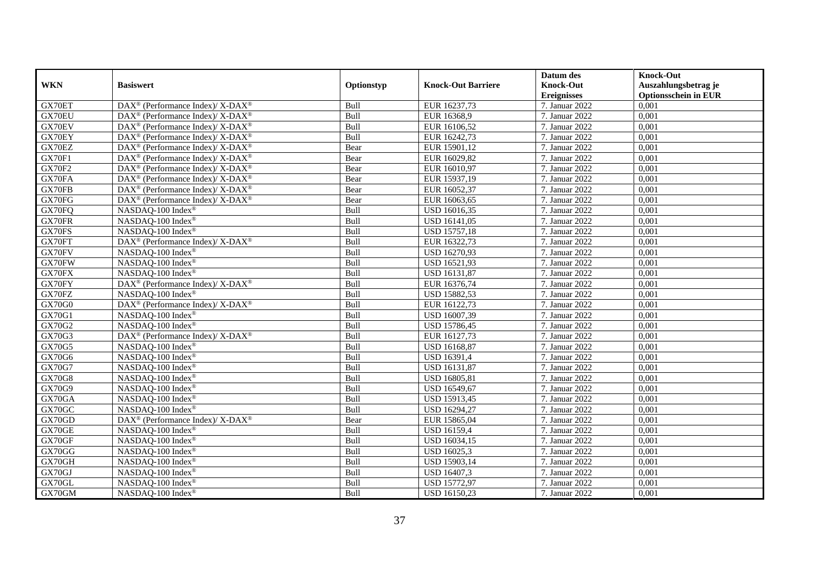|               |                                                                          |            |                           | Datum des          | <b>Knock-Out</b>            |
|---------------|--------------------------------------------------------------------------|------------|---------------------------|--------------------|-----------------------------|
| <b>WKN</b>    | <b>Basiswert</b>                                                         | Optionstyp | <b>Knock-Out Barriere</b> | <b>Knock-Out</b>   | Auszahlungsbetrag je        |
|               |                                                                          |            |                           | <b>Ereignisses</b> | <b>Optionsschein in EUR</b> |
| GX70ET        | DAX <sup>®</sup> (Performance Index)/X-DAX <sup>®</sup>                  | Bull       | EUR 16237,73              | 7. Januar 2022     | 0,001                       |
| GX70EU        | $\text{DAX}^{\circledR}$ (Performance Index)/X-DAX <sup>®</sup>          | Bull       | EUR 16368,9               | 7. Januar 2022     | 0,001                       |
| GX70EV        | $\text{DAX}^{\circledR}$ (Performance Index)/X-DAX <sup>®</sup>          | Bull       | EUR 16106,52              | 7. Januar 2022     | 0,001                       |
| GX70EY        | DAX <sup>®</sup> (Performance Index)/ X-DAX <sup>®</sup>                 | Bull       | EUR 16242,73              | 7. Januar 2022     | 0,001                       |
| GX70EZ        | DAX <sup>®</sup> (Performance Index)/ X-DAX <sup>®</sup>                 | Bear       | EUR 15901,12              | 7. Januar 2022     | 0,001                       |
| GX70F1        | DAX <sup>®</sup> (Performance Index)/ X-DAX <sup>®</sup>                 | Bear       | EUR 16029,82              | 7. Januar 2022     | 0,001                       |
| <b>GX70F2</b> | $\overline{\text{DAX}^{\otimes}}$ (Performance Index)/X-DAX <sup>®</sup> | Bear       | EUR 16010,97              | 7. Januar 2022     | 0,001                       |
| GX70FA        | $\text{DAX}^{\circledast}$ (Performance Index)/ X-DAX <sup>®</sup>       | Bear       | EUR 15937,19              | 7. Januar 2022     | 0,001                       |
| GX70FB        | $\text{DAX}^{\circledR}$ (Performance Index)/X-DAX <sup>®</sup>          | Bear       | EUR 16052,37              | 7. Januar 2022     | 0,001                       |
| GX70FG        | DAX <sup>®</sup> (Performance Index)/ X-DAX <sup>®</sup>                 | Bear       | EUR 16063,65              | 7. Januar 2022     | 0.001                       |
| GX70FQ        | NASDAQ-100 Index®                                                        | Bull       | USD 16016,35              | 7. Januar 2022     | 0,001                       |
| GX70FR        | NASDAQ-100 Index®                                                        | Bull       | <b>USD</b> 16141,05       | 7. Januar 2022     | 0,001                       |
| GX70FS        | NASDAQ-100 Index®                                                        | Bull       | USD 15757,18              | 7. Januar 2022     | 0,001                       |
| GX70FT        | $DAX^{\circledcirc}$ (Performance Index)/ X-DAX <sup>®</sup>             | Bull       | EUR 16322,73              | 7. Januar 2022     | 0.001                       |
| GX70FV        | NASDAQ-100 Index®                                                        | Bull       | USD 16270,93              | 7. Januar 2022     | 0,001                       |
| GX70FW        | NASDAQ-100 Index®                                                        | Bull       | USD 16521,93              | 7. Januar 2022     | 0,001                       |
| GX70FX        | NASDAQ-100 Index®                                                        | Bull       | USD 16131,87              | 7. Januar 2022     | 0,001                       |
| GX70FY        | DAX <sup>®</sup> (Performance Index)/ X-DAX <sup>®</sup>                 | Bull       | EUR 16376,74              | 7. Januar 2022     | 0,001                       |
| GX70FZ        | NASDAQ-100 Index®                                                        | Bull       | USD 15882,53              | 7. Januar 2022     | 0,001                       |
| GX70G0        | DAX <sup>®</sup> (Performance Index)/X-DAX <sup>®</sup>                  | Bull       | EUR 16122,73              | 7. Januar 2022     | 0,001                       |
| GX70G1        | NASDAQ-100 Index®                                                        | Bull       | USD 16007,39              | 7. Januar 2022     | 0,001                       |
| GX70G2        | NASDAO-100 Index®                                                        | Bull       | <b>USD 15786,45</b>       | 7. Januar 2022     | 0,001                       |
| GX70G3        | DAX <sup>®</sup> (Performance Index)/ X-DAX <sup>®</sup>                 | Bull       | EUR 16127,73              | 7. Januar 2022     | 0,001                       |
| GX70G5        | NASDAQ-100 Index®                                                        | Bull       | <b>USD 16168,87</b>       | 7. Januar 2022     | 0,001                       |
| GX70G6        | NASDAQ-100 Index®                                                        | Bull       | USD 16391,4               | 7. Januar 2022     | 0,001                       |
| GX70G7        | NASDAQ-100 Index®                                                        | Bull       | USD 16131,87              | 7. Januar 2022     | 0,001                       |
| <b>GX70G8</b> | NASDAQ-100 Index®                                                        | Bull       | USD 16805,81              | 7. Januar 2022     | 0,001                       |
| GX70G9        | NASDAQ-100 Index®                                                        | Bull       | USD 16549,67              | 7. Januar 2022     | 0,001                       |
| GX70GA        | NASDAQ-100 Index®                                                        | Bull       | USD 15913,45              | 7. Januar 2022     | 0,001                       |
| GX70GC        | NASDAQ-100 Index®                                                        | Bull       | USD 16294,27              | 7. Januar 2022     | 0,001                       |
| GX70GD        | DAX <sup>®</sup> (Performance Index)/ X-DAX <sup>®</sup>                 | Bear       | EUR 15865,04              | 7. Januar 2022     | 0,001                       |
| GX70GE        | NASDAQ-100 Index®                                                        | Bull       | <b>USD 16159,4</b>        | 7. Januar 2022     | 0,001                       |
| GX70GF        | NASDAQ-100 Index®                                                        | Bull       | USD 16034,15              | 7. Januar 2022     | 0,001                       |
| GX70GG        | NASDAQ-100 Index®                                                        | Bull       | USD 16025,3               | 7. Januar 2022     | 0,001                       |
| GX70GH        | NASDAQ-100 Index®                                                        | Bull       | USD 15903,14              | 7. Januar 2022     | 0,001                       |
| GX70GJ        | NASDAQ-100 Index®                                                        | Bull       | USD 16407,3               | 7. Januar 2022     | 0,001                       |
| GX70GL        | NASDAQ-100 Index®                                                        | Bull       | USD 15772,97              | 7. Januar 2022     | 0,001                       |
| GX70GM        | NASDAQ-100 Index®                                                        | Bull       | USD 16150,23              | 7. Januar 2022     | 0,001                       |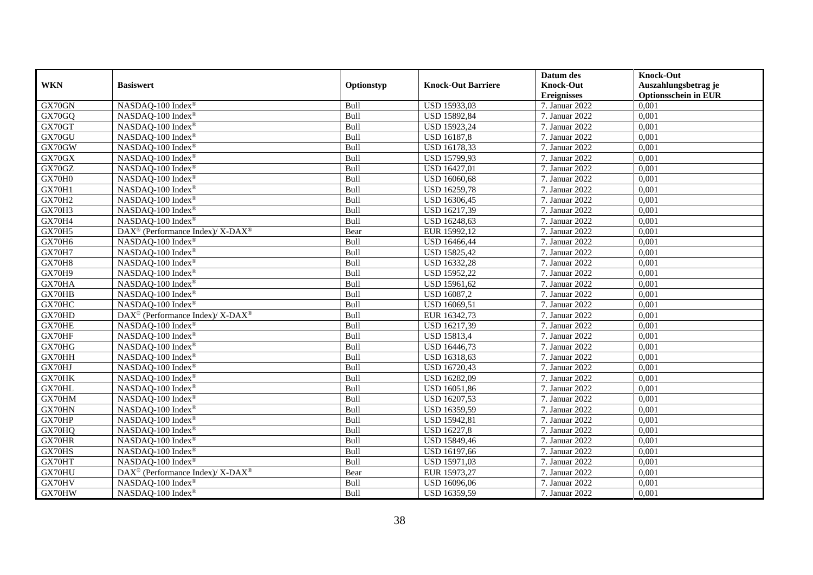|               |                                                          |            |                           | Datum des          | <b>Knock-Out</b>            |
|---------------|----------------------------------------------------------|------------|---------------------------|--------------------|-----------------------------|
| <b>WKN</b>    | <b>Basiswert</b>                                         | Optionstyp | <b>Knock-Out Barriere</b> | <b>Knock-Out</b>   | Auszahlungsbetrag je        |
|               |                                                          |            |                           | <b>Ereignisses</b> | <b>Optionsschein in EUR</b> |
| GX70GN        | NASDAQ-100 Index®                                        | Bull       | USD 15933,03              | 7. Januar 2022     | 0,001                       |
| GX70GQ        | NASDAQ-100 Index®                                        | Bull       | USD 15892,84              | 7. Januar 2022     | 0,001                       |
| GX70GT        | NASDAQ-100 Index®                                        | Bull       | USD 15923,24              | 7. Januar 2022     | 0,001                       |
| GX70GU        | NASDAQ-100 Index®                                        | Bull       | <b>USD 16187,8</b>        | 7. Januar 2022     | 0,001                       |
| GX70GW        | NASDAQ-100 Index®                                        | Bull       | USD 16178,33              | 7. Januar 2022     | 0,001                       |
| GX70GX        | NASDAQ-100 Index®                                        | Bull       | USD 15799,93              | 7. Januar 2022     | 0,001                       |
| GX70GZ        | NASDAQ-100 Index®                                        | Bull       | <b>USD 16427,01</b>       | 7. Januar 2022     | 0,001                       |
| GX70H0        | NASDAQ-100 Index®                                        | Bull       | USD 16060,68              | 7. Januar 2022     | 0,001                       |
| GX70H1        | NASDAQ-100 Index <sup>®</sup>                            | Bull       | USD 16259,78              | 7. Januar 2022     | 0,001                       |
| <b>GX70H2</b> | NASDAQ-100 Index®                                        | Bull       | USD 16306,45              | 7. Januar 2022     | 0,001                       |
| GX70H3        | NASDAQ-100 Index®                                        | Bull       | USD 16217,39              | 7. Januar 2022     | 0,001                       |
| GX70H4        | NASDAQ-100 Index®                                        | Bull       | USD 16248,63              | 7. Januar 2022     | 0,001                       |
| GX70H5        | DAX <sup>®</sup> (Performance Index)/ X-DAX <sup>®</sup> | Bear       | EUR 15992,12              | 7. Januar 2022     | 0,001                       |
| GX70H6        | NASDAQ-100 Index®                                        | Bull       | USD 16466,44              | 7. Januar 2022     | 0,001                       |
| <b>GX70H7</b> | NASDAQ-100 Index®                                        | Bull       | <b>USD 15825,42</b>       | 7. Januar 2022     | 0,001                       |
| GX70H8        | NASDAQ-100 Index®                                        | Bull       | USD 16332,28              | 7. Januar 2022     | 0,001                       |
| GX70H9        | NASDAQ-100 Index®                                        | Bull       | <b>USD 15952,22</b>       | 7. Januar 2022     | 0,001                       |
| GX70HA        | NASDAQ-100 Index®                                        | Bull       | USD 15961,62              | 7. Januar 2022     | 0,001                       |
| GX70HB        | NASDAQ-100 Index®                                        | Bull       | USD 16087,2               | 7. Januar 2022     | 0,001                       |
| GX70HC        | NASDAQ-100 Index®                                        | Bull       | USD 16069,51              | 7. Januar 2022     | 0,001                       |
| GX70HD        | DAX <sup>®</sup> (Performance Index)/ X-DAX <sup>®</sup> | Bull       | EUR 16342,73              | 7. Januar 2022     | 0,001                       |
| GX70HE        | NASDAQ-100 Index®                                        | Bull       | USD 16217,39              | 7. Januar 2022     | 0,001                       |
| GX70HF        | NASDAQ-100 Index®                                        | Bull       | <b>USD 15813,4</b>        | 7. Januar 2022     | 0,001                       |
| GX70HG        | NASDAQ-100 Index®                                        | Bull       | USD 16446,73              | 7. Januar 2022     | 0,001                       |
| GX70HH        | NASDAO-100 Index <sup>®</sup>                            | Bull       | USD 16318,63              | 7. Januar 2022     | 0,001                       |
| GX70HJ        | NASDAQ-100 Index®                                        | Bull       | USD 16720,43              | 7. Januar 2022     | 0,001                       |
| GX70HK        | NASDAQ-100 Index®                                        | Bull       | USD 16282,09              | 7. Januar 2022     | 0,001                       |
| GX70HL        | NASDAQ-100 Index®                                        | Bull       | USD 16051,86              | 7. Januar 2022     | 0,001                       |
| GX70HM        | NASDAQ-100 Index®                                        | Bull       | USD 16207,53              | 7. Januar 2022     | 0,001                       |
| GX70HN        | NASDAQ-100 Index®                                        | Bull       | USD 16359,59              | 7. Januar 2022     | 0,001                       |
| GX70HP        | NASDAQ-100 Index®                                        | Bull       | USD 15942,81              | 7. Januar 2022     | 0,001                       |
| GX70HQ        | NASDAQ-100 Index®                                        | Bull       | <b>USD 16227,8</b>        | 7. Januar 2022     | 0,001                       |
| GX70HR        | NASDAQ-100 Index®                                        | Bull       | USD 15849,46              | 7. Januar 2022     | 0,001                       |
| GX70HS        | NASDAQ-100 Index®                                        | Bull       | USD 16197,66              | 7. Januar 2022     | 0,001                       |
| GX70HT        | NASDAQ-100 Index®                                        | Bull       | <b>USD 15971,03</b>       | 7. Januar 2022     | 0,001                       |
| GX70HU        | DAX <sup>®</sup> (Performance Index)/ X-DAX <sup>®</sup> | Bear       | EUR 15973,27              | 7. Januar 2022     | 0,001                       |
| GX70HV        | NASDAQ-100 Index®                                        | Bull       | USD 16096,06              | 7. Januar 2022     | 0,001                       |
| GX70HW        | NASDAQ-100 Index®                                        | Bull       | USD 16359,59              | 7. Januar 2022     | 0,001                       |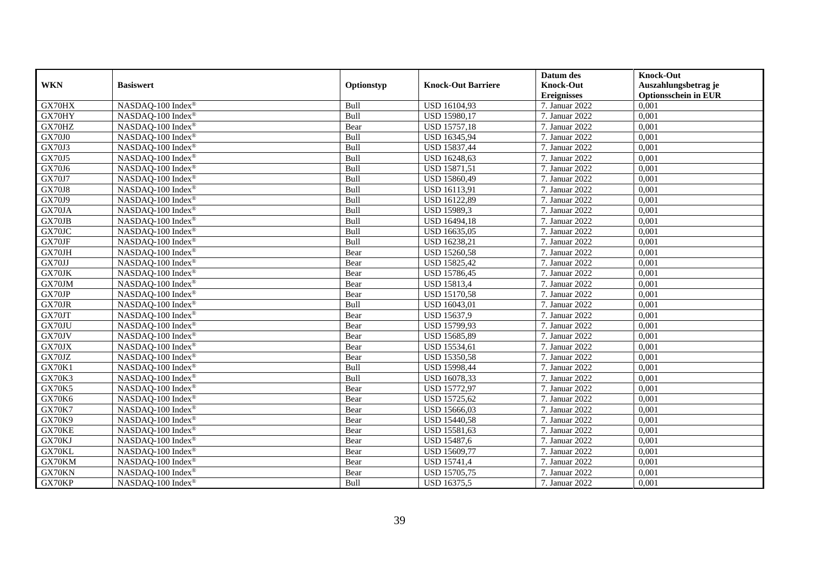|               |                               |            |                           | Datum des          | <b>Knock-Out</b>            |
|---------------|-------------------------------|------------|---------------------------|--------------------|-----------------------------|
| <b>WKN</b>    | <b>Basiswert</b>              | Optionstyp | <b>Knock-Out Barriere</b> | <b>Knock-Out</b>   | Auszahlungsbetrag je        |
|               |                               |            |                           | <b>Ereignisses</b> | <b>Optionsschein in EUR</b> |
| GX70HX        | NASDAQ-100 Index®             | Bull       | USD 16104,93              | 7. Januar 2022     | 0,001                       |
| GX70HY        | NASDAQ-100 Index®             | Bull       | USD 15980,17              | 7. Januar 2022     | 0,001                       |
| GX70HZ        | NASDAQ-100 Index®             | Bear       | <b>USD 15757,18</b>       | 7. Januar 2022     | 0,001                       |
| <b>GX70J0</b> | NASDAQ-100 Index®             | Bull       | USD 16345,94              | 7. Januar 2022     | 0,001                       |
| <b>GX70J3</b> | NASDAQ-100 Index®             | Bull       | USD 15837,44              | 7. Januar 2022     | 0,001                       |
| GX70J5        | NASDAQ-100 Index <sup>®</sup> | Bull       | USD 16248,63              | 7. Januar 2022     | 0,001                       |
| GX70J6        | NASDAQ-100 Index®             | Bull       | <b>USD 15871,51</b>       | 7. Januar 2022     | 0,001                       |
| <b>GX70J7</b> | NASDAQ-100 Index®             | Bull       | USD 15860,49              | 7. Januar 2022     | 0,001                       |
| <b>GX70J8</b> | NASDAQ-100 Index®             | Bull       | USD 16113,91              | 7. Januar 2022     | 0,001                       |
| GX70J9        | NASDAQ-100 Index®             | Bull       | USD 16122,89              | 7. Januar 2022     | 0,001                       |
| GX70JA        | NASDAQ-100 Index®             | Bull       | USD 15989,3               | 7. Januar 2022     | 0,001                       |
| GX70JB        | NASDAQ-100 Index <sup>®</sup> | Bull       | USD 16494,18              | 7. Januar 2022     | 0,001                       |
| GX70JC        | NASDAO-100 Index <sup>®</sup> | Bull       | USD 16635,05              | 7. Januar 2022     | 0,001                       |
| GX70JF        | NASDAQ-100 Index®             | Bull       | USD 16238,21              | 7. Januar 2022     | 0,001                       |
| GX70JH        | NASDAQ-100 Index®             | Bear       | <b>USD 15260,58</b>       | 7. Januar 2022     | 0,001                       |
| GX70JJ        | NASDAQ-100 Index®             | Bear       | <b>USD 15825,42</b>       | 7. Januar 2022     | 0,001                       |
| GX70JK        | NASDAQ-100 Index®             | Bear       | USD 15786,45              | 7. Januar 2022     | 0,001                       |
| GX70JM        | NASDAQ-100 Index®             | Bear       | <b>USD 15813,4</b>        | 7. Januar 2022     | 0,001                       |
| GX70JP        | NASDAQ-100 Index®             | Bear       | <b>USD 15170,58</b>       | 7. Januar 2022     | 0,001                       |
| GX70JR        | NASDAQ-100 Index®             | Bull       | USD 16043,01              | 7. Januar 2022     | 0,001                       |
| GX70JT        | NASDAQ-100 Index®             | Bear       | USD 15637,9               | 7. Januar 2022     | 0,001                       |
| GX70JU        | NASDAQ-100 Index®             | Bear       | USD 15799,93              | 7. Januar 2022     | 0,001                       |
| GX70JV        | NASDAQ-100 Index®             | Bear       | USD 15685,89              | 7. Januar 2022     | 0,001                       |
| GX70JX        | NASDAQ-100 Index®             | Bear       | USD 15534,61              | 7. Januar 2022     | 0,001                       |
| GX70JZ        | NASDAQ-100 Index®             | Bear       | <b>USD 15350.58</b>       | 7. Januar 2022     | 0,001                       |
| <b>GX70K1</b> | NASDAQ-100 Index®             | Bull       | <b>USD 15998,44</b>       | 7. Januar 2022     | 0,001                       |
| <b>GX70K3</b> | NASDAQ-100 Index®             | Bull       | USD 16078,33              | 7. Januar 2022     | 0,001                       |
| <b>GX70K5</b> | NASDAQ-100 Index®             | Bear       | <b>USD 15772,97</b>       | 7. Januar 2022     | 0,001                       |
| <b>GX70K6</b> | NASDAQ-100 Index®             | Bear       | USD 15725,62              | 7. Januar 2022     | 0,001                       |
| <b>GX70K7</b> | NASDAQ-100 Index <sup>®</sup> | Bear       | USD 15666,03              | 7. Januar 2022     | 0,001                       |
| GX70K9        | NASDAQ-100 Index®             | Bear       | <b>USD 15440,58</b>       | 7. Januar 2022     | 0,001                       |
| GX70KE        | NASDAQ-100 Index®             | Bear       | USD 15581,63              | 7. Januar 2022     | 0,001                       |
| GX70KJ        | NASDAQ-100 Index®             | Bear       | <b>USD 15487,6</b>        | 7. Januar 2022     | 0.001                       |
| GX70KL        | NASDAQ-100 Index®             | Bear       | USD 15609,77              | 7. Januar 2022     | 0,001                       |
| GX70KM        | NASDAQ-100 Index®             | Bear       | <b>USD 15741,4</b>        | 7. Januar 2022     | 0,001                       |
| GX70KN        | NASDAQ-100 Index®             | Bear       | USD 15705,75              | 7. Januar 2022     | 0,001                       |
| GX70KP        | NASDAQ-100 Index®             | Bull       | USD 16375,5               | 7. Januar 2022     | 0,001                       |